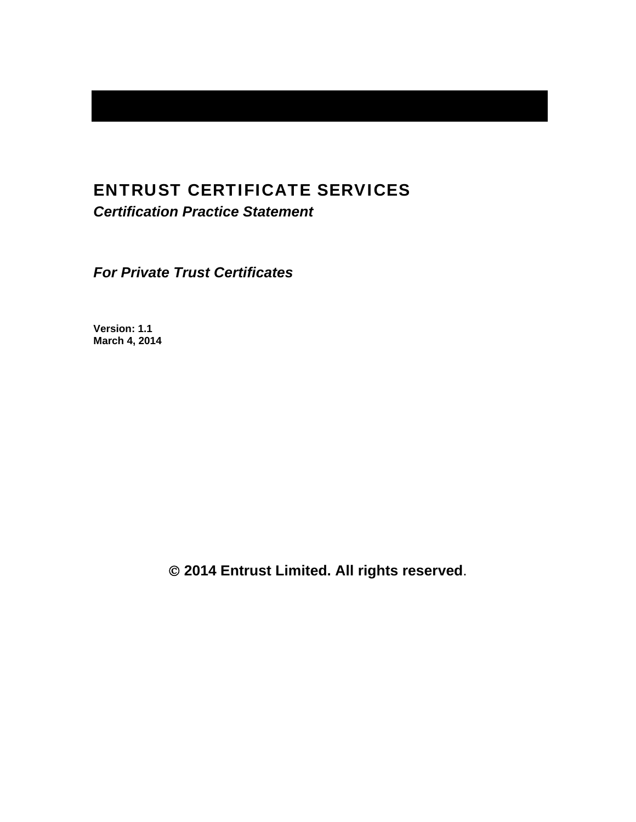# ENTRUST CERTIFICATE SERVICES

*Certification Practice Statement* 

*For Private Trust Certificates* 

**Version: 1.1 March 4, 2014** 

 **2014 Entrust Limited. All rights reserved**.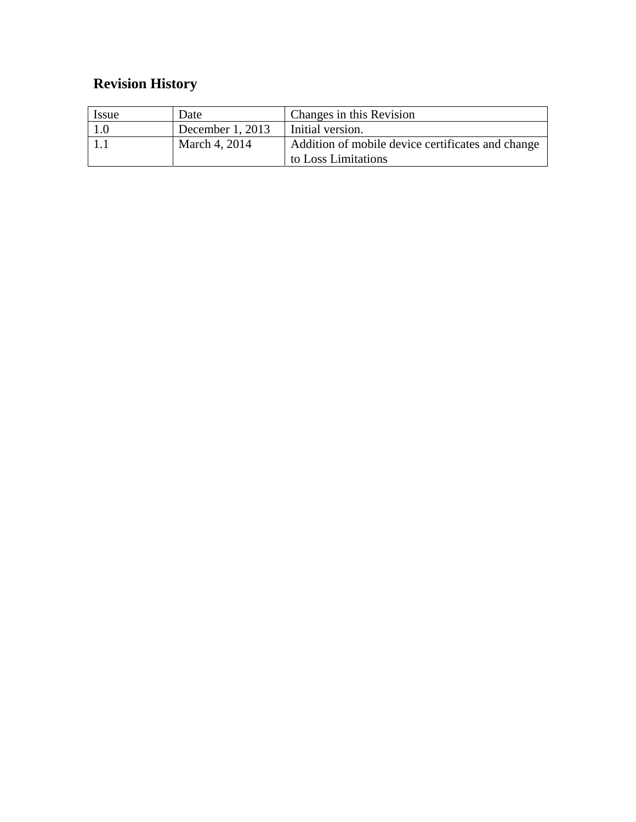# **Revision History**

| <i>Issue</i> | Date               | Changes in this Revision                          |
|--------------|--------------------|---------------------------------------------------|
|              | December $1, 2013$ | Initial version.                                  |
|              | March 4, 2014      | Addition of mobile device certificates and change |
|              |                    | to Loss Limitations                               |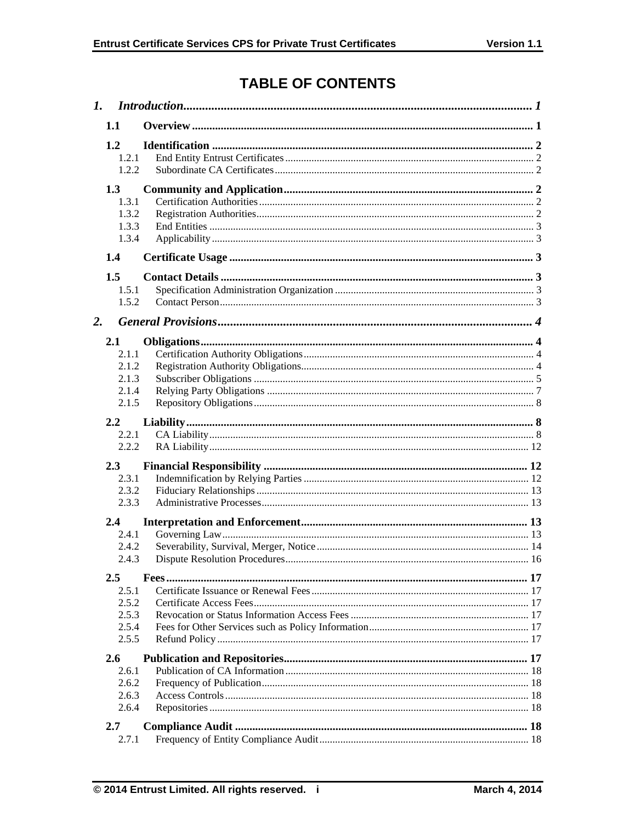# **TABLE OF CONTENTS**

| $\mathbf{I}$ . |                                           |  |
|----------------|-------------------------------------------|--|
|                | 1.1                                       |  |
|                | 1.2<br>1.2.1<br>1.2.2                     |  |
|                | 1.3<br>1.3.1<br>1.3.2<br>1.3.3<br>1.3.4   |  |
|                | 1.4                                       |  |
| 2.             | 1.5<br>1.5.1<br>1.5.2                     |  |
|                | 2.1                                       |  |
|                | 2.1.1<br>2.1.2<br>2.1.3<br>2.1.4<br>2.1.5 |  |
|                | 2.2                                       |  |
|                | 2.2.1<br>2.2.2                            |  |
|                |                                           |  |
|                | 2.3<br>2.3.1<br>2.3.2<br>2.3.3            |  |
|                | 2.4                                       |  |
|                | 2.4.1<br>2.4.2<br>2.4.3                   |  |
|                | $2.5\,$                                   |  |
|                | 2.5.1<br>2.5.2<br>2.5.3<br>2.5.4<br>2.5.5 |  |
|                | 2.6                                       |  |
|                | 2.6.1<br>2.6.2<br>2.6.3<br>2.6.4          |  |
|                | 2.7                                       |  |
|                | 2.7.1                                     |  |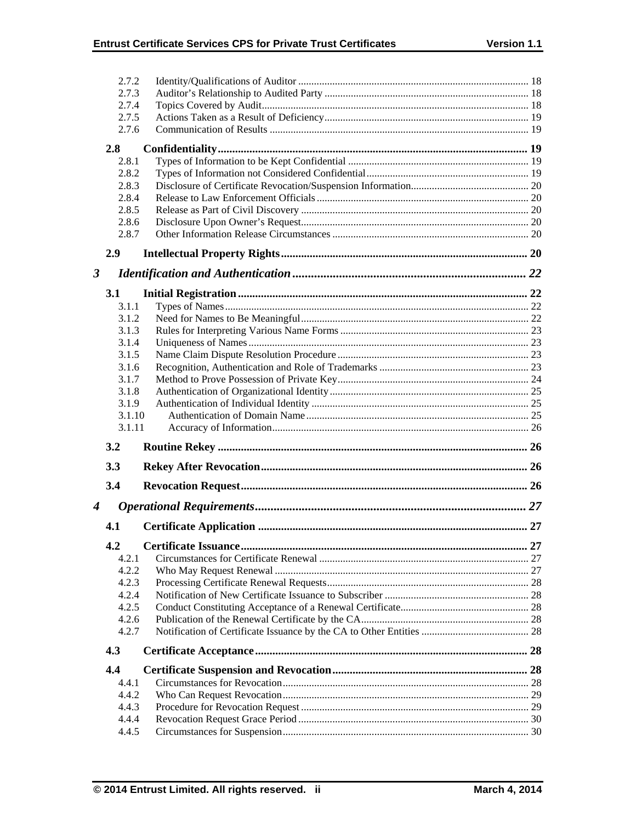|                  | 2.7.2          |  |
|------------------|----------------|--|
|                  | 2.7.3          |  |
|                  | 2.7.4          |  |
|                  | 2.7.5          |  |
|                  | 2.7.6          |  |
|                  |                |  |
|                  | 2.8            |  |
|                  | 2.8.1<br>2.8.2 |  |
|                  | 2.8.3          |  |
|                  | 2.8.4          |  |
|                  | 2.8.5          |  |
|                  | 2.8.6          |  |
|                  | 2.8.7          |  |
|                  |                |  |
|                  | 2.9            |  |
| 3                |                |  |
|                  | 3.1            |  |
|                  | 3.1.1          |  |
|                  | 3.1.2          |  |
|                  | 3.1.3          |  |
|                  | 3.1.4          |  |
|                  | 3.1.5          |  |
|                  | 3.1.6          |  |
|                  | 3.1.7          |  |
|                  | 3.1.8          |  |
|                  | 3.1.9          |  |
|                  |                |  |
|                  | 3.1.10         |  |
|                  | 3.1.11         |  |
|                  | 3.2            |  |
|                  | 3.3            |  |
|                  | 3.4            |  |
| $\boldsymbol{4}$ |                |  |
|                  | 4.1            |  |
|                  |                |  |
|                  | 4.2            |  |
|                  | 4.2.1<br>4.2.2 |  |
|                  |                |  |
|                  | 4.2.3<br>4.2.4 |  |
|                  | 4.2.5          |  |
|                  | 4.2.6          |  |
|                  | 4.2.7          |  |
|                  | 4.3            |  |
|                  | 4.4            |  |
|                  | 4.4.1          |  |
|                  | 4.4.2          |  |
|                  | 4.4.3          |  |
|                  | 4.4.4<br>4.4.5 |  |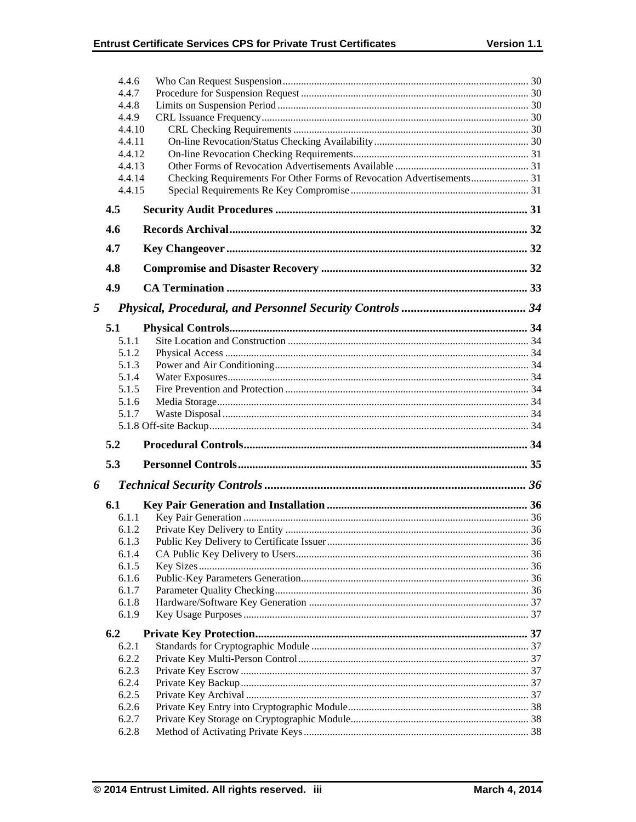|   | 4.4.6<br>4.4.7 |                                                                       |  |
|---|----------------|-----------------------------------------------------------------------|--|
|   | 4.4.8          |                                                                       |  |
|   | 4.4.9          |                                                                       |  |
|   | 4.4.10         |                                                                       |  |
|   | 4.4.11         |                                                                       |  |
|   | 4.4.12         |                                                                       |  |
|   | 4.4.13         |                                                                       |  |
|   | 4.4.14         | Checking Requirements For Other Forms of Revocation Advertisements 31 |  |
|   | 4.4.15         |                                                                       |  |
|   | 4.5            |                                                                       |  |
|   | 4.6            |                                                                       |  |
|   | 4.7            |                                                                       |  |
|   | 4.8            |                                                                       |  |
|   | 4.9            |                                                                       |  |
| 5 |                |                                                                       |  |
|   | 5.1            |                                                                       |  |
|   | 5.1.1          |                                                                       |  |
|   | 5.1.2          |                                                                       |  |
|   | 5.1.3          |                                                                       |  |
|   | 5.1.4          |                                                                       |  |
|   | 5.1.5          |                                                                       |  |
|   | 5.1.6          |                                                                       |  |
|   | 5.1.7          |                                                                       |  |
|   |                |                                                                       |  |
|   | 5.2            |                                                                       |  |
|   | 5.3            |                                                                       |  |
| 6 |                |                                                                       |  |
|   | 6.1            |                                                                       |  |
|   | 6.1.1          |                                                                       |  |
|   | 6.1.2          |                                                                       |  |
|   | 6.1.3          |                                                                       |  |
|   |                |                                                                       |  |
|   | 6.1.4          |                                                                       |  |
|   | 6.1.5          |                                                                       |  |
|   | 6.1.6          |                                                                       |  |
|   | 6.1.7          |                                                                       |  |
|   | 6.1.8<br>6.1.9 |                                                                       |  |
|   | 6.2            |                                                                       |  |
|   | 6.2.1          |                                                                       |  |
|   | 6.2.2          |                                                                       |  |
|   | 6.2.3          |                                                                       |  |
|   | 6.2.4          |                                                                       |  |
|   | 6.2.5          |                                                                       |  |
|   | 6.2.6          |                                                                       |  |
|   | 6.2.7<br>6.2.8 |                                                                       |  |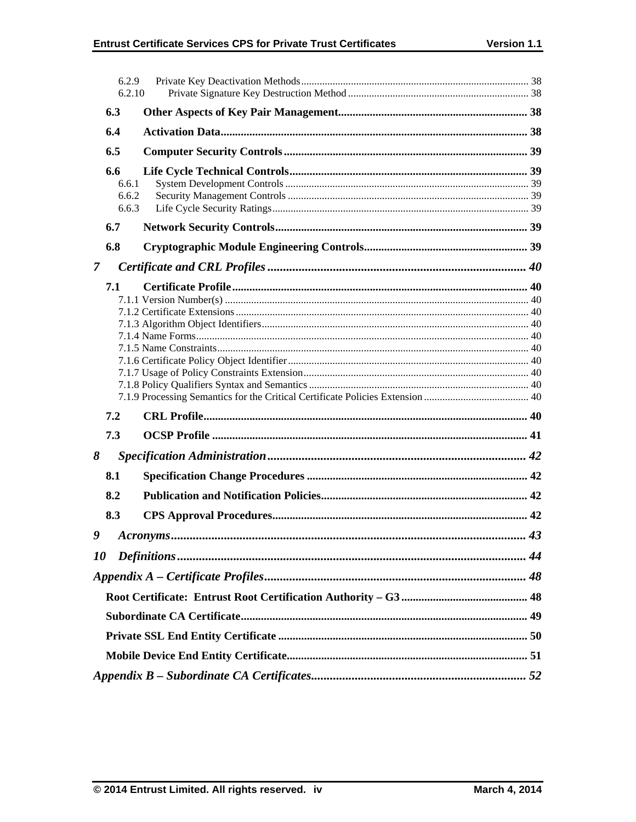|                | 6.2.9<br>6.2.10                |  |  |  |
|----------------|--------------------------------|--|--|--|
|                | 6.3                            |  |  |  |
| 6.4            |                                |  |  |  |
|                | 6.5                            |  |  |  |
|                | 6.6<br>6.6.1<br>6.6.2<br>6.6.3 |  |  |  |
|                | 6.7                            |  |  |  |
|                | 6.8                            |  |  |  |
| $\overline{7}$ |                                |  |  |  |
|                | 7.1                            |  |  |  |
|                | 7.2                            |  |  |  |
|                | 7.3                            |  |  |  |
| 8              |                                |  |  |  |
|                | 8.1                            |  |  |  |
|                | 8.2                            |  |  |  |
|                | 8.3                            |  |  |  |
| 9              |                                |  |  |  |
| 10             |                                |  |  |  |
|                |                                |  |  |  |
|                |                                |  |  |  |
|                |                                |  |  |  |
|                |                                |  |  |  |
|                |                                |  |  |  |
|                |                                |  |  |  |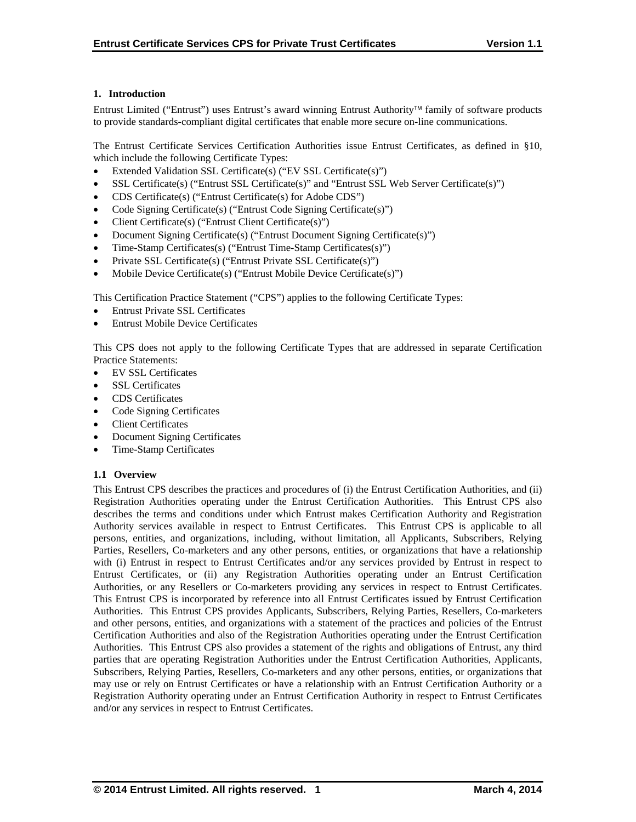## **1. Introduction**

Entrust Limited ("Entrust") uses Entrust's award winning Entrust Authority family of software products to provide standards-compliant digital certificates that enable more secure on-line communications.

The Entrust Certificate Services Certification Authorities issue Entrust Certificates, as defined in §10, which include the following Certificate Types:

- Extended Validation SSL Certificate(s) ("EV SSL Certificate(s)")
- SSL Certificate(s) ("Entrust SSL Certificate(s)" and "Entrust SSL Web Server Certificate(s)")
- CDS Certificate(s) ("Entrust Certificate(s) for Adobe CDS")
- Code Signing Certificate(s) ("Entrust Code Signing Certificate(s)")
- Client Certificate(s) ("Entrust Client Certificate(s)")
- Document Signing Certificate(s) ("Entrust Document Signing Certificate(s)")
- Time-Stamp Certificates(s) ("Entrust Time-Stamp Certificates(s)")
- Private SSL Certificate(s) ("Entrust Private SSL Certificate(s)")
- Mobile Device Certificate(s) ("Entrust Mobile Device Certificate(s)")

This Certification Practice Statement ("CPS") applies to the following Certificate Types:

- Entrust Private SSL Certificates
- Entrust Mobile Device Certificates

This CPS does not apply to the following Certificate Types that are addressed in separate Certification Practice Statements:

- EV SSL Certificates
- SSL Certificates
- CDS Certificates
- Code Signing Certificates
- Client Certificates
- Document Signing Certificates
- Time-Stamp Certificates

## **1.1 Overview**

This Entrust CPS describes the practices and procedures of (i) the Entrust Certification Authorities, and (ii) Registration Authorities operating under the Entrust Certification Authorities. This Entrust CPS also describes the terms and conditions under which Entrust makes Certification Authority and Registration Authority services available in respect to Entrust Certificates. This Entrust CPS is applicable to all persons, entities, and organizations, including, without limitation, all Applicants, Subscribers, Relying Parties, Resellers, Co-marketers and any other persons, entities, or organizations that have a relationship with (i) Entrust in respect to Entrust Certificates and/or any services provided by Entrust in respect to Entrust Certificates, or (ii) any Registration Authorities operating under an Entrust Certification Authorities, or any Resellers or Co-marketers providing any services in respect to Entrust Certificates. This Entrust CPS is incorporated by reference into all Entrust Certificates issued by Entrust Certification Authorities. This Entrust CPS provides Applicants, Subscribers, Relying Parties, Resellers, Co-marketers and other persons, entities, and organizations with a statement of the practices and policies of the Entrust Certification Authorities and also of the Registration Authorities operating under the Entrust Certification Authorities. This Entrust CPS also provides a statement of the rights and obligations of Entrust, any third parties that are operating Registration Authorities under the Entrust Certification Authorities, Applicants, Subscribers, Relying Parties, Resellers, Co-marketers and any other persons, entities, or organizations that may use or rely on Entrust Certificates or have a relationship with an Entrust Certification Authority or a Registration Authority operating under an Entrust Certification Authority in respect to Entrust Certificates and/or any services in respect to Entrust Certificates.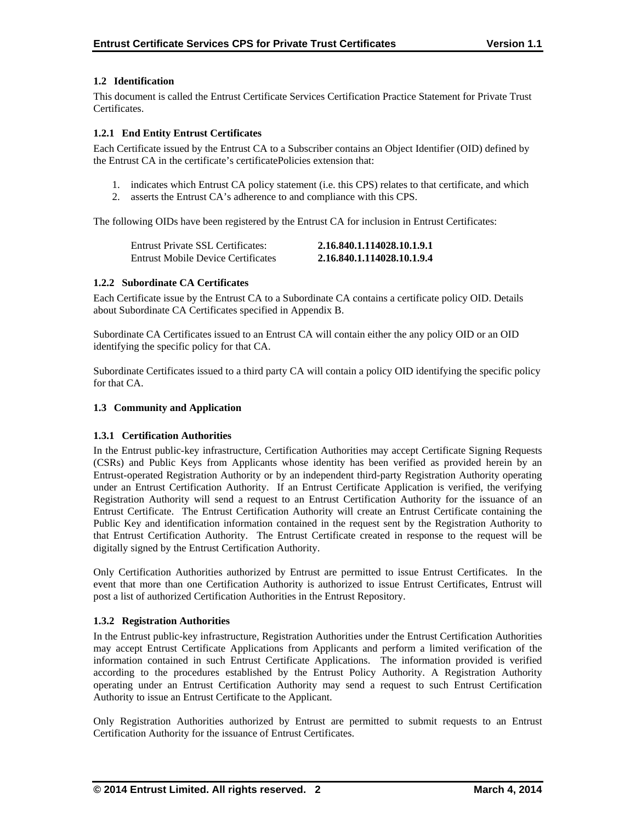## **1.2 Identification**

This document is called the Entrust Certificate Services Certification Practice Statement for Private Trust Certificates.

## **1.2.1 End Entity Entrust Certificates**

Each Certificate issued by the Entrust CA to a Subscriber contains an Object Identifier (OID) defined by the Entrust CA in the certificate's certificatePolicies extension that:

- 1. indicates which Entrust CA policy statement (i.e. this CPS) relates to that certificate, and which
- 2. asserts the Entrust CA's adherence to and compliance with this CPS.

The following OIDs have been registered by the Entrust CA for inclusion in Entrust Certificates:

| Entrust Private SSL Certificates:         | 2.16.840.1.114028.10.1.9.1 |
|-------------------------------------------|----------------------------|
| <b>Entrust Mobile Device Certificates</b> | 2.16.840.1.114028.10.1.9.4 |

## **1.2.2 Subordinate CA Certificates**

Each Certificate issue by the Entrust CA to a Subordinate CA contains a certificate policy OID. Details about Subordinate CA Certificates specified in Appendix B.

Subordinate CA Certificates issued to an Entrust CA will contain either the any policy OID or an OID identifying the specific policy for that CA.

Subordinate Certificates issued to a third party CA will contain a policy OID identifying the specific policy for that CA.

## **1.3 Community and Application**

## **1.3.1 Certification Authorities**

In the Entrust public-key infrastructure, Certification Authorities may accept Certificate Signing Requests (CSRs) and Public Keys from Applicants whose identity has been verified as provided herein by an Entrust-operated Registration Authority or by an independent third-party Registration Authority operating under an Entrust Certification Authority. If an Entrust Certificate Application is verified, the verifying Registration Authority will send a request to an Entrust Certification Authority for the issuance of an Entrust Certificate. The Entrust Certification Authority will create an Entrust Certificate containing the Public Key and identification information contained in the request sent by the Registration Authority to that Entrust Certification Authority. The Entrust Certificate created in response to the request will be digitally signed by the Entrust Certification Authority.

Only Certification Authorities authorized by Entrust are permitted to issue Entrust Certificates. In the event that more than one Certification Authority is authorized to issue Entrust Certificates, Entrust will post a list of authorized Certification Authorities in the Entrust Repository.

## **1.3.2 Registration Authorities**

In the Entrust public-key infrastructure, Registration Authorities under the Entrust Certification Authorities may accept Entrust Certificate Applications from Applicants and perform a limited verification of the information contained in such Entrust Certificate Applications. The information provided is verified according to the procedures established by the Entrust Policy Authority. A Registration Authority operating under an Entrust Certification Authority may send a request to such Entrust Certification Authority to issue an Entrust Certificate to the Applicant.

Only Registration Authorities authorized by Entrust are permitted to submit requests to an Entrust Certification Authority for the issuance of Entrust Certificates.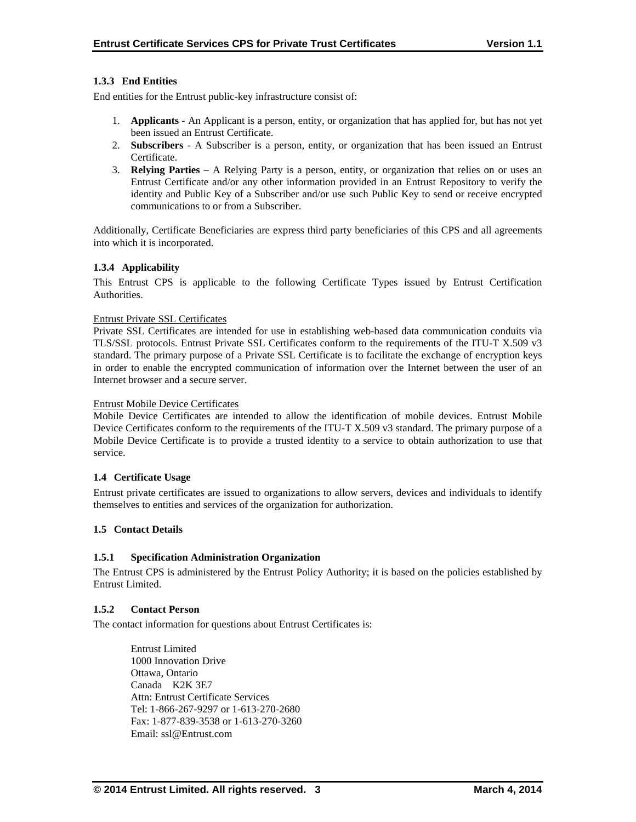## **1.3.3 End Entities**

End entities for the Entrust public-key infrastructure consist of:

- 1. **Applicants** An Applicant is a person, entity, or organization that has applied for, but has not yet been issued an Entrust Certificate.
- 2. **Subscribers**  A Subscriber is a person, entity, or organization that has been issued an Entrust Certificate.
- 3. **Relying Parties**  A Relying Party is a person, entity, or organization that relies on or uses an Entrust Certificate and/or any other information provided in an Entrust Repository to verify the identity and Public Key of a Subscriber and/or use such Public Key to send or receive encrypted communications to or from a Subscriber.

Additionally, Certificate Beneficiaries are express third party beneficiaries of this CPS and all agreements into which it is incorporated.

## **1.3.4 Applicability**

This Entrust CPS is applicable to the following Certificate Types issued by Entrust Certification Authorities.

#### Entrust Private SSL Certificates

Private SSL Certificates are intended for use in establishing web-based data communication conduits via TLS/SSL protocols. Entrust Private SSL Certificates conform to the requirements of the ITU-T X.509 v3 standard. The primary purpose of a Private SSL Certificate is to facilitate the exchange of encryption keys in order to enable the encrypted communication of information over the Internet between the user of an Internet browser and a secure server.

#### Entrust Mobile Device Certificates

Mobile Device Certificates are intended to allow the identification of mobile devices. Entrust Mobile Device Certificates conform to the requirements of the ITU-T X.509 v3 standard. The primary purpose of a Mobile Device Certificate is to provide a trusted identity to a service to obtain authorization to use that service.

## **1.4 Certificate Usage**

Entrust private certificates are issued to organizations to allow servers, devices and individuals to identify themselves to entities and services of the organization for authorization.

## **1.5 Contact Details**

## **1.5.1 Specification Administration Organization**

The Entrust CPS is administered by the Entrust Policy Authority; it is based on the policies established by Entrust Limited.

#### **1.5.2 Contact Person**

The contact information for questions about Entrust Certificates is:

 Entrust Limited 1000 Innovation Drive Ottawa, Ontario Canada K2K 3E7 Attn: Entrust Certificate Services Tel: 1-866-267-9297 or 1-613-270-2680 Fax: 1-877-839-3538 or 1-613-270-3260 Email: ssl@Entrust.com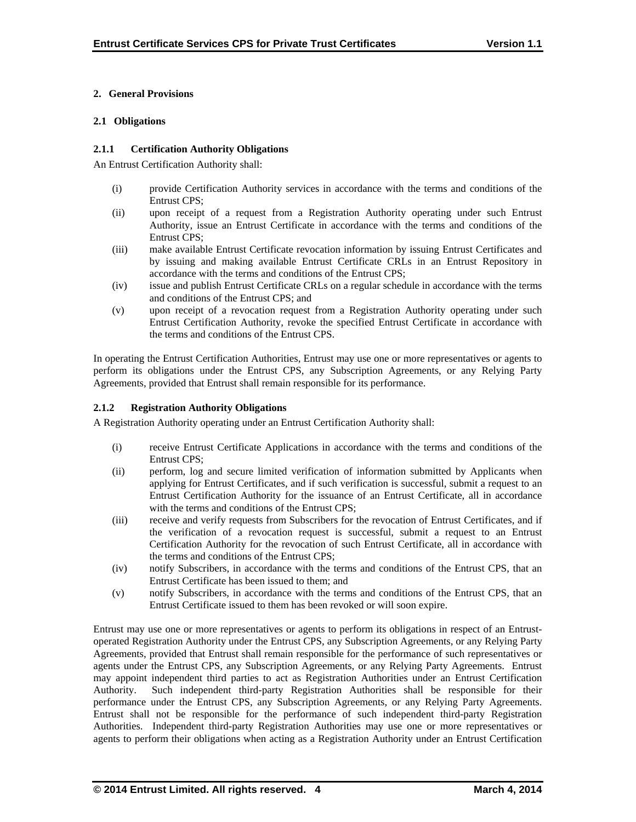## **2. General Provisions**

## **2.1 Obligations**

## **2.1.1 Certification Authority Obligations**

An Entrust Certification Authority shall:

- (i) provide Certification Authority services in accordance with the terms and conditions of the Entrust CPS;
- (ii) upon receipt of a request from a Registration Authority operating under such Entrust Authority, issue an Entrust Certificate in accordance with the terms and conditions of the Entrust CPS;
- (iii) make available Entrust Certificate revocation information by issuing Entrust Certificates and by issuing and making available Entrust Certificate CRLs in an Entrust Repository in accordance with the terms and conditions of the Entrust CPS;
- (iv) issue and publish Entrust Certificate CRLs on a regular schedule in accordance with the terms and conditions of the Entrust CPS; and
- (v) upon receipt of a revocation request from a Registration Authority operating under such Entrust Certification Authority, revoke the specified Entrust Certificate in accordance with the terms and conditions of the Entrust CPS.

In operating the Entrust Certification Authorities, Entrust may use one or more representatives or agents to perform its obligations under the Entrust CPS, any Subscription Agreements, or any Relying Party Agreements, provided that Entrust shall remain responsible for its performance.

## **2.1.2 Registration Authority Obligations**

A Registration Authority operating under an Entrust Certification Authority shall:

- (i) receive Entrust Certificate Applications in accordance with the terms and conditions of the Entrust CPS;
- (ii) perform, log and secure limited verification of information submitted by Applicants when applying for Entrust Certificates, and if such verification is successful, submit a request to an Entrust Certification Authority for the issuance of an Entrust Certificate, all in accordance with the terms and conditions of the Entrust CPS:
- (iii) receive and verify requests from Subscribers for the revocation of Entrust Certificates, and if the verification of a revocation request is successful, submit a request to an Entrust Certification Authority for the revocation of such Entrust Certificate, all in accordance with the terms and conditions of the Entrust CPS;
- (iv) notify Subscribers, in accordance with the terms and conditions of the Entrust CPS, that an Entrust Certificate has been issued to them; and
- (v) notify Subscribers, in accordance with the terms and conditions of the Entrust CPS, that an Entrust Certificate issued to them has been revoked or will soon expire.

Entrust may use one or more representatives or agents to perform its obligations in respect of an Entrustoperated Registration Authority under the Entrust CPS, any Subscription Agreements, or any Relying Party Agreements, provided that Entrust shall remain responsible for the performance of such representatives or agents under the Entrust CPS, any Subscription Agreements, or any Relying Party Agreements. Entrust may appoint independent third parties to act as Registration Authorities under an Entrust Certification Authority. Such independent third-party Registration Authorities shall be responsible for their performance under the Entrust CPS, any Subscription Agreements, or any Relying Party Agreements. Entrust shall not be responsible for the performance of such independent third-party Registration Authorities. Independent third-party Registration Authorities may use one or more representatives or agents to perform their obligations when acting as a Registration Authority under an Entrust Certification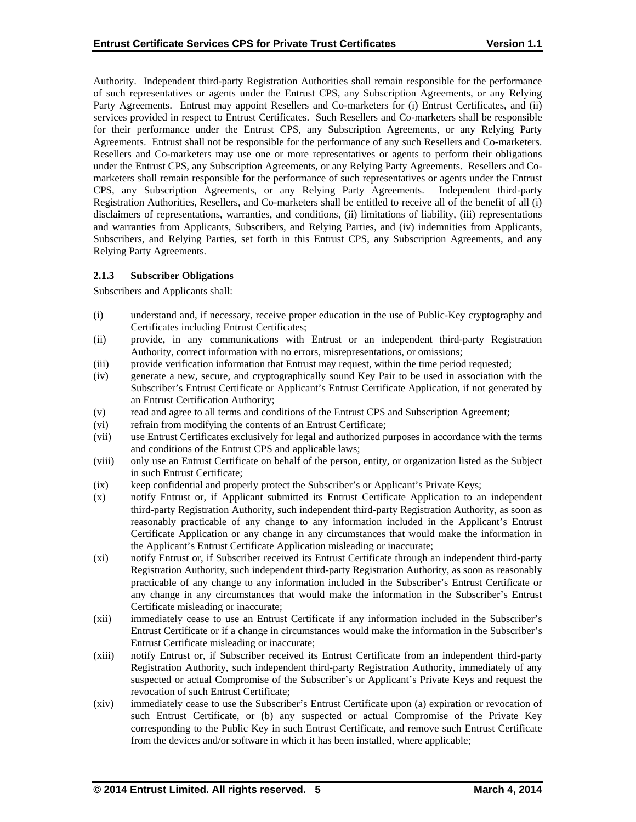Authority. Independent third-party Registration Authorities shall remain responsible for the performance of such representatives or agents under the Entrust CPS, any Subscription Agreements, or any Relying Party Agreements. Entrust may appoint Resellers and Co-marketers for (i) Entrust Certificates, and (ii) services provided in respect to Entrust Certificates. Such Resellers and Co-marketers shall be responsible for their performance under the Entrust CPS, any Subscription Agreements, or any Relying Party Agreements. Entrust shall not be responsible for the performance of any such Resellers and Co-marketers. Resellers and Co-marketers may use one or more representatives or agents to perform their obligations under the Entrust CPS, any Subscription Agreements, or any Relying Party Agreements. Resellers and Comarketers shall remain responsible for the performance of such representatives or agents under the Entrust CPS, any Subscription Agreements, or any Relying Party Agreements. Independent third-party Registration Authorities, Resellers, and Co-marketers shall be entitled to receive all of the benefit of all (i) disclaimers of representations, warranties, and conditions, (ii) limitations of liability, (iii) representations and warranties from Applicants, Subscribers, and Relying Parties, and (iv) indemnities from Applicants, Subscribers, and Relying Parties, set forth in this Entrust CPS, any Subscription Agreements, and any Relying Party Agreements.

## **2.1.3 Subscriber Obligations**

Subscribers and Applicants shall:

- (i) understand and, if necessary, receive proper education in the use of Public-Key cryptography and Certificates including Entrust Certificates;
- (ii) provide, in any communications with Entrust or an independent third-party Registration Authority, correct information with no errors, misrepresentations, or omissions;
- (iii) provide verification information that Entrust may request, within the time period requested;
- (iv) generate a new, secure, and cryptographically sound Key Pair to be used in association with the Subscriber's Entrust Certificate or Applicant's Entrust Certificate Application, if not generated by an Entrust Certification Authority;
- (v) read and agree to all terms and conditions of the Entrust CPS and Subscription Agreement;
- (vi) refrain from modifying the contents of an Entrust Certificate;
- (vii) use Entrust Certificates exclusively for legal and authorized purposes in accordance with the terms and conditions of the Entrust CPS and applicable laws;
- (viii) only use an Entrust Certificate on behalf of the person, entity, or organization listed as the Subject in such Entrust Certificate;
- (ix) keep confidential and properly protect the Subscriber's or Applicant's Private Keys;
- (x) notify Entrust or, if Applicant submitted its Entrust Certificate Application to an independent third-party Registration Authority, such independent third-party Registration Authority, as soon as reasonably practicable of any change to any information included in the Applicant's Entrust Certificate Application or any change in any circumstances that would make the information in the Applicant's Entrust Certificate Application misleading or inaccurate;
- (xi) notify Entrust or, if Subscriber received its Entrust Certificate through an independent third-party Registration Authority, such independent third-party Registration Authority, as soon as reasonably practicable of any change to any information included in the Subscriber's Entrust Certificate or any change in any circumstances that would make the information in the Subscriber's Entrust Certificate misleading or inaccurate;
- (xii) immediately cease to use an Entrust Certificate if any information included in the Subscriber's Entrust Certificate or if a change in circumstances would make the information in the Subscriber's Entrust Certificate misleading or inaccurate;
- (xiii) notify Entrust or, if Subscriber received its Entrust Certificate from an independent third-party Registration Authority, such independent third-party Registration Authority, immediately of any suspected or actual Compromise of the Subscriber's or Applicant's Private Keys and request the revocation of such Entrust Certificate;
- (xiv) immediately cease to use the Subscriber's Entrust Certificate upon (a) expiration or revocation of such Entrust Certificate, or (b) any suspected or actual Compromise of the Private Key corresponding to the Public Key in such Entrust Certificate, and remove such Entrust Certificate from the devices and/or software in which it has been installed, where applicable;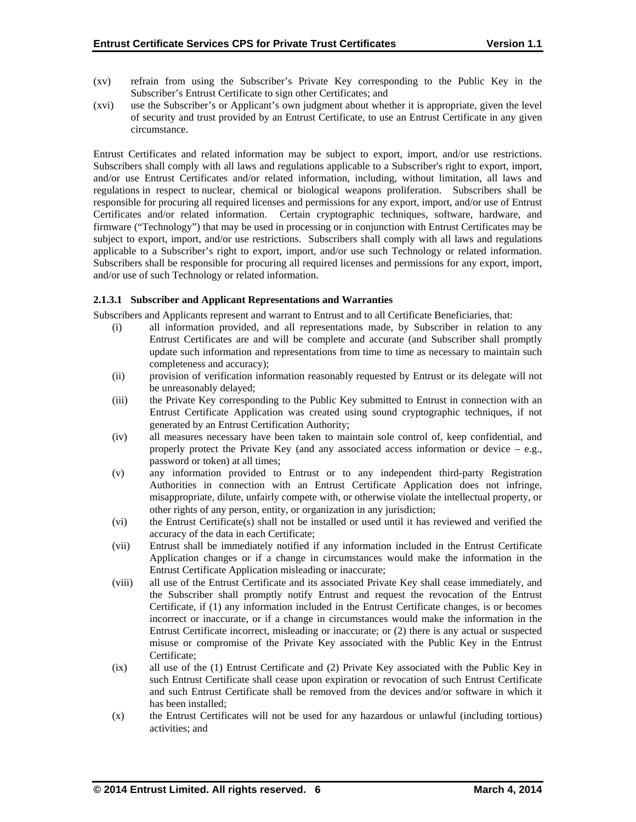- (xv) refrain from using the Subscriber's Private Key corresponding to the Public Key in the Subscriber's Entrust Certificate to sign other Certificates; and
- (xvi) use the Subscriber's or Applicant's own judgment about whether it is appropriate, given the level of security and trust provided by an Entrust Certificate, to use an Entrust Certificate in any given circumstance.

Entrust Certificates and related information may be subject to export, import, and/or use restrictions. Subscribers shall comply with all laws and regulations applicable to a Subscriber's right to export, import, and/or use Entrust Certificates and/or related information, including, without limitation, all laws and regulations in respect to nuclear, chemical or biological weapons proliferation. Subscribers shall be responsible for procuring all required licenses and permissions for any export, import, and/or use of Entrust Certificates and/or related information. Certain cryptographic techniques, software, hardware, and firmware ("Technology") that may be used in processing or in conjunction with Entrust Certificates may be subject to export, import, and/or use restrictions. Subscribers shall comply with all laws and regulations applicable to a Subscriber's right to export, import, and/or use such Technology or related information. Subscribers shall be responsible for procuring all required licenses and permissions for any export, import, and/or use of such Technology or related information.

## **2.1.3.1 Subscriber and Applicant Representations and Warranties**

Subscribers and Applicants represent and warrant to Entrust and to all Certificate Beneficiaries, that:

- (i) all information provided, and all representations made, by Subscriber in relation to any Entrust Certificates are and will be complete and accurate (and Subscriber shall promptly update such information and representations from time to time as necessary to maintain such completeness and accuracy);
- (ii) provision of verification information reasonably requested by Entrust or its delegate will not be unreasonably delayed;
- (iii) the Private Key corresponding to the Public Key submitted to Entrust in connection with an Entrust Certificate Application was created using sound cryptographic techniques, if not generated by an Entrust Certification Authority;
- (iv) all measures necessary have been taken to maintain sole control of, keep confidential, and properly protect the Private Key (and any associated access information or device  $-$  e.g., password or token) at all times;
- (v) any information provided to Entrust or to any independent third-party Registration Authorities in connection with an Entrust Certificate Application does not infringe, misappropriate, dilute, unfairly compete with, or otherwise violate the intellectual property, or other rights of any person, entity, or organization in any jurisdiction;
- (vi) the Entrust Certificate(s) shall not be installed or used until it has reviewed and verified the accuracy of the data in each Certificate;
- (vii) Entrust shall be immediately notified if any information included in the Entrust Certificate Application changes or if a change in circumstances would make the information in the Entrust Certificate Application misleading or inaccurate;
- (viii) all use of the Entrust Certificate and its associated Private Key shall cease immediately, and the Subscriber shall promptly notify Entrust and request the revocation of the Entrust Certificate, if (1) any information included in the Entrust Certificate changes, is or becomes incorrect or inaccurate, or if a change in circumstances would make the information in the Entrust Certificate incorrect, misleading or inaccurate; or (2) there is any actual or suspected misuse or compromise of the Private Key associated with the Public Key in the Entrust Certificate;
- (ix) all use of the (1) Entrust Certificate and (2) Private Key associated with the Public Key in such Entrust Certificate shall cease upon expiration or revocation of such Entrust Certificate and such Entrust Certificate shall be removed from the devices and/or software in which it has been installed;
- (x) the Entrust Certificates will not be used for any hazardous or unlawful (including tortious) activities; and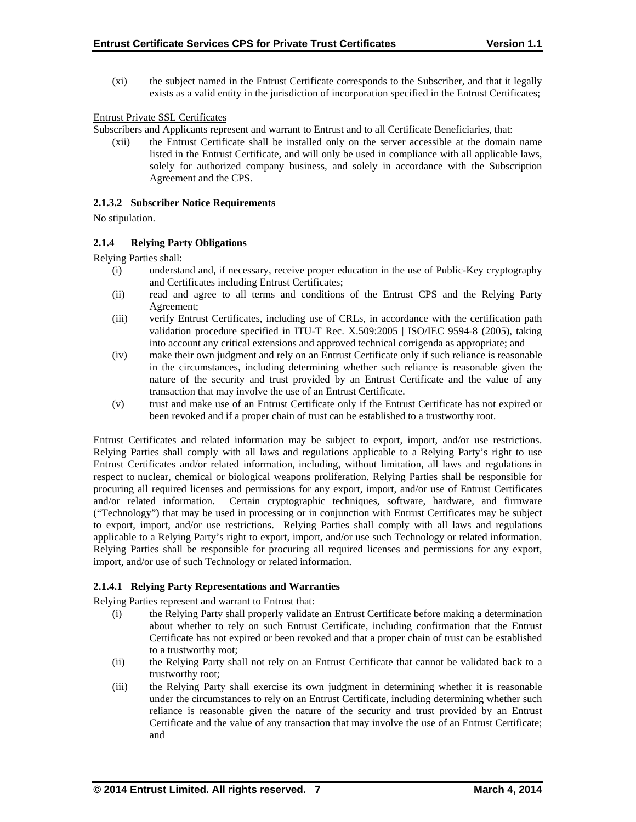(xi) the subject named in the Entrust Certificate corresponds to the Subscriber, and that it legally exists as a valid entity in the jurisdiction of incorporation specified in the Entrust Certificates;

## Entrust Private SSL Certificates

Subscribers and Applicants represent and warrant to Entrust and to all Certificate Beneficiaries, that:

(xii) the Entrust Certificate shall be installed only on the server accessible at the domain name listed in the Entrust Certificate, and will only be used in compliance with all applicable laws, solely for authorized company business, and solely in accordance with the Subscription Agreement and the CPS.

#### **2.1.3.2 Subscriber Notice Requirements**

No stipulation.

## **2.1.4 Relying Party Obligations**

Relying Parties shall:

- (i) understand and, if necessary, receive proper education in the use of Public-Key cryptography and Certificates including Entrust Certificates;
- (ii) read and agree to all terms and conditions of the Entrust CPS and the Relying Party Agreement;
- (iii) verify Entrust Certificates, including use of CRLs, in accordance with the certification path validation procedure specified in ITU-T Rec. X.509:2005 | ISO/IEC 9594-8 (2005), taking into account any critical extensions and approved technical corrigenda as appropriate; and
- (iv) make their own judgment and rely on an Entrust Certificate only if such reliance is reasonable in the circumstances, including determining whether such reliance is reasonable given the nature of the security and trust provided by an Entrust Certificate and the value of any transaction that may involve the use of an Entrust Certificate.
- (v) trust and make use of an Entrust Certificate only if the Entrust Certificate has not expired or been revoked and if a proper chain of trust can be established to a trustworthy root.

Entrust Certificates and related information may be subject to export, import, and/or use restrictions. Relying Parties shall comply with all laws and regulations applicable to a Relying Party's right to use Entrust Certificates and/or related information, including, without limitation, all laws and regulations in respect to nuclear, chemical or biological weapons proliferation. Relying Parties shall be responsible for procuring all required licenses and permissions for any export, import, and/or use of Entrust Certificates and/or related information. Certain cryptographic techniques, software, hardware, and firmware ("Technology") that may be used in processing or in conjunction with Entrust Certificates may be subject to export, import, and/or use restrictions. Relying Parties shall comply with all laws and regulations applicable to a Relying Party's right to export, import, and/or use such Technology or related information. Relying Parties shall be responsible for procuring all required licenses and permissions for any export, import, and/or use of such Technology or related information.

## **2.1.4.1 Relying Party Representations and Warranties**

Relying Parties represent and warrant to Entrust that:

- (i) the Relying Party shall properly validate an Entrust Certificate before making a determination about whether to rely on such Entrust Certificate, including confirmation that the Entrust Certificate has not expired or been revoked and that a proper chain of trust can be established to a trustworthy root;
- (ii) the Relying Party shall not rely on an Entrust Certificate that cannot be validated back to a trustworthy root;
- (iii) the Relying Party shall exercise its own judgment in determining whether it is reasonable under the circumstances to rely on an Entrust Certificate, including determining whether such reliance is reasonable given the nature of the security and trust provided by an Entrust Certificate and the value of any transaction that may involve the use of an Entrust Certificate; and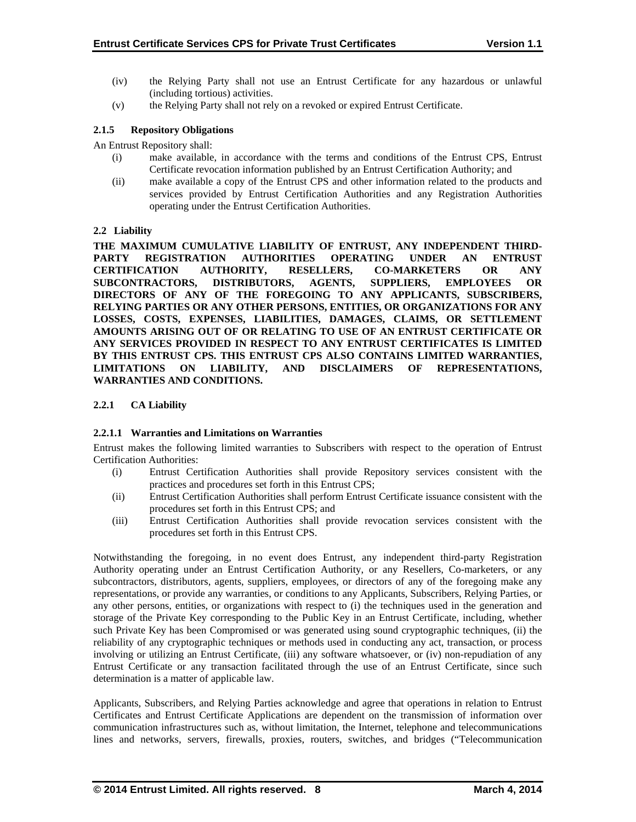- (iv) the Relying Party shall not use an Entrust Certificate for any hazardous or unlawful (including tortious) activities.
- (v) the Relying Party shall not rely on a revoked or expired Entrust Certificate.

## **2.1.5 Repository Obligations**

An Entrust Repository shall:

- (i) make available, in accordance with the terms and conditions of the Entrust CPS, Entrust Certificate revocation information published by an Entrust Certification Authority; and
- (ii) make available a copy of the Entrust CPS and other information related to the products and services provided by Entrust Certification Authorities and any Registration Authorities operating under the Entrust Certification Authorities.

## **2.2 Liability**

**THE MAXIMUM CUMULATIVE LIABILITY OF ENTRUST, ANY INDEPENDENT THIRD-PARTY REGISTRATION AUTHORITIES OPERATING UNDER AN ENTRUST CERTIFICATION AUTHORITY, RESELLERS, CO-MARKETERS OR ANY SUBCONTRACTORS, DISTRIBUTORS, AGENTS, SUPPLIERS, EMPLOYEES OR DIRECTORS OF ANY OF THE FOREGOING TO ANY APPLICANTS, SUBSCRIBERS, RELYING PARTIES OR ANY OTHER PERSONS, ENTITIES, OR ORGANIZATIONS FOR ANY LOSSES, COSTS, EXPENSES, LIABILITIES, DAMAGES, CLAIMS, OR SETTLEMENT AMOUNTS ARISING OUT OF OR RELATING TO USE OF AN ENTRUST CERTIFICATE OR ANY SERVICES PROVIDED IN RESPECT TO ANY ENTRUST CERTIFICATES IS LIMITED BY THIS ENTRUST CPS. THIS ENTRUST CPS ALSO CONTAINS LIMITED WARRANTIES, LIMITATIONS ON LIABILITY, AND DISCLAIMERS OF REPRESENTATIONS, WARRANTIES AND CONDITIONS.** 

## **2.2.1 CA Liability**

## **2.2.1.1 Warranties and Limitations on Warranties**

Entrust makes the following limited warranties to Subscribers with respect to the operation of Entrust Certification Authorities:

- (i) Entrust Certification Authorities shall provide Repository services consistent with the practices and procedures set forth in this Entrust CPS;
- (ii) Entrust Certification Authorities shall perform Entrust Certificate issuance consistent with the procedures set forth in this Entrust CPS; and
- (iii) Entrust Certification Authorities shall provide revocation services consistent with the procedures set forth in this Entrust CPS.

Notwithstanding the foregoing, in no event does Entrust, any independent third-party Registration Authority operating under an Entrust Certification Authority, or any Resellers, Co-marketers, or any subcontractors, distributors, agents, suppliers, employees, or directors of any of the foregoing make any representations, or provide any warranties, or conditions to any Applicants, Subscribers, Relying Parties, or any other persons, entities, or organizations with respect to (i) the techniques used in the generation and storage of the Private Key corresponding to the Public Key in an Entrust Certificate, including, whether such Private Key has been Compromised or was generated using sound cryptographic techniques, (ii) the reliability of any cryptographic techniques or methods used in conducting any act, transaction, or process involving or utilizing an Entrust Certificate, (iii) any software whatsoever, or (iv) non-repudiation of any Entrust Certificate or any transaction facilitated through the use of an Entrust Certificate, since such determination is a matter of applicable law.

Applicants, Subscribers, and Relying Parties acknowledge and agree that operations in relation to Entrust Certificates and Entrust Certificate Applications are dependent on the transmission of information over communication infrastructures such as, without limitation, the Internet, telephone and telecommunications lines and networks, servers, firewalls, proxies, routers, switches, and bridges ("Telecommunication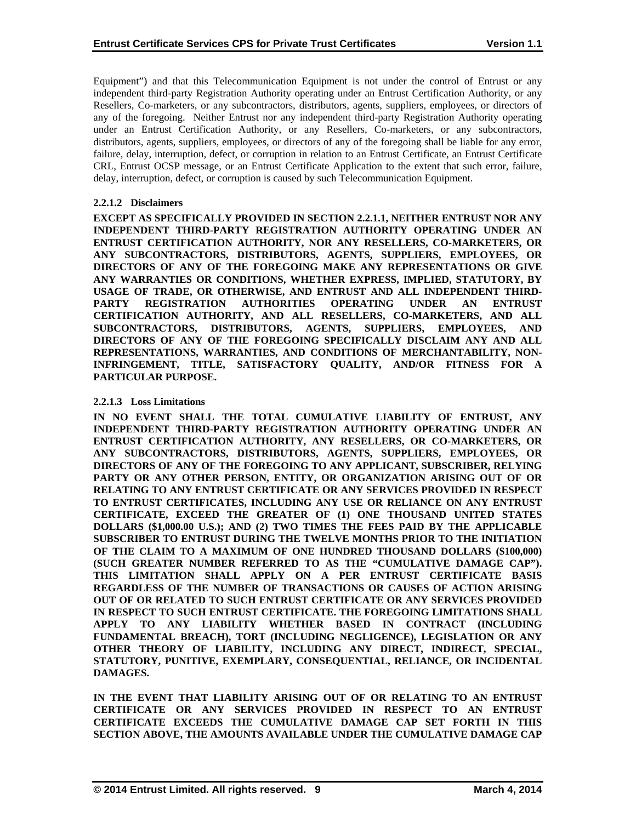Equipment") and that this Telecommunication Equipment is not under the control of Entrust or any independent third-party Registration Authority operating under an Entrust Certification Authority, or any Resellers, Co-marketers, or any subcontractors, distributors, agents, suppliers, employees, or directors of any of the foregoing. Neither Entrust nor any independent third-party Registration Authority operating under an Entrust Certification Authority, or any Resellers, Co-marketers, or any subcontractors, distributors, agents, suppliers, employees, or directors of any of the foregoing shall be liable for any error, failure, delay, interruption, defect, or corruption in relation to an Entrust Certificate, an Entrust Certificate CRL, Entrust OCSP message, or an Entrust Certificate Application to the extent that such error, failure, delay, interruption, defect, or corruption is caused by such Telecommunication Equipment.

## **2.2.1.2 Disclaimers**

**EXCEPT AS SPECIFICALLY PROVIDED IN SECTION 2.2.1.1, NEITHER ENTRUST NOR ANY INDEPENDENT THIRD-PARTY REGISTRATION AUTHORITY OPERATING UNDER AN ENTRUST CERTIFICATION AUTHORITY, NOR ANY RESELLERS, CO-MARKETERS, OR ANY SUBCONTRACTORS, DISTRIBUTORS, AGENTS, SUPPLIERS, EMPLOYEES, OR DIRECTORS OF ANY OF THE FOREGOING MAKE ANY REPRESENTATIONS OR GIVE ANY WARRANTIES OR CONDITIONS, WHETHER EXPRESS, IMPLIED, STATUTORY, BY USAGE OF TRADE, OR OTHERWISE, AND ENTRUST AND ALL INDEPENDENT THIRD-PARTY REGISTRATION AUTHORITIES OPERATING UNDER AN ENTRUST CERTIFICATION AUTHORITY, AND ALL RESELLERS, CO-MARKETERS, AND ALL SUBCONTRACTORS, DISTRIBUTORS, AGENTS, SUPPLIERS, EMPLOYEES, AND DIRECTORS OF ANY OF THE FOREGOING SPECIFICALLY DISCLAIM ANY AND ALL REPRESENTATIONS, WARRANTIES, AND CONDITIONS OF MERCHANTABILITY, NON-INFRINGEMENT, TITLE, SATISFACTORY QUALITY, AND/OR FITNESS FOR A PARTICULAR PURPOSE.** 

## **2.2.1.3 Loss Limitations**

**IN NO EVENT SHALL THE TOTAL CUMULATIVE LIABILITY OF ENTRUST, ANY INDEPENDENT THIRD-PARTY REGISTRATION AUTHORITY OPERATING UNDER AN ENTRUST CERTIFICATION AUTHORITY, ANY RESELLERS, OR CO-MARKETERS, OR ANY SUBCONTRACTORS, DISTRIBUTORS, AGENTS, SUPPLIERS, EMPLOYEES, OR DIRECTORS OF ANY OF THE FOREGOING TO ANY APPLICANT, SUBSCRIBER, RELYING PARTY OR ANY OTHER PERSON, ENTITY, OR ORGANIZATION ARISING OUT OF OR RELATING TO ANY ENTRUST CERTIFICATE OR ANY SERVICES PROVIDED IN RESPECT TO ENTRUST CERTIFICATES, INCLUDING ANY USE OR RELIANCE ON ANY ENTRUST CERTIFICATE, EXCEED THE GREATER OF (1) ONE THOUSAND UNITED STATES DOLLARS (\$1,000.00 U.S.); AND (2) TWO TIMES THE FEES PAID BY THE APPLICABLE SUBSCRIBER TO ENTRUST DURING THE TWELVE MONTHS PRIOR TO THE INITIATION OF THE CLAIM TO A MAXIMUM OF ONE HUNDRED THOUSAND DOLLARS (\$100,000) (SUCH GREATER NUMBER REFERRED TO AS THE "CUMULATIVE DAMAGE CAP"). THIS LIMITATION SHALL APPLY ON A PER ENTRUST CERTIFICATE BASIS REGARDLESS OF THE NUMBER OF TRANSACTIONS OR CAUSES OF ACTION ARISING OUT OF OR RELATED TO SUCH ENTRUST CERTIFICATE OR ANY SERVICES PROVIDED IN RESPECT TO SUCH ENTRUST CERTIFICATE. THE FOREGOING LIMITATIONS SHALL APPLY TO ANY LIABILITY WHETHER BASED IN CONTRACT (INCLUDING FUNDAMENTAL BREACH), TORT (INCLUDING NEGLIGENCE), LEGISLATION OR ANY OTHER THEORY OF LIABILITY, INCLUDING ANY DIRECT, INDIRECT, SPECIAL, STATUTORY, PUNITIVE, EXEMPLARY, CONSEQUENTIAL, RELIANCE, OR INCIDENTAL DAMAGES.** 

**IN THE EVENT THAT LIABILITY ARISING OUT OF OR RELATING TO AN ENTRUST CERTIFICATE OR ANY SERVICES PROVIDED IN RESPECT TO AN ENTRUST CERTIFICATE EXCEEDS THE CUMULATIVE DAMAGE CAP SET FORTH IN THIS SECTION ABOVE, THE AMOUNTS AVAILABLE UNDER THE CUMULATIVE DAMAGE CAP**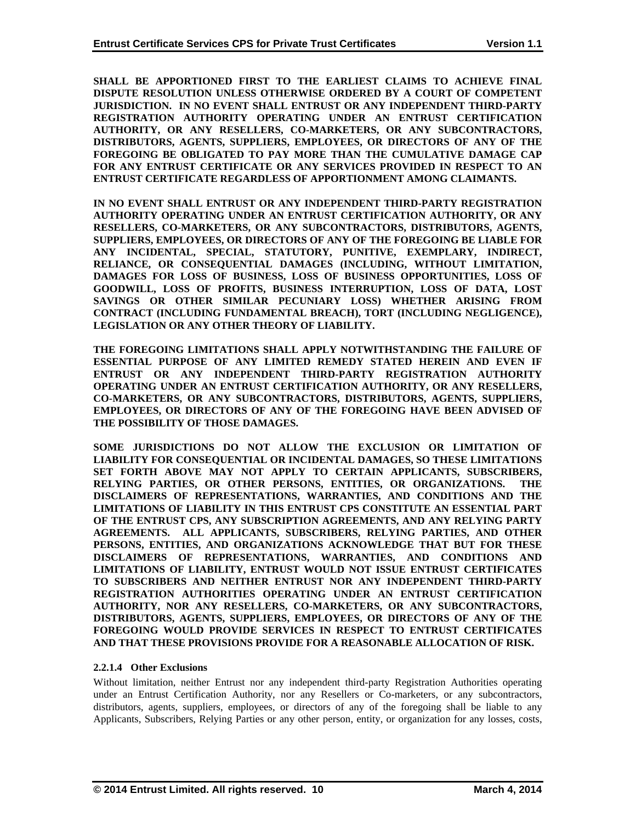**SHALL BE APPORTIONED FIRST TO THE EARLIEST CLAIMS TO ACHIEVE FINAL DISPUTE RESOLUTION UNLESS OTHERWISE ORDERED BY A COURT OF COMPETENT JURISDICTION. IN NO EVENT SHALL ENTRUST OR ANY INDEPENDENT THIRD-PARTY REGISTRATION AUTHORITY OPERATING UNDER AN ENTRUST CERTIFICATION AUTHORITY, OR ANY RESELLERS, CO-MARKETERS, OR ANY SUBCONTRACTORS, DISTRIBUTORS, AGENTS, SUPPLIERS, EMPLOYEES, OR DIRECTORS OF ANY OF THE FOREGOING BE OBLIGATED TO PAY MORE THAN THE CUMULATIVE DAMAGE CAP FOR ANY ENTRUST CERTIFICATE OR ANY SERVICES PROVIDED IN RESPECT TO AN ENTRUST CERTIFICATE REGARDLESS OF APPORTIONMENT AMONG CLAIMANTS.** 

**IN NO EVENT SHALL ENTRUST OR ANY INDEPENDENT THIRD-PARTY REGISTRATION AUTHORITY OPERATING UNDER AN ENTRUST CERTIFICATION AUTHORITY, OR ANY RESELLERS, CO-MARKETERS, OR ANY SUBCONTRACTORS, DISTRIBUTORS, AGENTS, SUPPLIERS, EMPLOYEES, OR DIRECTORS OF ANY OF THE FOREGOING BE LIABLE FOR ANY INCIDENTAL, SPECIAL, STATUTORY, PUNITIVE, EXEMPLARY, INDIRECT, RELIANCE, OR CONSEQUENTIAL DAMAGES (INCLUDING, WITHOUT LIMITATION, DAMAGES FOR LOSS OF BUSINESS, LOSS OF BUSINESS OPPORTUNITIES, LOSS OF GOODWILL, LOSS OF PROFITS, BUSINESS INTERRUPTION, LOSS OF DATA, LOST SAVINGS OR OTHER SIMILAR PECUNIARY LOSS) WHETHER ARISING FROM CONTRACT (INCLUDING FUNDAMENTAL BREACH), TORT (INCLUDING NEGLIGENCE), LEGISLATION OR ANY OTHER THEORY OF LIABILITY.** 

**THE FOREGOING LIMITATIONS SHALL APPLY NOTWITHSTANDING THE FAILURE OF ESSENTIAL PURPOSE OF ANY LIMITED REMEDY STATED HEREIN AND EVEN IF ENTRUST OR ANY INDEPENDENT THIRD-PARTY REGISTRATION AUTHORITY OPERATING UNDER AN ENTRUST CERTIFICATION AUTHORITY, OR ANY RESELLERS, CO-MARKETERS, OR ANY SUBCONTRACTORS, DISTRIBUTORS, AGENTS, SUPPLIERS, EMPLOYEES, OR DIRECTORS OF ANY OF THE FOREGOING HAVE BEEN ADVISED OF THE POSSIBILITY OF THOSE DAMAGES.** 

**SOME JURISDICTIONS DO NOT ALLOW THE EXCLUSION OR LIMITATION OF LIABILITY FOR CONSEQUENTIAL OR INCIDENTAL DAMAGES, SO THESE LIMITATIONS SET FORTH ABOVE MAY NOT APPLY TO CERTAIN APPLICANTS, SUBSCRIBERS, RELYING PARTIES, OR OTHER PERSONS, ENTITIES, OR ORGANIZATIONS. THE DISCLAIMERS OF REPRESENTATIONS, WARRANTIES, AND CONDITIONS AND THE LIMITATIONS OF LIABILITY IN THIS ENTRUST CPS CONSTITUTE AN ESSENTIAL PART OF THE ENTRUST CPS, ANY SUBSCRIPTION AGREEMENTS, AND ANY RELYING PARTY AGREEMENTS. ALL APPLICANTS, SUBSCRIBERS, RELYING PARTIES, AND OTHER PERSONS, ENTITIES, AND ORGANIZATIONS ACKNOWLEDGE THAT BUT FOR THESE DISCLAIMERS OF REPRESENTATIONS, WARRANTIES, AND CONDITIONS AND LIMITATIONS OF LIABILITY, ENTRUST WOULD NOT ISSUE ENTRUST CERTIFICATES TO SUBSCRIBERS AND NEITHER ENTRUST NOR ANY INDEPENDENT THIRD-PARTY REGISTRATION AUTHORITIES OPERATING UNDER AN ENTRUST CERTIFICATION AUTHORITY, NOR ANY RESELLERS, CO-MARKETERS, OR ANY SUBCONTRACTORS, DISTRIBUTORS, AGENTS, SUPPLIERS, EMPLOYEES, OR DIRECTORS OF ANY OF THE FOREGOING WOULD PROVIDE SERVICES IN RESPECT TO ENTRUST CERTIFICATES AND THAT THESE PROVISIONS PROVIDE FOR A REASONABLE ALLOCATION OF RISK.** 

## **2.2.1.4 Other Exclusions**

Without limitation, neither Entrust nor any independent third-party Registration Authorities operating under an Entrust Certification Authority, nor any Resellers or Co-marketers, or any subcontractors, distributors, agents, suppliers, employees, or directors of any of the foregoing shall be liable to any Applicants, Subscribers, Relying Parties or any other person, entity, or organization for any losses, costs,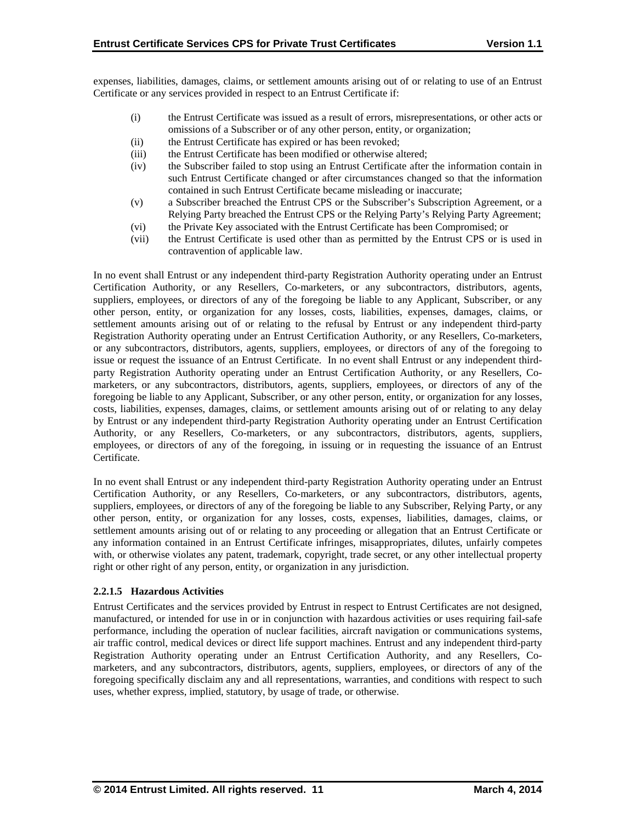expenses, liabilities, damages, claims, or settlement amounts arising out of or relating to use of an Entrust Certificate or any services provided in respect to an Entrust Certificate if:

- (i) the Entrust Certificate was issued as a result of errors, misrepresentations, or other acts or omissions of a Subscriber or of any other person, entity, or organization;
- (ii) the Entrust Certificate has expired or has been revoked;
- (iii) the Entrust Certificate has been modified or otherwise altered;
- (iv) the Subscriber failed to stop using an Entrust Certificate after the information contain in such Entrust Certificate changed or after circumstances changed so that the information contained in such Entrust Certificate became misleading or inaccurate;
- (v) a Subscriber breached the Entrust CPS or the Subscriber's Subscription Agreement, or a Relying Party breached the Entrust CPS or the Relying Party's Relying Party Agreement;
- (vi) the Private Key associated with the Entrust Certificate has been Compromised; or
- (vii) the Entrust Certificate is used other than as permitted by the Entrust CPS or is used in contravention of applicable law.

In no event shall Entrust or any independent third-party Registration Authority operating under an Entrust Certification Authority, or any Resellers, Co-marketers, or any subcontractors, distributors, agents, suppliers, employees, or directors of any of the foregoing be liable to any Applicant, Subscriber, or any other person, entity, or organization for any losses, costs, liabilities, expenses, damages, claims, or settlement amounts arising out of or relating to the refusal by Entrust or any independent third-party Registration Authority operating under an Entrust Certification Authority, or any Resellers, Co-marketers, or any subcontractors, distributors, agents, suppliers, employees, or directors of any of the foregoing to issue or request the issuance of an Entrust Certificate. In no event shall Entrust or any independent thirdparty Registration Authority operating under an Entrust Certification Authority, or any Resellers, Comarketers, or any subcontractors, distributors, agents, suppliers, employees, or directors of any of the foregoing be liable to any Applicant, Subscriber, or any other person, entity, or organization for any losses, costs, liabilities, expenses, damages, claims, or settlement amounts arising out of or relating to any delay by Entrust or any independent third-party Registration Authority operating under an Entrust Certification Authority, or any Resellers, Co-marketers, or any subcontractors, distributors, agents, suppliers, employees, or directors of any of the foregoing, in issuing or in requesting the issuance of an Entrust Certificate.

In no event shall Entrust or any independent third-party Registration Authority operating under an Entrust Certification Authority, or any Resellers, Co-marketers, or any subcontractors, distributors, agents, suppliers, employees, or directors of any of the foregoing be liable to any Subscriber, Relying Party, or any other person, entity, or organization for any losses, costs, expenses, liabilities, damages, claims, or settlement amounts arising out of or relating to any proceeding or allegation that an Entrust Certificate or any information contained in an Entrust Certificate infringes, misappropriates, dilutes, unfairly competes with, or otherwise violates any patent, trademark, copyright, trade secret, or any other intellectual property right or other right of any person, entity, or organization in any jurisdiction.

## **2.2.1.5 Hazardous Activities**

Entrust Certificates and the services provided by Entrust in respect to Entrust Certificates are not designed, manufactured, or intended for use in or in conjunction with hazardous activities or uses requiring fail-safe performance, including the operation of nuclear facilities, aircraft navigation or communications systems, air traffic control, medical devices or direct life support machines. Entrust and any independent third-party Registration Authority operating under an Entrust Certification Authority, and any Resellers, Comarketers, and any subcontractors, distributors, agents, suppliers, employees, or directors of any of the foregoing specifically disclaim any and all representations, warranties, and conditions with respect to such uses, whether express, implied, statutory, by usage of trade, or otherwise.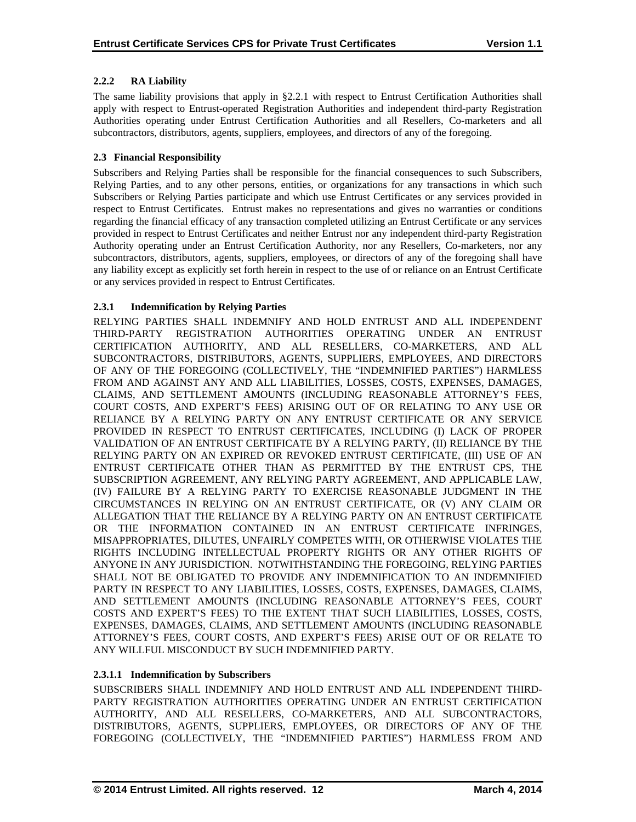## **2.2.2 RA Liability**

The same liability provisions that apply in §2.2.1 with respect to Entrust Certification Authorities shall apply with respect to Entrust-operated Registration Authorities and independent third-party Registration Authorities operating under Entrust Certification Authorities and all Resellers, Co-marketers and all subcontractors, distributors, agents, suppliers, employees, and directors of any of the foregoing.

## **2.3 Financial Responsibility**

Subscribers and Relying Parties shall be responsible for the financial consequences to such Subscribers, Relying Parties, and to any other persons, entities, or organizations for any transactions in which such Subscribers or Relying Parties participate and which use Entrust Certificates or any services provided in respect to Entrust Certificates. Entrust makes no representations and gives no warranties or conditions regarding the financial efficacy of any transaction completed utilizing an Entrust Certificate or any services provided in respect to Entrust Certificates and neither Entrust nor any independent third-party Registration Authority operating under an Entrust Certification Authority, nor any Resellers, Co-marketers, nor any subcontractors, distributors, agents, suppliers, employees, or directors of any of the foregoing shall have any liability except as explicitly set forth herein in respect to the use of or reliance on an Entrust Certificate or any services provided in respect to Entrust Certificates.

## **2.3.1 Indemnification by Relying Parties**

RELYING PARTIES SHALL INDEMNIFY AND HOLD ENTRUST AND ALL INDEPENDENT THIRD-PARTY REGISTRATION AUTHORITIES OPERATING UNDER AN ENTRUST CERTIFICATION AUTHORITY, AND ALL RESELLERS, CO-MARKETERS, AND ALL SUBCONTRACTORS, DISTRIBUTORS, AGENTS, SUPPLIERS, EMPLOYEES, AND DIRECTORS OF ANY OF THE FOREGOING (COLLECTIVELY, THE "INDEMNIFIED PARTIES") HARMLESS FROM AND AGAINST ANY AND ALL LIABILITIES, LOSSES, COSTS, EXPENSES, DAMAGES, CLAIMS, AND SETTLEMENT AMOUNTS (INCLUDING REASONABLE ATTORNEY'S FEES, COURT COSTS, AND EXPERT'S FEES) ARISING OUT OF OR RELATING TO ANY USE OR RELIANCE BY A RELYING PARTY ON ANY ENTRUST CERTIFICATE OR ANY SERVICE PROVIDED IN RESPECT TO ENTRUST CERTIFICATES, INCLUDING (I) LACK OF PROPER VALIDATION OF AN ENTRUST CERTIFICATE BY A RELYING PARTY, (II) RELIANCE BY THE RELYING PARTY ON AN EXPIRED OR REVOKED ENTRUST CERTIFICATE, (III) USE OF AN ENTRUST CERTIFICATE OTHER THAN AS PERMITTED BY THE ENTRUST CPS, THE SUBSCRIPTION AGREEMENT, ANY RELYING PARTY AGREEMENT, AND APPLICABLE LAW, (IV) FAILURE BY A RELYING PARTY TO EXERCISE REASONABLE JUDGMENT IN THE CIRCUMSTANCES IN RELYING ON AN ENTRUST CERTIFICATE, OR (V) ANY CLAIM OR ALLEGATION THAT THE RELIANCE BY A RELYING PARTY ON AN ENTRUST CERTIFICATE OR THE INFORMATION CONTAINED IN AN ENTRUST CERTIFICATE INFRINGES, MISAPPROPRIATES, DILUTES, UNFAIRLY COMPETES WITH, OR OTHERWISE VIOLATES THE RIGHTS INCLUDING INTELLECTUAL PROPERTY RIGHTS OR ANY OTHER RIGHTS OF ANYONE IN ANY JURISDICTION. NOTWITHSTANDING THE FOREGOING, RELYING PARTIES SHALL NOT BE OBLIGATED TO PROVIDE ANY INDEMNIFICATION TO AN INDEMNIFIED PARTY IN RESPECT TO ANY LIABILITIES, LOSSES, COSTS, EXPENSES, DAMAGES, CLAIMS, AND SETTLEMENT AMOUNTS (INCLUDING REASONABLE ATTORNEY'S FEES, COURT COSTS AND EXPERT'S FEES) TO THE EXTENT THAT SUCH LIABILITIES, LOSSES, COSTS, EXPENSES, DAMAGES, CLAIMS, AND SETTLEMENT AMOUNTS (INCLUDING REASONABLE ATTORNEY'S FEES, COURT COSTS, AND EXPERT'S FEES) ARISE OUT OF OR RELATE TO ANY WILLFUL MISCONDUCT BY SUCH INDEMNIFIED PARTY.

## **2.3.1.1 Indemnification by Subscribers**

SUBSCRIBERS SHALL INDEMNIFY AND HOLD ENTRUST AND ALL INDEPENDENT THIRD-PARTY REGISTRATION AUTHORITIES OPERATING UNDER AN ENTRUST CERTIFICATION AUTHORITY, AND ALL RESELLERS, CO-MARKETERS, AND ALL SUBCONTRACTORS, DISTRIBUTORS, AGENTS, SUPPLIERS, EMPLOYEES, OR DIRECTORS OF ANY OF THE FOREGOING (COLLECTIVELY, THE "INDEMNIFIED PARTIES") HARMLESS FROM AND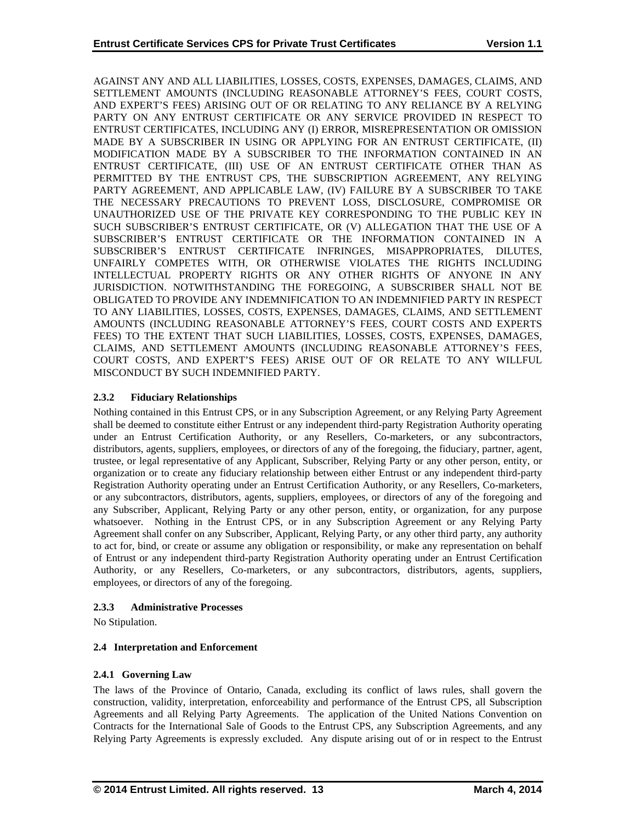AGAINST ANY AND ALL LIABILITIES, LOSSES, COSTS, EXPENSES, DAMAGES, CLAIMS, AND SETTLEMENT AMOUNTS (INCLUDING REASONABLE ATTORNEY'S FEES, COURT COSTS, AND EXPERT'S FEES) ARISING OUT OF OR RELATING TO ANY RELIANCE BY A RELYING PARTY ON ANY ENTRUST CERTIFICATE OR ANY SERVICE PROVIDED IN RESPECT TO ENTRUST CERTIFICATES, INCLUDING ANY (I) ERROR, MISREPRESENTATION OR OMISSION MADE BY A SUBSCRIBER IN USING OR APPLYING FOR AN ENTRUST CERTIFICATE, (II) MODIFICATION MADE BY A SUBSCRIBER TO THE INFORMATION CONTAINED IN AN ENTRUST CERTIFICATE, (III) USE OF AN ENTRUST CERTIFICATE OTHER THAN AS PERMITTED BY THE ENTRUST CPS, THE SUBSCRIPTION AGREEMENT, ANY RELYING PARTY AGREEMENT, AND APPLICABLE LAW, (IV) FAILURE BY A SUBSCRIBER TO TAKE THE NECESSARY PRECAUTIONS TO PREVENT LOSS, DISCLOSURE, COMPROMISE OR UNAUTHORIZED USE OF THE PRIVATE KEY CORRESPONDING TO THE PUBLIC KEY IN SUCH SUBSCRIBER'S ENTRUST CERTIFICATE, OR (V) ALLEGATION THAT THE USE OF A SUBSCRIBER'S ENTRUST CERTIFICATE OR THE INFORMATION CONTAINED IN A SUBSCRIBER'S ENTRUST CERTIFICATE INFRINGES, MISAPPROPRIATES, DILUTES, UNFAIRLY COMPETES WITH, OR OTHERWISE VIOLATES THE RIGHTS INCLUDING INTELLECTUAL PROPERTY RIGHTS OR ANY OTHER RIGHTS OF ANYONE IN ANY JURISDICTION. NOTWITHSTANDING THE FOREGOING, A SUBSCRIBER SHALL NOT BE OBLIGATED TO PROVIDE ANY INDEMNIFICATION TO AN INDEMNIFIED PARTY IN RESPECT TO ANY LIABILITIES, LOSSES, COSTS, EXPENSES, DAMAGES, CLAIMS, AND SETTLEMENT AMOUNTS (INCLUDING REASONABLE ATTORNEY'S FEES, COURT COSTS AND EXPERTS FEES) TO THE EXTENT THAT SUCH LIABILITIES, LOSSES, COSTS, EXPENSES, DAMAGES, CLAIMS, AND SETTLEMENT AMOUNTS (INCLUDING REASONABLE ATTORNEY'S FEES, COURT COSTS, AND EXPERT'S FEES) ARISE OUT OF OR RELATE TO ANY WILLFUL MISCONDUCT BY SUCH INDEMNIFIED PARTY.

## **2.3.2 Fiduciary Relationships**

Nothing contained in this Entrust CPS, or in any Subscription Agreement, or any Relying Party Agreement shall be deemed to constitute either Entrust or any independent third-party Registration Authority operating under an Entrust Certification Authority, or any Resellers, Co-marketers, or any subcontractors, distributors, agents, suppliers, employees, or directors of any of the foregoing, the fiduciary, partner, agent, trustee, or legal representative of any Applicant, Subscriber, Relying Party or any other person, entity, or organization or to create any fiduciary relationship between either Entrust or any independent third-party Registration Authority operating under an Entrust Certification Authority, or any Resellers, Co-marketers, or any subcontractors, distributors, agents, suppliers, employees, or directors of any of the foregoing and any Subscriber, Applicant, Relying Party or any other person, entity, or organization, for any purpose whatsoever. Nothing in the Entrust CPS, or in any Subscription Agreement or any Relying Party Agreement shall confer on any Subscriber, Applicant, Relying Party, or any other third party, any authority to act for, bind, or create or assume any obligation or responsibility, or make any representation on behalf of Entrust or any independent third-party Registration Authority operating under an Entrust Certification Authority, or any Resellers, Co-marketers, or any subcontractors, distributors, agents, suppliers, employees, or directors of any of the foregoing.

## **2.3.3 Administrative Processes**

No Stipulation.

## **2.4 Interpretation and Enforcement**

## **2.4.1 Governing Law**

The laws of the Province of Ontario, Canada, excluding its conflict of laws rules, shall govern the construction, validity, interpretation, enforceability and performance of the Entrust CPS, all Subscription Agreements and all Relying Party Agreements. The application of the United Nations Convention on Contracts for the International Sale of Goods to the Entrust CPS, any Subscription Agreements, and any Relying Party Agreements is expressly excluded. Any dispute arising out of or in respect to the Entrust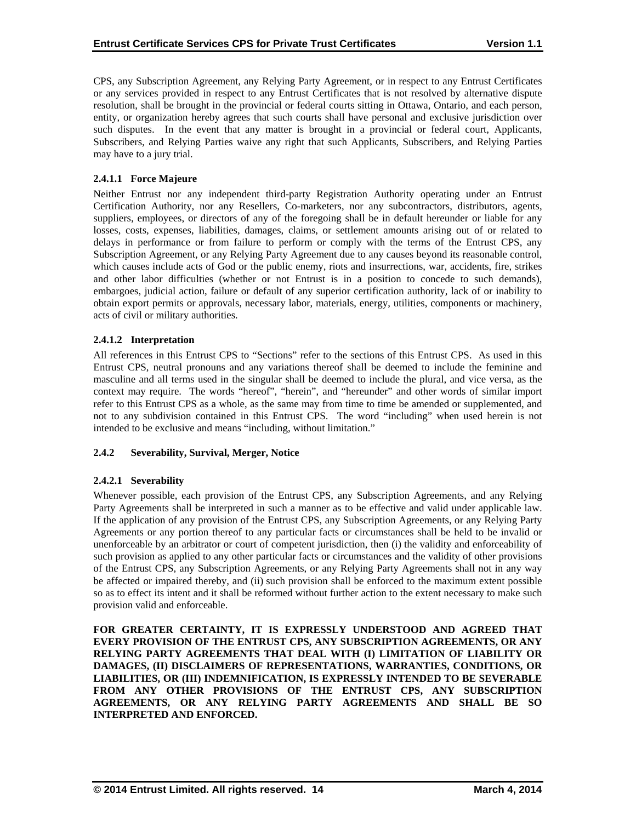CPS, any Subscription Agreement, any Relying Party Agreement, or in respect to any Entrust Certificates or any services provided in respect to any Entrust Certificates that is not resolved by alternative dispute resolution, shall be brought in the provincial or federal courts sitting in Ottawa, Ontario, and each person, entity, or organization hereby agrees that such courts shall have personal and exclusive jurisdiction over such disputes. In the event that any matter is brought in a provincial or federal court, Applicants, Subscribers, and Relying Parties waive any right that such Applicants, Subscribers, and Relying Parties may have to a jury trial.

## **2.4.1.1 Force Majeure**

Neither Entrust nor any independent third-party Registration Authority operating under an Entrust Certification Authority, nor any Resellers, Co-marketers, nor any subcontractors, distributors, agents, suppliers, employees, or directors of any of the foregoing shall be in default hereunder or liable for any losses, costs, expenses, liabilities, damages, claims, or settlement amounts arising out of or related to delays in performance or from failure to perform or comply with the terms of the Entrust CPS, any Subscription Agreement, or any Relying Party Agreement due to any causes beyond its reasonable control, which causes include acts of God or the public enemy, riots and insurrections, war, accidents, fire, strikes and other labor difficulties (whether or not Entrust is in a position to concede to such demands), embargoes, judicial action, failure or default of any superior certification authority, lack of or inability to obtain export permits or approvals, necessary labor, materials, energy, utilities, components or machinery, acts of civil or military authorities.

## **2.4.1.2 Interpretation**

All references in this Entrust CPS to "Sections" refer to the sections of this Entrust CPS. As used in this Entrust CPS, neutral pronouns and any variations thereof shall be deemed to include the feminine and masculine and all terms used in the singular shall be deemed to include the plural, and vice versa, as the context may require. The words "hereof", "herein", and "hereunder" and other words of similar import refer to this Entrust CPS as a whole, as the same may from time to time be amended or supplemented, and not to any subdivision contained in this Entrust CPS. The word "including" when used herein is not intended to be exclusive and means "including, without limitation."

## **2.4.2 Severability, Survival, Merger, Notice**

## **2.4.2.1 Severability**

Whenever possible, each provision of the Entrust CPS, any Subscription Agreements, and any Relying Party Agreements shall be interpreted in such a manner as to be effective and valid under applicable law. If the application of any provision of the Entrust CPS, any Subscription Agreements, or any Relying Party Agreements or any portion thereof to any particular facts or circumstances shall be held to be invalid or unenforceable by an arbitrator or court of competent jurisdiction, then (i) the validity and enforceability of such provision as applied to any other particular facts or circumstances and the validity of other provisions of the Entrust CPS, any Subscription Agreements, or any Relying Party Agreements shall not in any way be affected or impaired thereby, and (ii) such provision shall be enforced to the maximum extent possible so as to effect its intent and it shall be reformed without further action to the extent necessary to make such provision valid and enforceable.

**FOR GREATER CERTAINTY, IT IS EXPRESSLY UNDERSTOOD AND AGREED THAT EVERY PROVISION OF THE ENTRUST CPS, ANY SUBSCRIPTION AGREEMENTS, OR ANY RELYING PARTY AGREEMENTS THAT DEAL WITH (I) LIMITATION OF LIABILITY OR DAMAGES, (II) DISCLAIMERS OF REPRESENTATIONS, WARRANTIES, CONDITIONS, OR LIABILITIES, OR (III) INDEMNIFICATION, IS EXPRESSLY INTENDED TO BE SEVERABLE FROM ANY OTHER PROVISIONS OF THE ENTRUST CPS, ANY SUBSCRIPTION AGREEMENTS, OR ANY RELYING PARTY AGREEMENTS AND SHALL BE SO INTERPRETED AND ENFORCED.**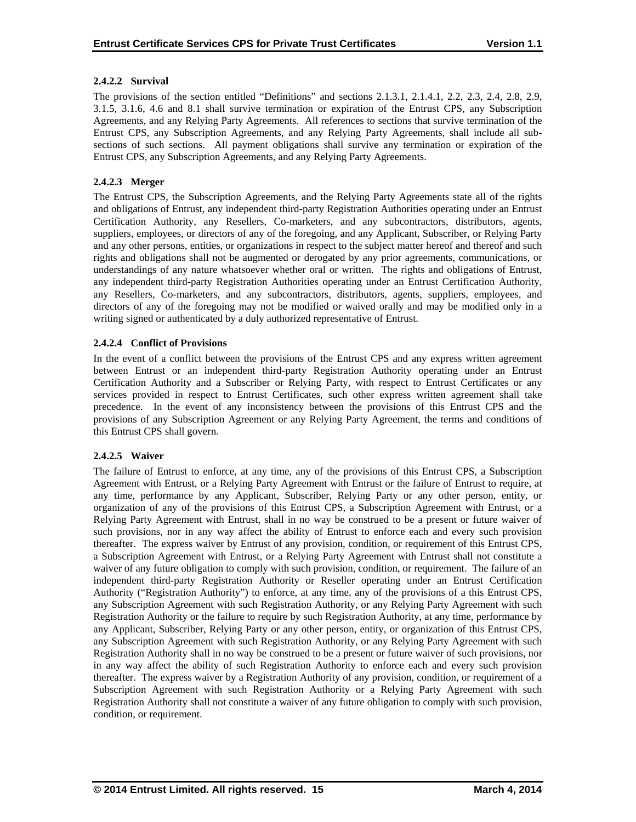## **2.4.2.2 Survival**

The provisions of the section entitled "Definitions" and sections 2.1.3.1, 2.1.4.1, 2.2, 2.3, 2.4, 2.8, 2.9, 3.1.5, 3.1.6, 4.6 and 8.1 shall survive termination or expiration of the Entrust CPS, any Subscription Agreements, and any Relying Party Agreements. All references to sections that survive termination of the Entrust CPS, any Subscription Agreements, and any Relying Party Agreements, shall include all subsections of such sections. All payment obligations shall survive any termination or expiration of the Entrust CPS, any Subscription Agreements, and any Relying Party Agreements.

## **2.4.2.3 Merger**

The Entrust CPS, the Subscription Agreements, and the Relying Party Agreements state all of the rights and obligations of Entrust, any independent third-party Registration Authorities operating under an Entrust Certification Authority, any Resellers, Co-marketers, and any subcontractors, distributors, agents, suppliers, employees, or directors of any of the foregoing, and any Applicant, Subscriber, or Relying Party and any other persons, entities, or organizations in respect to the subject matter hereof and thereof and such rights and obligations shall not be augmented or derogated by any prior agreements, communications, or understandings of any nature whatsoever whether oral or written. The rights and obligations of Entrust, any independent third-party Registration Authorities operating under an Entrust Certification Authority, any Resellers, Co-marketers, and any subcontractors, distributors, agents, suppliers, employees, and directors of any of the foregoing may not be modified or waived orally and may be modified only in a writing signed or authenticated by a duly authorized representative of Entrust.

## **2.4.2.4 Conflict of Provisions**

In the event of a conflict between the provisions of the Entrust CPS and any express written agreement between Entrust or an independent third-party Registration Authority operating under an Entrust Certification Authority and a Subscriber or Relying Party, with respect to Entrust Certificates or any services provided in respect to Entrust Certificates, such other express written agreement shall take precedence. In the event of any inconsistency between the provisions of this Entrust CPS and the provisions of any Subscription Agreement or any Relying Party Agreement, the terms and conditions of this Entrust CPS shall govern.

## **2.4.2.5 Waiver**

The failure of Entrust to enforce, at any time, any of the provisions of this Entrust CPS, a Subscription Agreement with Entrust, or a Relying Party Agreement with Entrust or the failure of Entrust to require, at any time, performance by any Applicant, Subscriber, Relying Party or any other person, entity, or organization of any of the provisions of this Entrust CPS, a Subscription Agreement with Entrust, or a Relying Party Agreement with Entrust, shall in no way be construed to be a present or future waiver of such provisions, nor in any way affect the ability of Entrust to enforce each and every such provision thereafter. The express waiver by Entrust of any provision, condition, or requirement of this Entrust CPS, a Subscription Agreement with Entrust, or a Relying Party Agreement with Entrust shall not constitute a waiver of any future obligation to comply with such provision, condition, or requirement. The failure of an independent third-party Registration Authority or Reseller operating under an Entrust Certification Authority ("Registration Authority") to enforce, at any time, any of the provisions of a this Entrust CPS, any Subscription Agreement with such Registration Authority, or any Relying Party Agreement with such Registration Authority or the failure to require by such Registration Authority, at any time, performance by any Applicant, Subscriber, Relying Party or any other person, entity, or organization of this Entrust CPS, any Subscription Agreement with such Registration Authority, or any Relying Party Agreement with such Registration Authority shall in no way be construed to be a present or future waiver of such provisions, nor in any way affect the ability of such Registration Authority to enforce each and every such provision thereafter. The express waiver by a Registration Authority of any provision, condition, or requirement of a Subscription Agreement with such Registration Authority or a Relying Party Agreement with such Registration Authority shall not constitute a waiver of any future obligation to comply with such provision, condition, or requirement.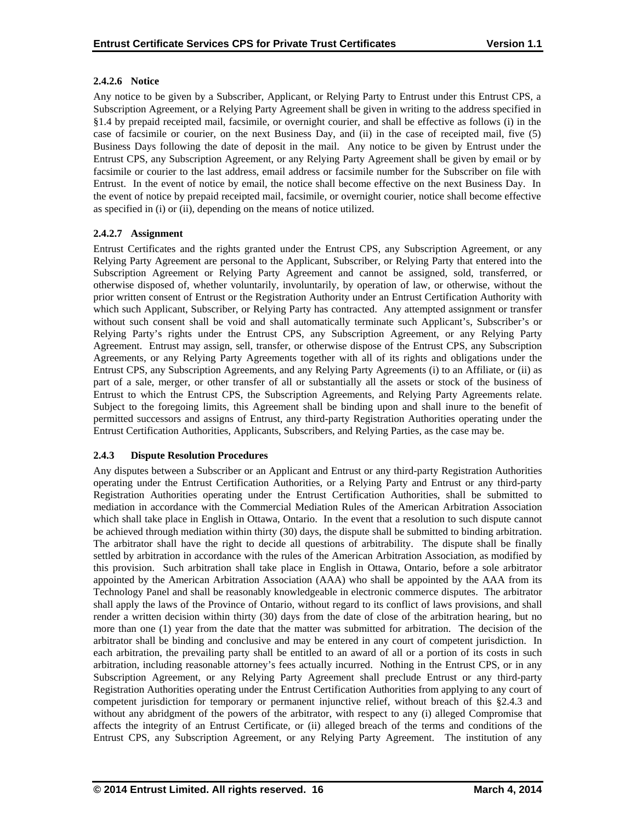## **2.4.2.6 Notice**

Any notice to be given by a Subscriber, Applicant, or Relying Party to Entrust under this Entrust CPS, a Subscription Agreement, or a Relying Party Agreement shall be given in writing to the address specified in §1.4 by prepaid receipted mail, facsimile, or overnight courier, and shall be effective as follows (i) in the case of facsimile or courier, on the next Business Day, and (ii) in the case of receipted mail, five (5) Business Days following the date of deposit in the mail. Any notice to be given by Entrust under the Entrust CPS, any Subscription Agreement, or any Relying Party Agreement shall be given by email or by facsimile or courier to the last address, email address or facsimile number for the Subscriber on file with Entrust. In the event of notice by email, the notice shall become effective on the next Business Day. In the event of notice by prepaid receipted mail, facsimile, or overnight courier, notice shall become effective as specified in (i) or (ii), depending on the means of notice utilized.

## **2.4.2.7 Assignment**

Entrust Certificates and the rights granted under the Entrust CPS, any Subscription Agreement, or any Relying Party Agreement are personal to the Applicant, Subscriber, or Relying Party that entered into the Subscription Agreement or Relying Party Agreement and cannot be assigned, sold, transferred, or otherwise disposed of, whether voluntarily, involuntarily, by operation of law, or otherwise, without the prior written consent of Entrust or the Registration Authority under an Entrust Certification Authority with which such Applicant, Subscriber, or Relying Party has contracted. Any attempted assignment or transfer without such consent shall be void and shall automatically terminate such Applicant's, Subscriber's or Relying Party's rights under the Entrust CPS, any Subscription Agreement, or any Relying Party Agreement. Entrust may assign, sell, transfer, or otherwise dispose of the Entrust CPS, any Subscription Agreements, or any Relying Party Agreements together with all of its rights and obligations under the Entrust CPS, any Subscription Agreements, and any Relying Party Agreements (i) to an Affiliate, or (ii) as part of a sale, merger, or other transfer of all or substantially all the assets or stock of the business of Entrust to which the Entrust CPS, the Subscription Agreements, and Relying Party Agreements relate. Subject to the foregoing limits, this Agreement shall be binding upon and shall inure to the benefit of permitted successors and assigns of Entrust, any third-party Registration Authorities operating under the Entrust Certification Authorities, Applicants, Subscribers, and Relying Parties, as the case may be.

## **2.4.3 Dispute Resolution Procedures**

Any disputes between a Subscriber or an Applicant and Entrust or any third-party Registration Authorities operating under the Entrust Certification Authorities, or a Relying Party and Entrust or any third-party Registration Authorities operating under the Entrust Certification Authorities, shall be submitted to mediation in accordance with the Commercial Mediation Rules of the American Arbitration Association which shall take place in English in Ottawa, Ontario. In the event that a resolution to such dispute cannot be achieved through mediation within thirty (30) days, the dispute shall be submitted to binding arbitration. The arbitrator shall have the right to decide all questions of arbitrability. The dispute shall be finally settled by arbitration in accordance with the rules of the American Arbitration Association, as modified by this provision. Such arbitration shall take place in English in Ottawa, Ontario, before a sole arbitrator appointed by the American Arbitration Association (AAA) who shall be appointed by the AAA from its Technology Panel and shall be reasonably knowledgeable in electronic commerce disputes. The arbitrator shall apply the laws of the Province of Ontario, without regard to its conflict of laws provisions, and shall render a written decision within thirty (30) days from the date of close of the arbitration hearing, but no more than one (1) year from the date that the matter was submitted for arbitration. The decision of the arbitrator shall be binding and conclusive and may be entered in any court of competent jurisdiction. In each arbitration, the prevailing party shall be entitled to an award of all or a portion of its costs in such arbitration, including reasonable attorney's fees actually incurred. Nothing in the Entrust CPS, or in any Subscription Agreement, or any Relying Party Agreement shall preclude Entrust or any third-party Registration Authorities operating under the Entrust Certification Authorities from applying to any court of competent jurisdiction for temporary or permanent injunctive relief, without breach of this §2.4.3 and without any abridgment of the powers of the arbitrator, with respect to any (i) alleged Compromise that affects the integrity of an Entrust Certificate, or (ii) alleged breach of the terms and conditions of the Entrust CPS, any Subscription Agreement, or any Relying Party Agreement. The institution of any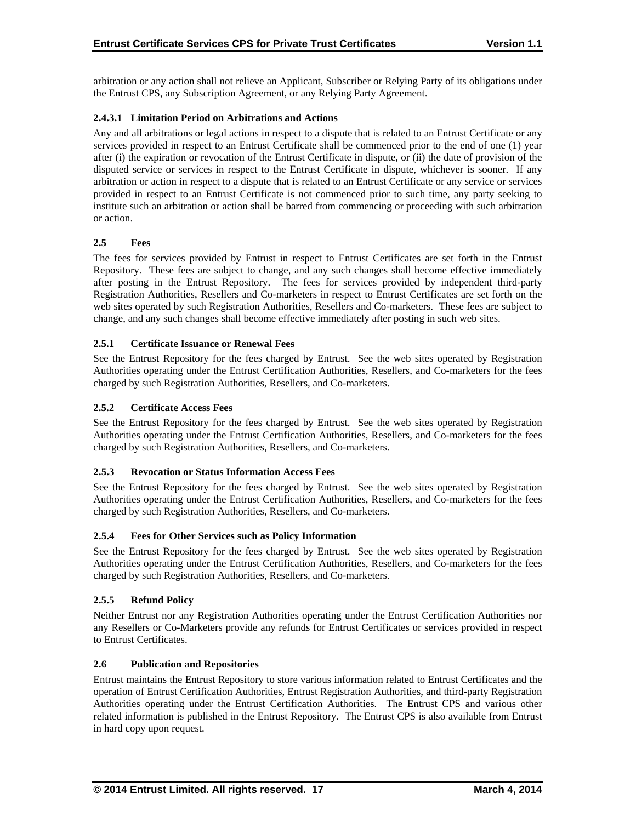arbitration or any action shall not relieve an Applicant, Subscriber or Relying Party of its obligations under the Entrust CPS, any Subscription Agreement, or any Relying Party Agreement.

## **2.4.3.1 Limitation Period on Arbitrations and Actions**

Any and all arbitrations or legal actions in respect to a dispute that is related to an Entrust Certificate or any services provided in respect to an Entrust Certificate shall be commenced prior to the end of one (1) year after (i) the expiration or revocation of the Entrust Certificate in dispute, or (ii) the date of provision of the disputed service or services in respect to the Entrust Certificate in dispute, whichever is sooner. If any arbitration or action in respect to a dispute that is related to an Entrust Certificate or any service or services provided in respect to an Entrust Certificate is not commenced prior to such time, any party seeking to institute such an arbitration or action shall be barred from commencing or proceeding with such arbitration or action.

## **2.5 Fees**

The fees for services provided by Entrust in respect to Entrust Certificates are set forth in the Entrust Repository. These fees are subject to change, and any such changes shall become effective immediately after posting in the Entrust Repository. The fees for services provided by independent third-party Registration Authorities, Resellers and Co-marketers in respect to Entrust Certificates are set forth on the web sites operated by such Registration Authorities, Resellers and Co-marketers. These fees are subject to change, and any such changes shall become effective immediately after posting in such web sites.

## **2.5.1 Certificate Issuance or Renewal Fees**

See the Entrust Repository for the fees charged by Entrust. See the web sites operated by Registration Authorities operating under the Entrust Certification Authorities, Resellers, and Co-marketers for the fees charged by such Registration Authorities, Resellers, and Co-marketers.

## **2.5.2 Certificate Access Fees**

See the Entrust Repository for the fees charged by Entrust. See the web sites operated by Registration Authorities operating under the Entrust Certification Authorities, Resellers, and Co-marketers for the fees charged by such Registration Authorities, Resellers, and Co-marketers.

## **2.5.3 Revocation or Status Information Access Fees**

See the Entrust Repository for the fees charged by Entrust. See the web sites operated by Registration Authorities operating under the Entrust Certification Authorities, Resellers, and Co-marketers for the fees charged by such Registration Authorities, Resellers, and Co-marketers.

## **2.5.4 Fees for Other Services such as Policy Information**

See the Entrust Repository for the fees charged by Entrust. See the web sites operated by Registration Authorities operating under the Entrust Certification Authorities, Resellers, and Co-marketers for the fees charged by such Registration Authorities, Resellers, and Co-marketers.

## **2.5.5 Refund Policy**

Neither Entrust nor any Registration Authorities operating under the Entrust Certification Authorities nor any Resellers or Co-Marketers provide any refunds for Entrust Certificates or services provided in respect to Entrust Certificates.

## **2.6 Publication and Repositories**

Entrust maintains the Entrust Repository to store various information related to Entrust Certificates and the operation of Entrust Certification Authorities, Entrust Registration Authorities, and third-party Registration Authorities operating under the Entrust Certification Authorities. The Entrust CPS and various other related information is published in the Entrust Repository. The Entrust CPS is also available from Entrust in hard copy upon request.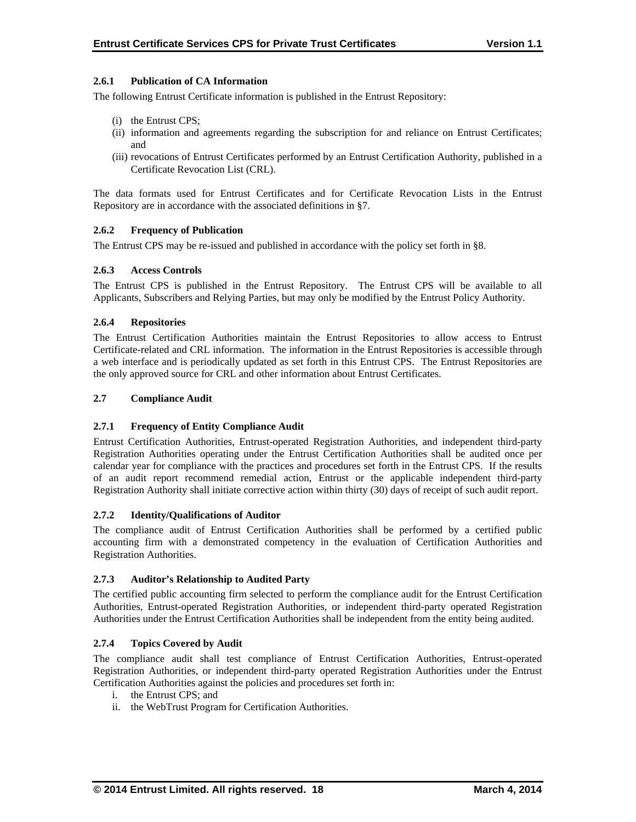## **2.6.1 Publication of CA Information**

The following Entrust Certificate information is published in the Entrust Repository:

- (i) the Entrust CPS;
- (ii) information and agreements regarding the subscription for and reliance on Entrust Certificates; and
- (iii) revocations of Entrust Certificates performed by an Entrust Certification Authority, published in a Certificate Revocation List (CRL).

The data formats used for Entrust Certificates and for Certificate Revocation Lists in the Entrust Repository are in accordance with the associated definitions in §7.

## **2.6.2 Frequency of Publication**

The Entrust CPS may be re-issued and published in accordance with the policy set forth in §8.

## **2.6.3 Access Controls**

The Entrust CPS is published in the Entrust Repository. The Entrust CPS will be available to all Applicants, Subscribers and Relying Parties, but may only be modified by the Entrust Policy Authority.

## **2.6.4 Repositories**

The Entrust Certification Authorities maintain the Entrust Repositories to allow access to Entrust Certificate-related and CRL information. The information in the Entrust Repositories is accessible through a web interface and is periodically updated as set forth in this Entrust CPS. The Entrust Repositories are the only approved source for CRL and other information about Entrust Certificates.

## **2.7 Compliance Audit**

## **2.7.1 Frequency of Entity Compliance Audit**

Entrust Certification Authorities, Entrust-operated Registration Authorities, and independent third-party Registration Authorities operating under the Entrust Certification Authorities shall be audited once per calendar year for compliance with the practices and procedures set forth in the Entrust CPS. If the results of an audit report recommend remedial action, Entrust or the applicable independent third-party Registration Authority shall initiate corrective action within thirty (30) days of receipt of such audit report.

## **2.7.2 Identity/Qualifications of Auditor**

The compliance audit of Entrust Certification Authorities shall be performed by a certified public accounting firm with a demonstrated competency in the evaluation of Certification Authorities and Registration Authorities.

## **2.7.3 Auditor's Relationship to Audited Party**

The certified public accounting firm selected to perform the compliance audit for the Entrust Certification Authorities, Entrust-operated Registration Authorities, or independent third-party operated Registration Authorities under the Entrust Certification Authorities shall be independent from the entity being audited.

## **2.7.4 Topics Covered by Audit**

The compliance audit shall test compliance of Entrust Certification Authorities, Entrust-operated Registration Authorities, or independent third-party operated Registration Authorities under the Entrust Certification Authorities against the policies and procedures set forth in:

- i. the Entrust CPS; and
- ii. the WebTrust Program for Certification Authorities.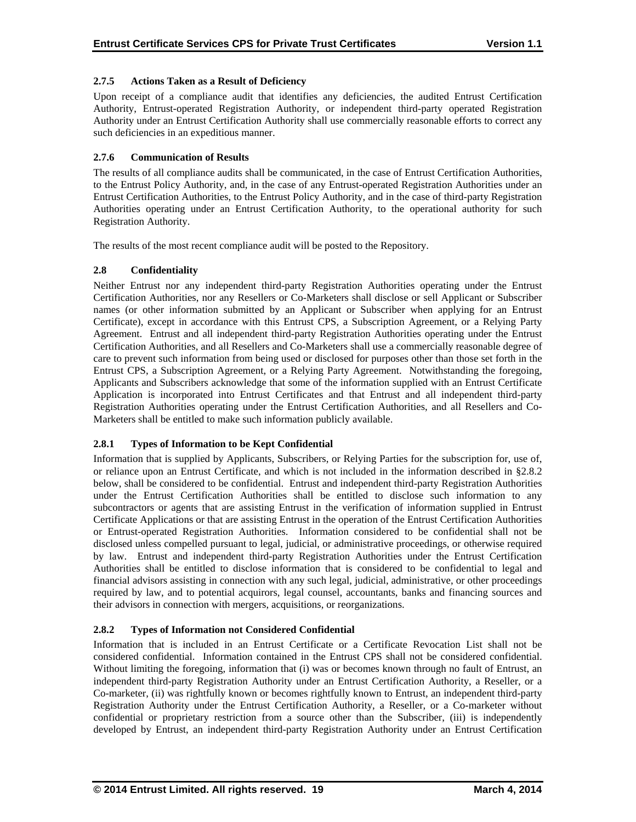## **2.7.5 Actions Taken as a Result of Deficiency**

Upon receipt of a compliance audit that identifies any deficiencies, the audited Entrust Certification Authority, Entrust-operated Registration Authority, or independent third-party operated Registration Authority under an Entrust Certification Authority shall use commercially reasonable efforts to correct any such deficiencies in an expeditious manner.

## **2.7.6 Communication of Results**

The results of all compliance audits shall be communicated, in the case of Entrust Certification Authorities, to the Entrust Policy Authority, and, in the case of any Entrust-operated Registration Authorities under an Entrust Certification Authorities, to the Entrust Policy Authority, and in the case of third-party Registration Authorities operating under an Entrust Certification Authority, to the operational authority for such Registration Authority.

The results of the most recent compliance audit will be posted to the Repository.

## **2.8 Confidentiality**

Neither Entrust nor any independent third-party Registration Authorities operating under the Entrust Certification Authorities, nor any Resellers or Co-Marketers shall disclose or sell Applicant or Subscriber names (or other information submitted by an Applicant or Subscriber when applying for an Entrust Certificate), except in accordance with this Entrust CPS, a Subscription Agreement, or a Relying Party Agreement. Entrust and all independent third-party Registration Authorities operating under the Entrust Certification Authorities, and all Resellers and Co-Marketers shall use a commercially reasonable degree of care to prevent such information from being used or disclosed for purposes other than those set forth in the Entrust CPS, a Subscription Agreement, or a Relying Party Agreement. Notwithstanding the foregoing, Applicants and Subscribers acknowledge that some of the information supplied with an Entrust Certificate Application is incorporated into Entrust Certificates and that Entrust and all independent third-party Registration Authorities operating under the Entrust Certification Authorities, and all Resellers and Co-Marketers shall be entitled to make such information publicly available.

## **2.8.1 Types of Information to be Kept Confidential**

Information that is supplied by Applicants, Subscribers, or Relying Parties for the subscription for, use of, or reliance upon an Entrust Certificate, and which is not included in the information described in §2.8.2 below, shall be considered to be confidential. Entrust and independent third-party Registration Authorities under the Entrust Certification Authorities shall be entitled to disclose such information to any subcontractors or agents that are assisting Entrust in the verification of information supplied in Entrust Certificate Applications or that are assisting Entrust in the operation of the Entrust Certification Authorities or Entrust-operated Registration Authorities. Information considered to be confidential shall not be disclosed unless compelled pursuant to legal, judicial, or administrative proceedings, or otherwise required by law. Entrust and independent third-party Registration Authorities under the Entrust Certification Authorities shall be entitled to disclose information that is considered to be confidential to legal and financial advisors assisting in connection with any such legal, judicial, administrative, or other proceedings required by law, and to potential acquirors, legal counsel, accountants, banks and financing sources and their advisors in connection with mergers, acquisitions, or reorganizations.

## **2.8.2 Types of Information not Considered Confidential**

Information that is included in an Entrust Certificate or a Certificate Revocation List shall not be considered confidential. Information contained in the Entrust CPS shall not be considered confidential. Without limiting the foregoing, information that (i) was or becomes known through no fault of Entrust, an independent third-party Registration Authority under an Entrust Certification Authority, a Reseller, or a Co-marketer, (ii) was rightfully known or becomes rightfully known to Entrust, an independent third-party Registration Authority under the Entrust Certification Authority, a Reseller, or a Co-marketer without confidential or proprietary restriction from a source other than the Subscriber, (iii) is independently developed by Entrust, an independent third-party Registration Authority under an Entrust Certification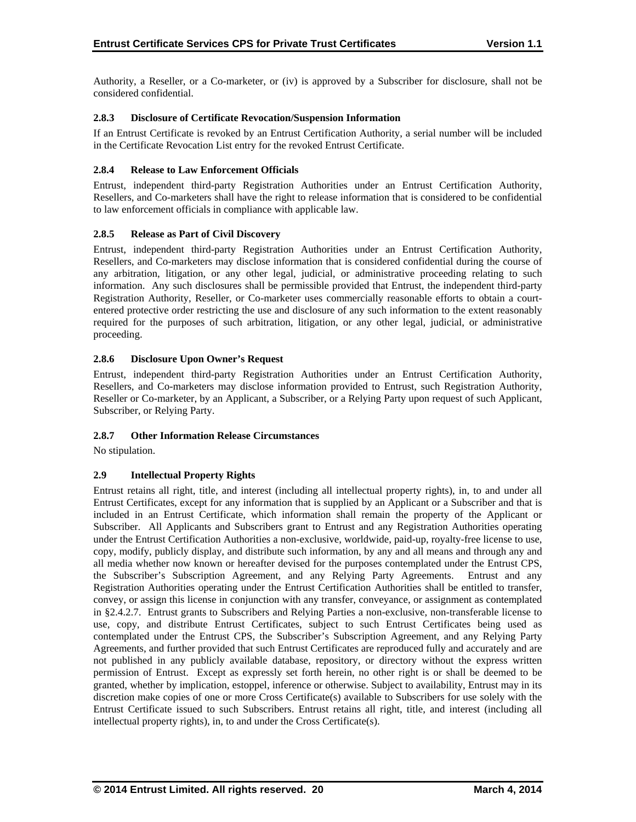Authority, a Reseller, or a Co-marketer, or (iv) is approved by a Subscriber for disclosure, shall not be considered confidential.

## **2.8.3 Disclosure of Certificate Revocation/Suspension Information**

If an Entrust Certificate is revoked by an Entrust Certification Authority, a serial number will be included in the Certificate Revocation List entry for the revoked Entrust Certificate.

## **2.8.4 Release to Law Enforcement Officials**

Entrust, independent third-party Registration Authorities under an Entrust Certification Authority, Resellers, and Co-marketers shall have the right to release information that is considered to be confidential to law enforcement officials in compliance with applicable law.

## **2.8.5 Release as Part of Civil Discovery**

Entrust, independent third-party Registration Authorities under an Entrust Certification Authority, Resellers, and Co-marketers may disclose information that is considered confidential during the course of any arbitration, litigation, or any other legal, judicial, or administrative proceeding relating to such information. Any such disclosures shall be permissible provided that Entrust, the independent third-party Registration Authority, Reseller, or Co-marketer uses commercially reasonable efforts to obtain a courtentered protective order restricting the use and disclosure of any such information to the extent reasonably required for the purposes of such arbitration, litigation, or any other legal, judicial, or administrative proceeding.

## **2.8.6 Disclosure Upon Owner's Request**

Entrust, independent third-party Registration Authorities under an Entrust Certification Authority, Resellers, and Co-marketers may disclose information provided to Entrust, such Registration Authority, Reseller or Co-marketer, by an Applicant, a Subscriber, or a Relying Party upon request of such Applicant, Subscriber, or Relying Party.

## **2.8.7 Other Information Release Circumstances**

No stipulation.

## **2.9 Intellectual Property Rights**

Entrust retains all right, title, and interest (including all intellectual property rights), in, to and under all Entrust Certificates, except for any information that is supplied by an Applicant or a Subscriber and that is included in an Entrust Certificate, which information shall remain the property of the Applicant or Subscriber. All Applicants and Subscribers grant to Entrust and any Registration Authorities operating under the Entrust Certification Authorities a non-exclusive, worldwide, paid-up, royalty-free license to use, copy, modify, publicly display, and distribute such information, by any and all means and through any and all media whether now known or hereafter devised for the purposes contemplated under the Entrust CPS, the Subscriber's Subscription Agreement, and any Relying Party Agreements. Entrust and any Registration Authorities operating under the Entrust Certification Authorities shall be entitled to transfer, convey, or assign this license in conjunction with any transfer, conveyance, or assignment as contemplated in §2.4.2.7. Entrust grants to Subscribers and Relying Parties a non-exclusive, non-transferable license to use, copy, and distribute Entrust Certificates, subject to such Entrust Certificates being used as contemplated under the Entrust CPS, the Subscriber's Subscription Agreement, and any Relying Party Agreements, and further provided that such Entrust Certificates are reproduced fully and accurately and are not published in any publicly available database, repository, or directory without the express written permission of Entrust. Except as expressly set forth herein, no other right is or shall be deemed to be granted, whether by implication, estoppel, inference or otherwise. Subject to availability, Entrust may in its discretion make copies of one or more Cross Certificate(s) available to Subscribers for use solely with the Entrust Certificate issued to such Subscribers. Entrust retains all right, title, and interest (including all intellectual property rights), in, to and under the Cross Certificate(s).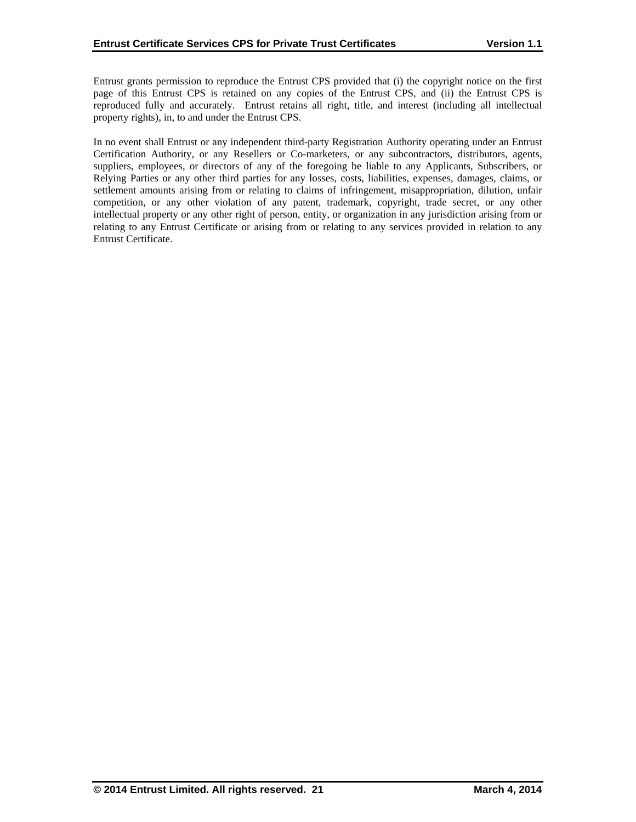Entrust grants permission to reproduce the Entrust CPS provided that (i) the copyright notice on the first page of this Entrust CPS is retained on any copies of the Entrust CPS, and (ii) the Entrust CPS is reproduced fully and accurately. Entrust retains all right, title, and interest (including all intellectual property rights), in, to and under the Entrust CPS.

In no event shall Entrust or any independent third-party Registration Authority operating under an Entrust Certification Authority, or any Resellers or Co-marketers, or any subcontractors, distributors, agents, suppliers, employees, or directors of any of the foregoing be liable to any Applicants, Subscribers, or Relying Parties or any other third parties for any losses, costs, liabilities, expenses, damages, claims, or settlement amounts arising from or relating to claims of infringement, misappropriation, dilution, unfair competition, or any other violation of any patent, trademark, copyright, trade secret, or any other intellectual property or any other right of person, entity, or organization in any jurisdiction arising from or relating to any Entrust Certificate or arising from or relating to any services provided in relation to any Entrust Certificate.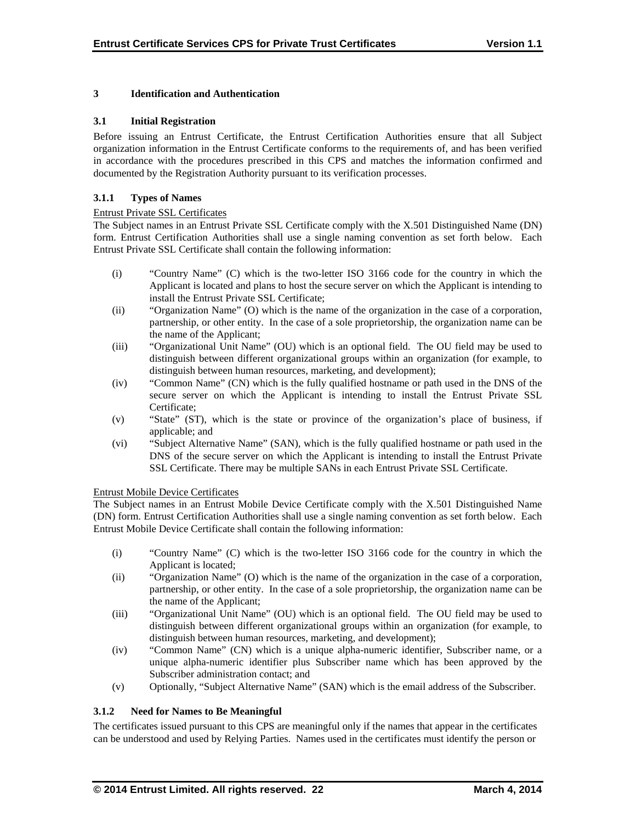## **3 Identification and Authentication**

## **3.1 Initial Registration**

Before issuing an Entrust Certificate, the Entrust Certification Authorities ensure that all Subject organization information in the Entrust Certificate conforms to the requirements of, and has been verified in accordance with the procedures prescribed in this CPS and matches the information confirmed and documented by the Registration Authority pursuant to its verification processes.

## **3.1.1 Types of Names**

## Entrust Private SSL Certificates

The Subject names in an Entrust Private SSL Certificate comply with the X.501 Distinguished Name (DN) form. Entrust Certification Authorities shall use a single naming convention as set forth below. Each Entrust Private SSL Certificate shall contain the following information:

- (i) "Country Name" (C) which is the two-letter ISO 3166 code for the country in which the Applicant is located and plans to host the secure server on which the Applicant is intending to install the Entrust Private SSL Certificate;
- (ii) "Organization Name" (O) which is the name of the organization in the case of a corporation, partnership, or other entity. In the case of a sole proprietorship, the organization name can be the name of the Applicant;
- (iii) "Organizational Unit Name" (OU) which is an optional field. The OU field may be used to distinguish between different organizational groups within an organization (for example, to distinguish between human resources, marketing, and development);
- (iv) "Common Name" (CN) which is the fully qualified hostname or path used in the DNS of the secure server on which the Applicant is intending to install the Entrust Private SSL Certificate;
- (v) "State" (ST), which is the state or province of the organization's place of business, if applicable; and
- (vi) "Subject Alternative Name" (SAN), which is the fully qualified hostname or path used in the DNS of the secure server on which the Applicant is intending to install the Entrust Private SSL Certificate. There may be multiple SANs in each Entrust Private SSL Certificate.

## Entrust Mobile Device Certificates

The Subject names in an Entrust Mobile Device Certificate comply with the X.501 Distinguished Name (DN) form. Entrust Certification Authorities shall use a single naming convention as set forth below. Each Entrust Mobile Device Certificate shall contain the following information:

- (i) "Country Name" (C) which is the two-letter ISO 3166 code for the country in which the Applicant is located;
- (ii) "Organization Name" (O) which is the name of the organization in the case of a corporation, partnership, or other entity. In the case of a sole proprietorship, the organization name can be the name of the Applicant;
- (iii) "Organizational Unit Name" (OU) which is an optional field. The OU field may be used to distinguish between different organizational groups within an organization (for example, to distinguish between human resources, marketing, and development);
- (iv) "Common Name" (CN) which is a unique alpha-numeric identifier, Subscriber name, or a unique alpha-numeric identifier plus Subscriber name which has been approved by the Subscriber administration contact; and
- (v) Optionally, "Subject Alternative Name" (SAN) which is the email address of the Subscriber.

## **3.1.2 Need for Names to Be Meaningful**

The certificates issued pursuant to this CPS are meaningful only if the names that appear in the certificates can be understood and used by Relying Parties. Names used in the certificates must identify the person or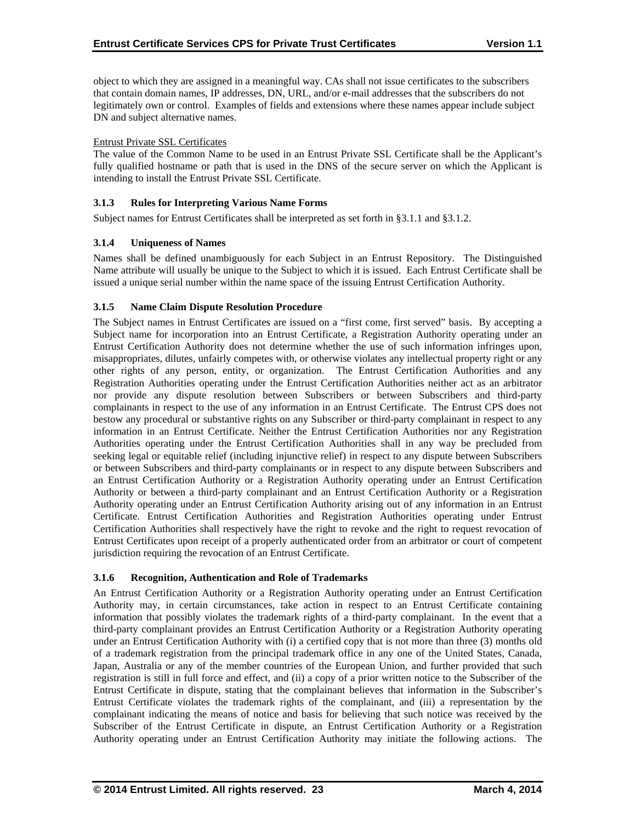object to which they are assigned in a meaningful way. CAs shall not issue certificates to the subscribers that contain domain names, IP addresses, DN, URL, and/or e-mail addresses that the subscribers do not legitimately own or control. Examples of fields and extensions where these names appear include subject DN and subject alternative names.

## Entrust Private SSL Certificates

The value of the Common Name to be used in an Entrust Private SSL Certificate shall be the Applicant's fully qualified hostname or path that is used in the DNS of the secure server on which the Applicant is intending to install the Entrust Private SSL Certificate.

## **3.1.3 Rules for Interpreting Various Name Forms**

Subject names for Entrust Certificates shall be interpreted as set forth in §3.1.1 and §3.1.2.

## **3.1.4 Uniqueness of Names**

Names shall be defined unambiguously for each Subject in an Entrust Repository. The Distinguished Name attribute will usually be unique to the Subject to which it is issued. Each Entrust Certificate shall be issued a unique serial number within the name space of the issuing Entrust Certification Authority.

## **3.1.5 Name Claim Dispute Resolution Procedure**

The Subject names in Entrust Certificates are issued on a "first come, first served" basis. By accepting a Subject name for incorporation into an Entrust Certificate, a Registration Authority operating under an Entrust Certification Authority does not determine whether the use of such information infringes upon, misappropriates, dilutes, unfairly competes with, or otherwise violates any intellectual property right or any other rights of any person, entity, or organization. The Entrust Certification Authorities and any Registration Authorities operating under the Entrust Certification Authorities neither act as an arbitrator nor provide any dispute resolution between Subscribers or between Subscribers and third-party complainants in respect to the use of any information in an Entrust Certificate. The Entrust CPS does not bestow any procedural or substantive rights on any Subscriber or third-party complainant in respect to any information in an Entrust Certificate. Neither the Entrust Certification Authorities nor any Registration Authorities operating under the Entrust Certification Authorities shall in any way be precluded from seeking legal or equitable relief (including injunctive relief) in respect to any dispute between Subscribers or between Subscribers and third-party complainants or in respect to any dispute between Subscribers and an Entrust Certification Authority or a Registration Authority operating under an Entrust Certification Authority or between a third-party complainant and an Entrust Certification Authority or a Registration Authority operating under an Entrust Certification Authority arising out of any information in an Entrust Certificate. Entrust Certification Authorities and Registration Authorities operating under Entrust Certification Authorities shall respectively have the right to revoke and the right to request revocation of Entrust Certificates upon receipt of a properly authenticated order from an arbitrator or court of competent jurisdiction requiring the revocation of an Entrust Certificate.

## **3.1.6 Recognition, Authentication and Role of Trademarks**

An Entrust Certification Authority or a Registration Authority operating under an Entrust Certification Authority may, in certain circumstances, take action in respect to an Entrust Certificate containing information that possibly violates the trademark rights of a third-party complainant. In the event that a third-party complainant provides an Entrust Certification Authority or a Registration Authority operating under an Entrust Certification Authority with (i) a certified copy that is not more than three (3) months old of a trademark registration from the principal trademark office in any one of the United States, Canada, Japan, Australia or any of the member countries of the European Union, and further provided that such registration is still in full force and effect, and (ii) a copy of a prior written notice to the Subscriber of the Entrust Certificate in dispute, stating that the complainant believes that information in the Subscriber's Entrust Certificate violates the trademark rights of the complainant, and (iii) a representation by the complainant indicating the means of notice and basis for believing that such notice was received by the Subscriber of the Entrust Certificate in dispute, an Entrust Certification Authority or a Registration Authority operating under an Entrust Certification Authority may initiate the following actions. The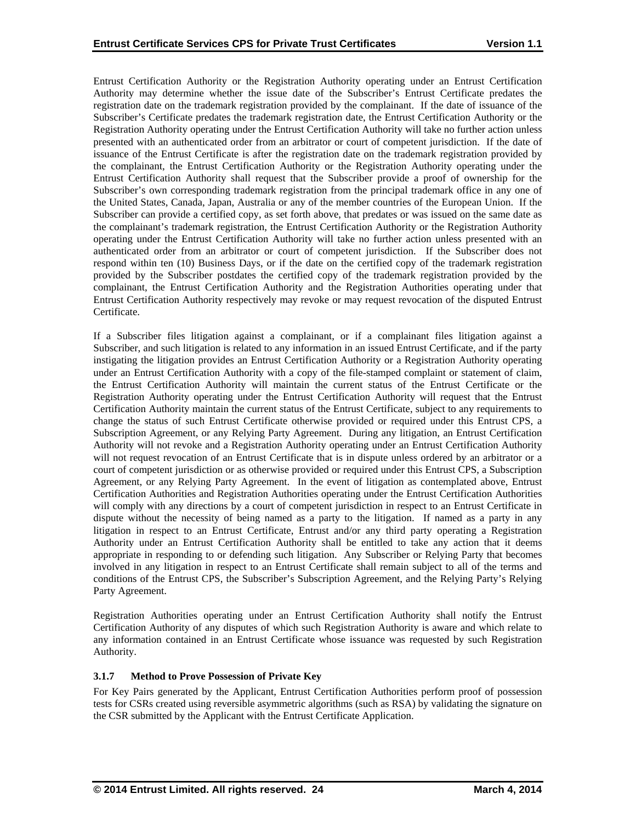Entrust Certification Authority or the Registration Authority operating under an Entrust Certification Authority may determine whether the issue date of the Subscriber's Entrust Certificate predates the registration date on the trademark registration provided by the complainant. If the date of issuance of the Subscriber's Certificate predates the trademark registration date, the Entrust Certification Authority or the Registration Authority operating under the Entrust Certification Authority will take no further action unless presented with an authenticated order from an arbitrator or court of competent jurisdiction. If the date of issuance of the Entrust Certificate is after the registration date on the trademark registration provided by the complainant, the Entrust Certification Authority or the Registration Authority operating under the Entrust Certification Authority shall request that the Subscriber provide a proof of ownership for the Subscriber's own corresponding trademark registration from the principal trademark office in any one of the United States, Canada, Japan, Australia or any of the member countries of the European Union. If the Subscriber can provide a certified copy, as set forth above, that predates or was issued on the same date as the complainant's trademark registration, the Entrust Certification Authority or the Registration Authority operating under the Entrust Certification Authority will take no further action unless presented with an authenticated order from an arbitrator or court of competent jurisdiction. If the Subscriber does not respond within ten (10) Business Days, or if the date on the certified copy of the trademark registration provided by the Subscriber postdates the certified copy of the trademark registration provided by the complainant, the Entrust Certification Authority and the Registration Authorities operating under that Entrust Certification Authority respectively may revoke or may request revocation of the disputed Entrust Certificate.

If a Subscriber files litigation against a complainant, or if a complainant files litigation against a Subscriber, and such litigation is related to any information in an issued Entrust Certificate, and if the party instigating the litigation provides an Entrust Certification Authority or a Registration Authority operating under an Entrust Certification Authority with a copy of the file-stamped complaint or statement of claim, the Entrust Certification Authority will maintain the current status of the Entrust Certificate or the Registration Authority operating under the Entrust Certification Authority will request that the Entrust Certification Authority maintain the current status of the Entrust Certificate, subject to any requirements to change the status of such Entrust Certificate otherwise provided or required under this Entrust CPS, a Subscription Agreement, or any Relying Party Agreement. During any litigation, an Entrust Certification Authority will not revoke and a Registration Authority operating under an Entrust Certification Authority will not request revocation of an Entrust Certificate that is in dispute unless ordered by an arbitrator or a court of competent jurisdiction or as otherwise provided or required under this Entrust CPS, a Subscription Agreement, or any Relying Party Agreement. In the event of litigation as contemplated above, Entrust Certification Authorities and Registration Authorities operating under the Entrust Certification Authorities will comply with any directions by a court of competent jurisdiction in respect to an Entrust Certificate in dispute without the necessity of being named as a party to the litigation. If named as a party in any litigation in respect to an Entrust Certificate, Entrust and/or any third party operating a Registration Authority under an Entrust Certification Authority shall be entitled to take any action that it deems appropriate in responding to or defending such litigation. Any Subscriber or Relying Party that becomes involved in any litigation in respect to an Entrust Certificate shall remain subject to all of the terms and conditions of the Entrust CPS, the Subscriber's Subscription Agreement, and the Relying Party's Relying Party Agreement.

Registration Authorities operating under an Entrust Certification Authority shall notify the Entrust Certification Authority of any disputes of which such Registration Authority is aware and which relate to any information contained in an Entrust Certificate whose issuance was requested by such Registration Authority.

## **3.1.7 Method to Prove Possession of Private Key**

For Key Pairs generated by the Applicant, Entrust Certification Authorities perform proof of possession tests for CSRs created using reversible asymmetric algorithms (such as RSA) by validating the signature on the CSR submitted by the Applicant with the Entrust Certificate Application.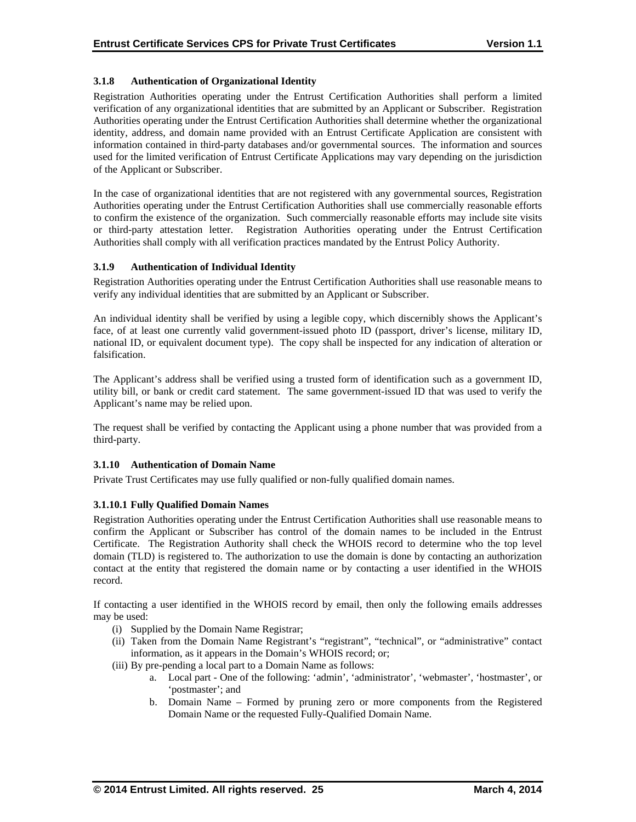## **3.1.8 Authentication of Organizational Identity**

Registration Authorities operating under the Entrust Certification Authorities shall perform a limited verification of any organizational identities that are submitted by an Applicant or Subscriber. Registration Authorities operating under the Entrust Certification Authorities shall determine whether the organizational identity, address, and domain name provided with an Entrust Certificate Application are consistent with information contained in third-party databases and/or governmental sources. The information and sources used for the limited verification of Entrust Certificate Applications may vary depending on the jurisdiction of the Applicant or Subscriber.

In the case of organizational identities that are not registered with any governmental sources, Registration Authorities operating under the Entrust Certification Authorities shall use commercially reasonable efforts to confirm the existence of the organization. Such commercially reasonable efforts may include site visits or third-party attestation letter. Registration Authorities operating under the Entrust Certification Authorities shall comply with all verification practices mandated by the Entrust Policy Authority.

## **3.1.9 Authentication of Individual Identity**

Registration Authorities operating under the Entrust Certification Authorities shall use reasonable means to verify any individual identities that are submitted by an Applicant or Subscriber.

An individual identity shall be verified by using a legible copy, which discernibly shows the Applicant's face, of at least one currently valid government-issued photo ID (passport, driver's license, military ID, national ID, or equivalent document type). The copy shall be inspected for any indication of alteration or falsification.

The Applicant's address shall be verified using a trusted form of identification such as a government ID, utility bill, or bank or credit card statement. The same government-issued ID that was used to verify the Applicant's name may be relied upon.

The request shall be verified by contacting the Applicant using a phone number that was provided from a third-party.

## **3.1.10 Authentication of Domain Name**

Private Trust Certificates may use fully qualified or non-fully qualified domain names.

## **3.1.10.1 Fully Qualified Domain Names**

Registration Authorities operating under the Entrust Certification Authorities shall use reasonable means to confirm the Applicant or Subscriber has control of the domain names to be included in the Entrust Certificate. The Registration Authority shall check the WHOIS record to determine who the top level domain (TLD) is registered to. The authorization to use the domain is done by contacting an authorization contact at the entity that registered the domain name or by contacting a user identified in the WHOIS record.

If contacting a user identified in the WHOIS record by email, then only the following emails addresses may be used:

- (i) Supplied by the Domain Name Registrar;
- (ii) Taken from the Domain Name Registrant's "registrant", "technical", or "administrative" contact information, as it appears in the Domain's WHOIS record; or;
- (iii) By pre-pending a local part to a Domain Name as follows:
	- a. Local part One of the following: 'admin', 'administrator', 'webmaster', 'hostmaster', or 'postmaster'; and
	- b. Domain Name Formed by pruning zero or more components from the Registered Domain Name or the requested Fully-Qualified Domain Name.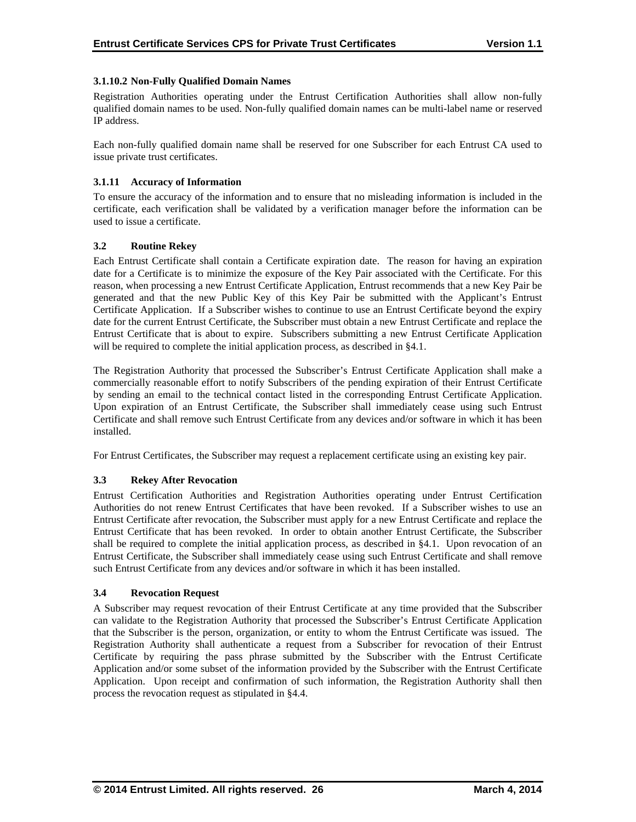## **3.1.10.2 Non-Fully Qualified Domain Names**

Registration Authorities operating under the Entrust Certification Authorities shall allow non-fully qualified domain names to be used. Non-fully qualified domain names can be multi-label name or reserved IP address.

Each non-fully qualified domain name shall be reserved for one Subscriber for each Entrust CA used to issue private trust certificates.

## **3.1.11 Accuracy of Information**

To ensure the accuracy of the information and to ensure that no misleading information is included in the certificate, each verification shall be validated by a verification manager before the information can be used to issue a certificate.

## **3.2 Routine Rekey**

Each Entrust Certificate shall contain a Certificate expiration date. The reason for having an expiration date for a Certificate is to minimize the exposure of the Key Pair associated with the Certificate. For this reason, when processing a new Entrust Certificate Application, Entrust recommends that a new Key Pair be generated and that the new Public Key of this Key Pair be submitted with the Applicant's Entrust Certificate Application. If a Subscriber wishes to continue to use an Entrust Certificate beyond the expiry date for the current Entrust Certificate, the Subscriber must obtain a new Entrust Certificate and replace the Entrust Certificate that is about to expire. Subscribers submitting a new Entrust Certificate Application will be required to complete the initial application process, as described in §4.1.

The Registration Authority that processed the Subscriber's Entrust Certificate Application shall make a commercially reasonable effort to notify Subscribers of the pending expiration of their Entrust Certificate by sending an email to the technical contact listed in the corresponding Entrust Certificate Application. Upon expiration of an Entrust Certificate, the Subscriber shall immediately cease using such Entrust Certificate and shall remove such Entrust Certificate from any devices and/or software in which it has been installed.

For Entrust Certificates, the Subscriber may request a replacement certificate using an existing key pair.

## **3.3 Rekey After Revocation**

Entrust Certification Authorities and Registration Authorities operating under Entrust Certification Authorities do not renew Entrust Certificates that have been revoked. If a Subscriber wishes to use an Entrust Certificate after revocation, the Subscriber must apply for a new Entrust Certificate and replace the Entrust Certificate that has been revoked. In order to obtain another Entrust Certificate, the Subscriber shall be required to complete the initial application process, as described in §4.1. Upon revocation of an Entrust Certificate, the Subscriber shall immediately cease using such Entrust Certificate and shall remove such Entrust Certificate from any devices and/or software in which it has been installed.

## **3.4 Revocation Request**

A Subscriber may request revocation of their Entrust Certificate at any time provided that the Subscriber can validate to the Registration Authority that processed the Subscriber's Entrust Certificate Application that the Subscriber is the person, organization, or entity to whom the Entrust Certificate was issued. The Registration Authority shall authenticate a request from a Subscriber for revocation of their Entrust Certificate by requiring the pass phrase submitted by the Subscriber with the Entrust Certificate Application and/or some subset of the information provided by the Subscriber with the Entrust Certificate Application. Upon receipt and confirmation of such information, the Registration Authority shall then process the revocation request as stipulated in §4.4.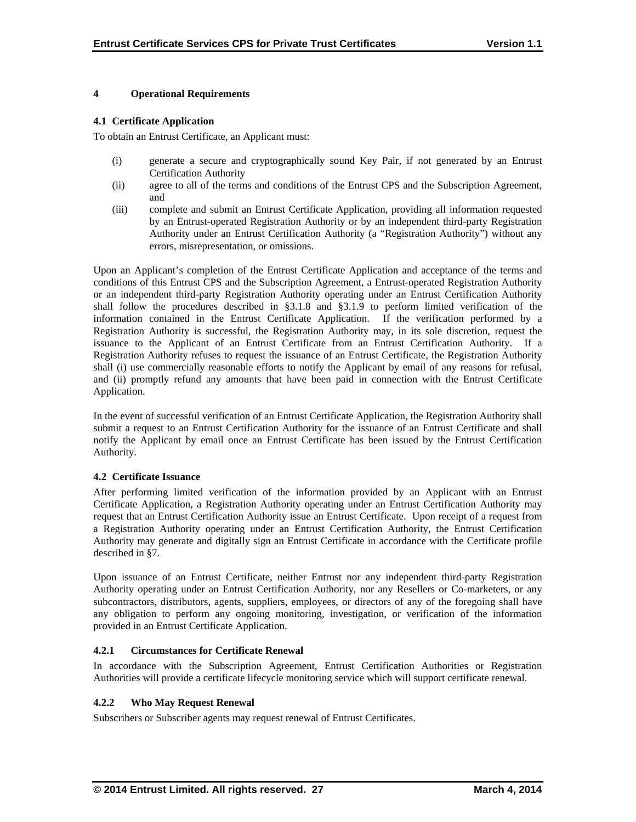## **4 Operational Requirements**

## **4.1 Certificate Application**

To obtain an Entrust Certificate, an Applicant must:

- (i) generate a secure and cryptographically sound Key Pair, if not generated by an Entrust Certification Authority
- (ii) agree to all of the terms and conditions of the Entrust CPS and the Subscription Agreement, and
- (iii) complete and submit an Entrust Certificate Application, providing all information requested by an Entrust-operated Registration Authority or by an independent third-party Registration Authority under an Entrust Certification Authority (a "Registration Authority") without any errors, misrepresentation, or omissions.

Upon an Applicant's completion of the Entrust Certificate Application and acceptance of the terms and conditions of this Entrust CPS and the Subscription Agreement, a Entrust-operated Registration Authority or an independent third-party Registration Authority operating under an Entrust Certification Authority shall follow the procedures described in §3.1.8 and §3.1.9 to perform limited verification of the information contained in the Entrust Certificate Application. If the verification performed by a Registration Authority is successful, the Registration Authority may, in its sole discretion, request the issuance to the Applicant of an Entrust Certificate from an Entrust Certification Authority. If a Registration Authority refuses to request the issuance of an Entrust Certificate, the Registration Authority shall (i) use commercially reasonable efforts to notify the Applicant by email of any reasons for refusal, and (ii) promptly refund any amounts that have been paid in connection with the Entrust Certificate Application.

In the event of successful verification of an Entrust Certificate Application, the Registration Authority shall submit a request to an Entrust Certification Authority for the issuance of an Entrust Certificate and shall notify the Applicant by email once an Entrust Certificate has been issued by the Entrust Certification Authority.

## **4.2 Certificate Issuance**

After performing limited verification of the information provided by an Applicant with an Entrust Certificate Application, a Registration Authority operating under an Entrust Certification Authority may request that an Entrust Certification Authority issue an Entrust Certificate. Upon receipt of a request from a Registration Authority operating under an Entrust Certification Authority, the Entrust Certification Authority may generate and digitally sign an Entrust Certificate in accordance with the Certificate profile described in §7.

Upon issuance of an Entrust Certificate, neither Entrust nor any independent third-party Registration Authority operating under an Entrust Certification Authority, nor any Resellers or Co-marketers, or any subcontractors, distributors, agents, suppliers, employees, or directors of any of the foregoing shall have any obligation to perform any ongoing monitoring, investigation, or verification of the information provided in an Entrust Certificate Application.

## **4.2.1 Circumstances for Certificate Renewal**

In accordance with the Subscription Agreement, Entrust Certification Authorities or Registration Authorities will provide a certificate lifecycle monitoring service which will support certificate renewal.

## **4.2.2 Who May Request Renewal**

Subscribers or Subscriber agents may request renewal of Entrust Certificates.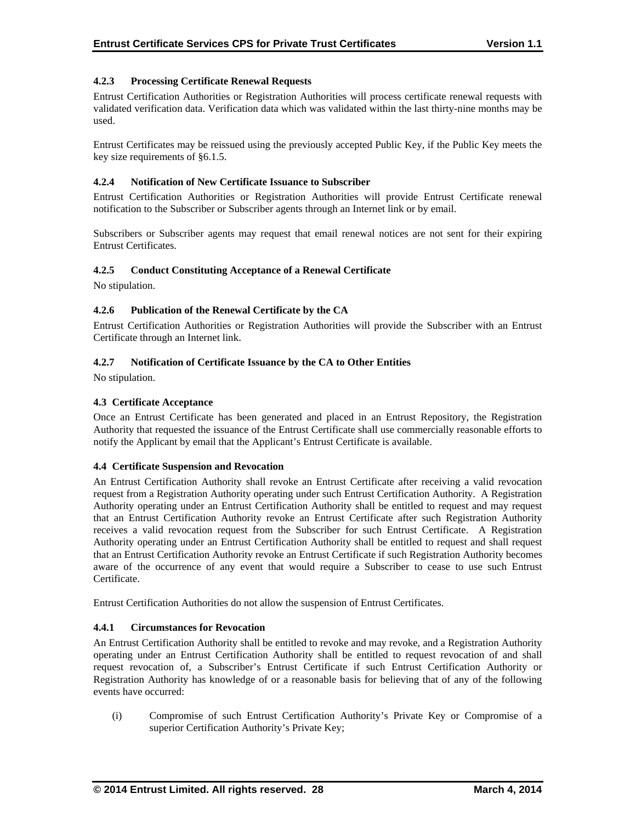## **4.2.3 Processing Certificate Renewal Requests**

Entrust Certification Authorities or Registration Authorities will process certificate renewal requests with validated verification data. Verification data which was validated within the last thirty-nine months may be used.

Entrust Certificates may be reissued using the previously accepted Public Key, if the Public Key meets the key size requirements of §6.1.5.

## **4.2.4 Notification of New Certificate Issuance to Subscriber**

Entrust Certification Authorities or Registration Authorities will provide Entrust Certificate renewal notification to the Subscriber or Subscriber agents through an Internet link or by email.

Subscribers or Subscriber agents may request that email renewal notices are not sent for their expiring Entrust Certificates.

## **4.2.5 Conduct Constituting Acceptance of a Renewal Certificate**

No stipulation.

## **4.2.6 Publication of the Renewal Certificate by the CA**

Entrust Certification Authorities or Registration Authorities will provide the Subscriber with an Entrust Certificate through an Internet link.

## **4.2.7 Notification of Certificate Issuance by the CA to Other Entities**

No stipulation.

## **4.3 Certificate Acceptance**

Once an Entrust Certificate has been generated and placed in an Entrust Repository, the Registration Authority that requested the issuance of the Entrust Certificate shall use commercially reasonable efforts to notify the Applicant by email that the Applicant's Entrust Certificate is available.

## **4.4 Certificate Suspension and Revocation**

An Entrust Certification Authority shall revoke an Entrust Certificate after receiving a valid revocation request from a Registration Authority operating under such Entrust Certification Authority. A Registration Authority operating under an Entrust Certification Authority shall be entitled to request and may request that an Entrust Certification Authority revoke an Entrust Certificate after such Registration Authority receives a valid revocation request from the Subscriber for such Entrust Certificate. A Registration Authority operating under an Entrust Certification Authority shall be entitled to request and shall request that an Entrust Certification Authority revoke an Entrust Certificate if such Registration Authority becomes aware of the occurrence of any event that would require a Subscriber to cease to use such Entrust Certificate.

Entrust Certification Authorities do not allow the suspension of Entrust Certificates.

## **4.4.1 Circumstances for Revocation**

An Entrust Certification Authority shall be entitled to revoke and may revoke, and a Registration Authority operating under an Entrust Certification Authority shall be entitled to request revocation of and shall request revocation of, a Subscriber's Entrust Certificate if such Entrust Certification Authority or Registration Authority has knowledge of or a reasonable basis for believing that of any of the following events have occurred:

(i) Compromise of such Entrust Certification Authority's Private Key or Compromise of a superior Certification Authority's Private Key;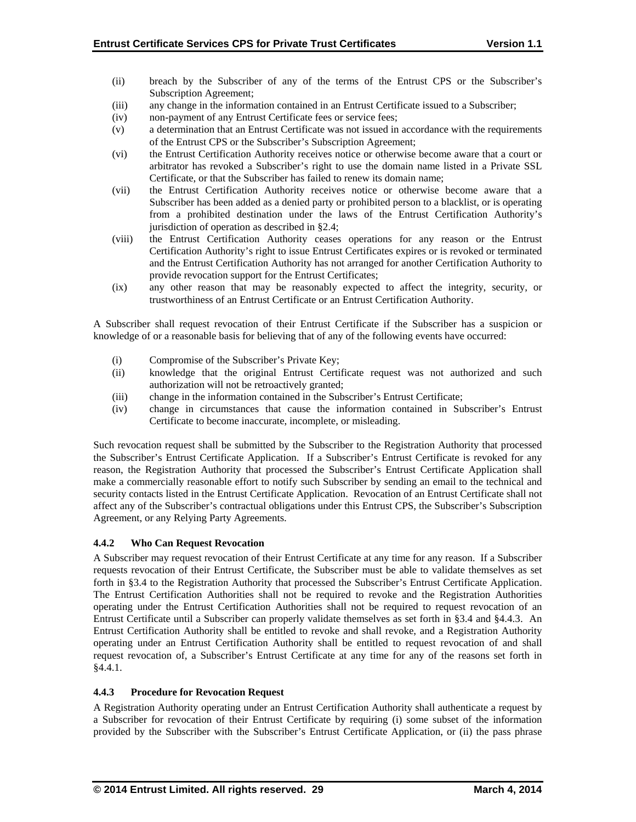- (ii) breach by the Subscriber of any of the terms of the Entrust CPS or the Subscriber's Subscription Agreement;
- (iii) any change in the information contained in an Entrust Certificate issued to a Subscriber;
- (iv) non-payment of any Entrust Certificate fees or service fees;
- (v) a determination that an Entrust Certificate was not issued in accordance with the requirements of the Entrust CPS or the Subscriber's Subscription Agreement;
- (vi) the Entrust Certification Authority receives notice or otherwise become aware that a court or arbitrator has revoked a Subscriber's right to use the domain name listed in a Private SSL Certificate, or that the Subscriber has failed to renew its domain name;
- (vii) the Entrust Certification Authority receives notice or otherwise become aware that a Subscriber has been added as a denied party or prohibited person to a blacklist, or is operating from a prohibited destination under the laws of the Entrust Certification Authority's jurisdiction of operation as described in §2.4;
- (viii) the Entrust Certification Authority ceases operations for any reason or the Entrust Certification Authority's right to issue Entrust Certificates expires or is revoked or terminated and the Entrust Certification Authority has not arranged for another Certification Authority to provide revocation support for the Entrust Certificates;
- (ix) any other reason that may be reasonably expected to affect the integrity, security, or trustworthiness of an Entrust Certificate or an Entrust Certification Authority.

A Subscriber shall request revocation of their Entrust Certificate if the Subscriber has a suspicion or knowledge of or a reasonable basis for believing that of any of the following events have occurred:

- (i) Compromise of the Subscriber's Private Key;
- (ii) knowledge that the original Entrust Certificate request was not authorized and such authorization will not be retroactively granted;
- (iii) change in the information contained in the Subscriber's Entrust Certificate;
- (iv) change in circumstances that cause the information contained in Subscriber's Entrust Certificate to become inaccurate, incomplete, or misleading.

Such revocation request shall be submitted by the Subscriber to the Registration Authority that processed the Subscriber's Entrust Certificate Application. If a Subscriber's Entrust Certificate is revoked for any reason, the Registration Authority that processed the Subscriber's Entrust Certificate Application shall make a commercially reasonable effort to notify such Subscriber by sending an email to the technical and security contacts listed in the Entrust Certificate Application. Revocation of an Entrust Certificate shall not affect any of the Subscriber's contractual obligations under this Entrust CPS, the Subscriber's Subscription Agreement, or any Relying Party Agreements.

## **4.4.2 Who Can Request Revocation**

A Subscriber may request revocation of their Entrust Certificate at any time for any reason. If a Subscriber requests revocation of their Entrust Certificate, the Subscriber must be able to validate themselves as set forth in §3.4 to the Registration Authority that processed the Subscriber's Entrust Certificate Application. The Entrust Certification Authorities shall not be required to revoke and the Registration Authorities operating under the Entrust Certification Authorities shall not be required to request revocation of an Entrust Certificate until a Subscriber can properly validate themselves as set forth in §3.4 and §4.4.3. An Entrust Certification Authority shall be entitled to revoke and shall revoke, and a Registration Authority operating under an Entrust Certification Authority shall be entitled to request revocation of and shall request revocation of, a Subscriber's Entrust Certificate at any time for any of the reasons set forth in §4.4.1.

## **4.4.3 Procedure for Revocation Request**

A Registration Authority operating under an Entrust Certification Authority shall authenticate a request by a Subscriber for revocation of their Entrust Certificate by requiring (i) some subset of the information provided by the Subscriber with the Subscriber's Entrust Certificate Application, or (ii) the pass phrase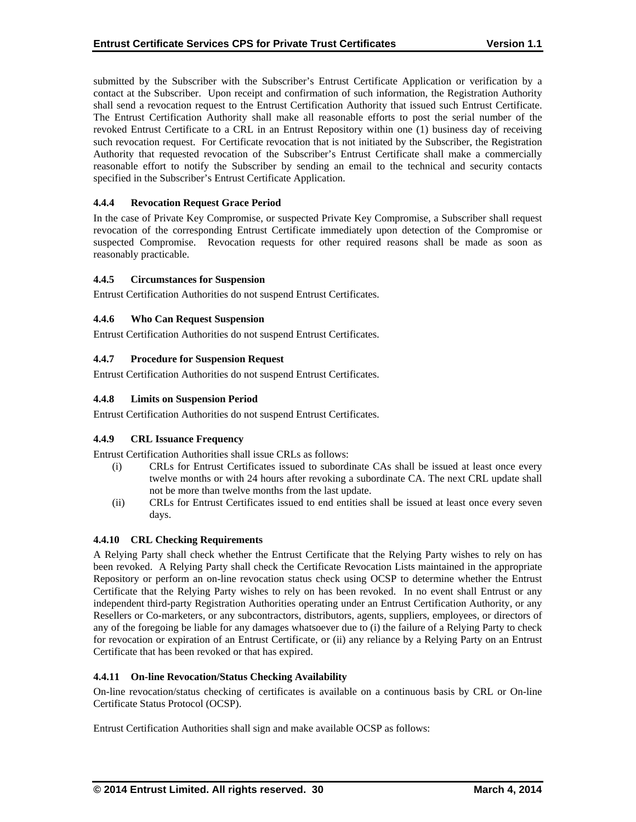submitted by the Subscriber with the Subscriber's Entrust Certificate Application or verification by a contact at the Subscriber. Upon receipt and confirmation of such information, the Registration Authority shall send a revocation request to the Entrust Certification Authority that issued such Entrust Certificate. The Entrust Certification Authority shall make all reasonable efforts to post the serial number of the revoked Entrust Certificate to a CRL in an Entrust Repository within one (1) business day of receiving such revocation request. For Certificate revocation that is not initiated by the Subscriber, the Registration Authority that requested revocation of the Subscriber's Entrust Certificate shall make a commercially reasonable effort to notify the Subscriber by sending an email to the technical and security contacts specified in the Subscriber's Entrust Certificate Application.

## **4.4.4 Revocation Request Grace Period**

In the case of Private Key Compromise, or suspected Private Key Compromise, a Subscriber shall request revocation of the corresponding Entrust Certificate immediately upon detection of the Compromise or suspected Compromise. Revocation requests for other required reasons shall be made as soon as reasonably practicable.

## **4.4.5 Circumstances for Suspension**

Entrust Certification Authorities do not suspend Entrust Certificates.

## **4.4.6 Who Can Request Suspension**

Entrust Certification Authorities do not suspend Entrust Certificates.

## **4.4.7 Procedure for Suspension Request**

Entrust Certification Authorities do not suspend Entrust Certificates.

## **4.4.8 Limits on Suspension Period**

Entrust Certification Authorities do not suspend Entrust Certificates.

## **4.4.9 CRL Issuance Frequency**

Entrust Certification Authorities shall issue CRLs as follows:

- (i) CRLs for Entrust Certificates issued to subordinate CAs shall be issued at least once every twelve months or with 24 hours after revoking a subordinate CA. The next CRL update shall not be more than twelve months from the last update.
- (ii) CRLs for Entrust Certificates issued to end entities shall be issued at least once every seven days.

## **4.4.10 CRL Checking Requirements**

A Relying Party shall check whether the Entrust Certificate that the Relying Party wishes to rely on has been revoked. A Relying Party shall check the Certificate Revocation Lists maintained in the appropriate Repository or perform an on-line revocation status check using OCSP to determine whether the Entrust Certificate that the Relying Party wishes to rely on has been revoked. In no event shall Entrust or any independent third-party Registration Authorities operating under an Entrust Certification Authority, or any Resellers or Co-marketers, or any subcontractors, distributors, agents, suppliers, employees, or directors of any of the foregoing be liable for any damages whatsoever due to (i) the failure of a Relying Party to check for revocation or expiration of an Entrust Certificate, or (ii) any reliance by a Relying Party on an Entrust Certificate that has been revoked or that has expired.

## **4.4.11 On-line Revocation/Status Checking Availability**

On-line revocation/status checking of certificates is available on a continuous basis by CRL or On-line Certificate Status Protocol (OCSP).

Entrust Certification Authorities shall sign and make available OCSP as follows: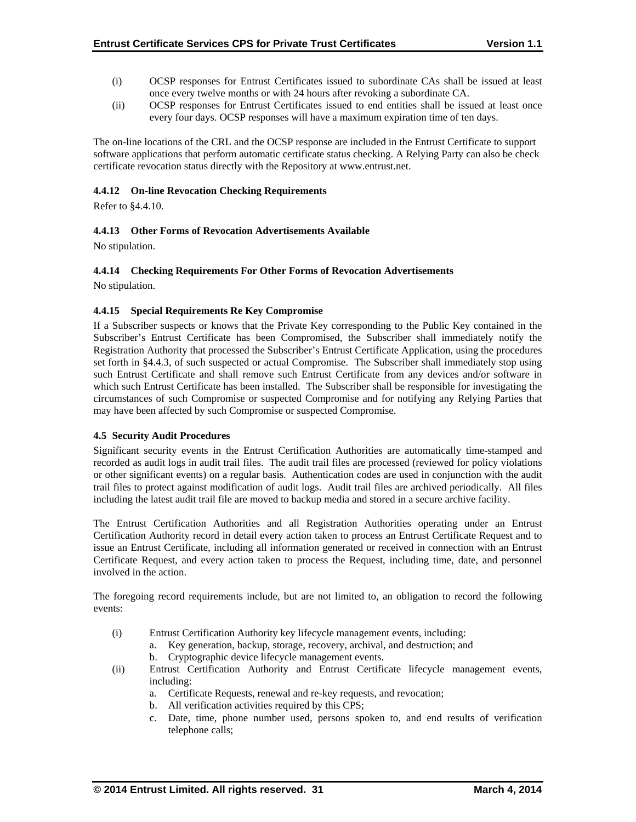- (i) OCSP responses for Entrust Certificates issued to subordinate CAs shall be issued at least once every twelve months or with 24 hours after revoking a subordinate CA.
- (ii) OCSP responses for Entrust Certificates issued to end entities shall be issued at least once every four days. OCSP responses will have a maximum expiration time of ten days.

The on-line locations of the CRL and the OCSP response are included in the Entrust Certificate to support software applications that perform automatic certificate status checking. A Relying Party can also be check certificate revocation status directly with the Repository at www.entrust.net.

## **4.4.12 On-line Revocation Checking Requirements**

Refer to §4.4.10.

## **4.4.13 Other Forms of Revocation Advertisements Available**

No stipulation.

## **4.4.14 Checking Requirements For Other Forms of Revocation Advertisements**

No stipulation.

## **4.4.15 Special Requirements Re Key Compromise**

If a Subscriber suspects or knows that the Private Key corresponding to the Public Key contained in the Subscriber's Entrust Certificate has been Compromised, the Subscriber shall immediately notify the Registration Authority that processed the Subscriber's Entrust Certificate Application, using the procedures set forth in §4.4.3, of such suspected or actual Compromise. The Subscriber shall immediately stop using such Entrust Certificate and shall remove such Entrust Certificate from any devices and/or software in which such Entrust Certificate has been installed. The Subscriber shall be responsible for investigating the circumstances of such Compromise or suspected Compromise and for notifying any Relying Parties that may have been affected by such Compromise or suspected Compromise.

## **4.5 Security Audit Procedures**

Significant security events in the Entrust Certification Authorities are automatically time-stamped and recorded as audit logs in audit trail files. The audit trail files are processed (reviewed for policy violations or other significant events) on a regular basis. Authentication codes are used in conjunction with the audit trail files to protect against modification of audit logs. Audit trail files are archived periodically. All files including the latest audit trail file are moved to backup media and stored in a secure archive facility.

The Entrust Certification Authorities and all Registration Authorities operating under an Entrust Certification Authority record in detail every action taken to process an Entrust Certificate Request and to issue an Entrust Certificate, including all information generated or received in connection with an Entrust Certificate Request, and every action taken to process the Request, including time, date, and personnel involved in the action.

The foregoing record requirements include, but are not limited to, an obligation to record the following events:

- (i) Entrust Certification Authority key lifecycle management events, including:
	- a. Key generation, backup, storage, recovery, archival, and destruction; and
		- b. Cryptographic device lifecycle management events.
- (ii) Entrust Certification Authority and Entrust Certificate lifecycle management events, including:
	- a. Certificate Requests, renewal and re-key requests, and revocation;
	- b. All verification activities required by this CPS;
	- c. Date, time, phone number used, persons spoken to, and end results of verification telephone calls;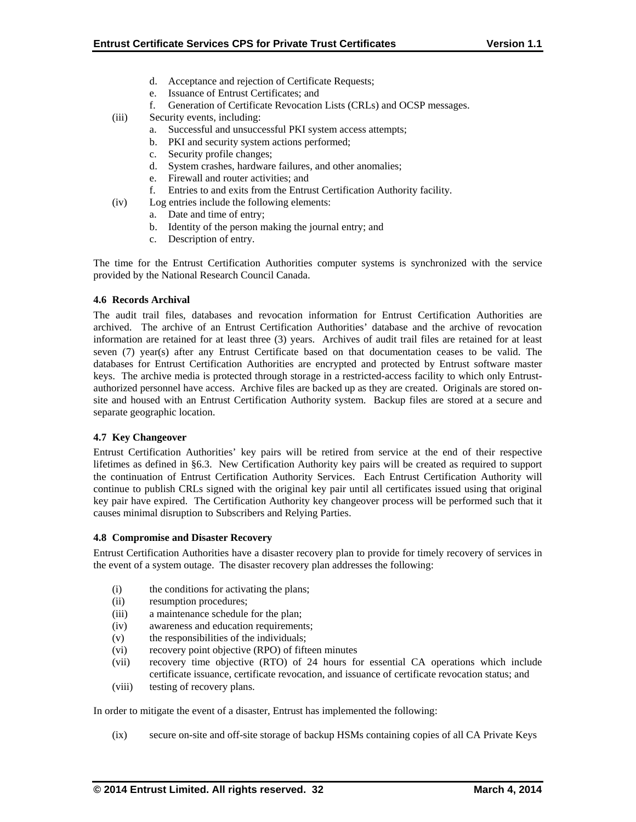- d. Acceptance and rejection of Certificate Requests;
- e. Issuance of Entrust Certificates; and
- f. Generation of Certificate Revocation Lists (CRLs) and OCSP messages.
- (iii) Security events, including:
	- a. Successful and unsuccessful PKI system access attempts;
	- b. PKI and security system actions performed;
	- c. Security profile changes;
	- d. System crashes, hardware failures, and other anomalies;
	- e. Firewall and router activities; and
	- f. Entries to and exits from the Entrust Certification Authority facility.
- (iv) Log entries include the following elements:
	- a. Date and time of entry;
		- b. Identity of the person making the journal entry; and
	- c. Description of entry.

The time for the Entrust Certification Authorities computer systems is synchronized with the service provided by the National Research Council Canada.

## **4.6 Records Archival**

The audit trail files, databases and revocation information for Entrust Certification Authorities are archived. The archive of an Entrust Certification Authorities' database and the archive of revocation information are retained for at least three (3) years. Archives of audit trail files are retained for at least seven (7) year(s) after any Entrust Certificate based on that documentation ceases to be valid. The databases for Entrust Certification Authorities are encrypted and protected by Entrust software master keys. The archive media is protected through storage in a restricted-access facility to which only Entrustauthorized personnel have access. Archive files are backed up as they are created. Originals are stored onsite and housed with an Entrust Certification Authority system. Backup files are stored at a secure and separate geographic location.

## **4.7 Key Changeover**

Entrust Certification Authorities' key pairs will be retired from service at the end of their respective lifetimes as defined in §6.3. New Certification Authority key pairs will be created as required to support the continuation of Entrust Certification Authority Services. Each Entrust Certification Authority will continue to publish CRLs signed with the original key pair until all certificates issued using that original key pair have expired. The Certification Authority key changeover process will be performed such that it causes minimal disruption to Subscribers and Relying Parties.

## **4.8 Compromise and Disaster Recovery**

Entrust Certification Authorities have a disaster recovery plan to provide for timely recovery of services in the event of a system outage. The disaster recovery plan addresses the following:

- (i) the conditions for activating the plans;
- (ii) resumption procedures;
- (iii) a maintenance schedule for the plan;
- (iv) awareness and education requirements;
- (v) the responsibilities of the individuals;
- (vi) recovery point objective (RPO) of fifteen minutes
- (vii) recovery time objective (RTO) of 24 hours for essential CA operations which include certificate issuance, certificate revocation, and issuance of certificate revocation status; and
- (viii) testing of recovery plans.

In order to mitigate the event of a disaster, Entrust has implemented the following:

(ix) secure on-site and off-site storage of backup HSMs containing copies of all CA Private Keys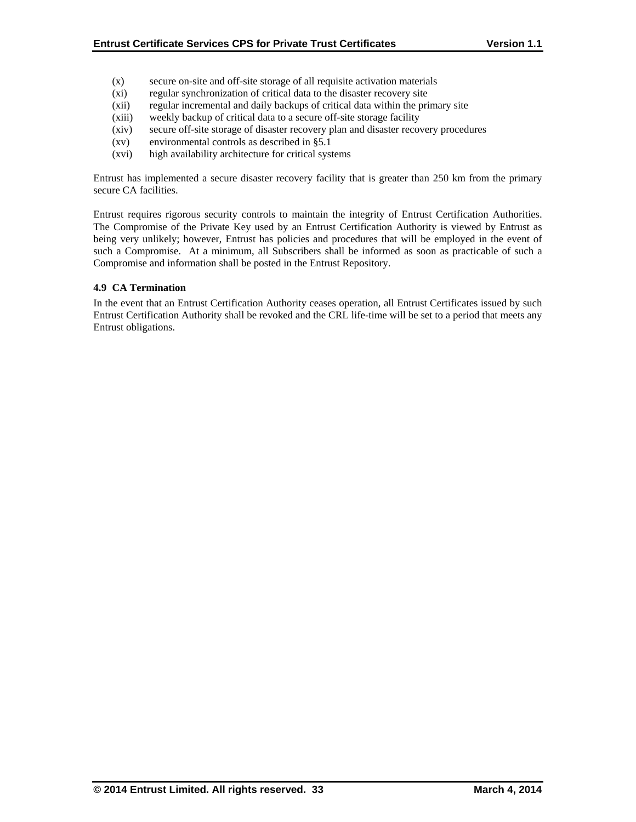- (x) secure on-site and off-site storage of all requisite activation materials
- (xi) regular synchronization of critical data to the disaster recovery site
- (xii) regular incremental and daily backups of critical data within the primary site
- (xiii) weekly backup of critical data to a secure off-site storage facility
- (xiv) secure off-site storage of disaster recovery plan and disaster recovery procedures
- (xv) environmental controls as described in §5.1
- (xvi) high availability architecture for critical systems

Entrust has implemented a secure disaster recovery facility that is greater than 250 km from the primary secure CA facilities.

Entrust requires rigorous security controls to maintain the integrity of Entrust Certification Authorities. The Compromise of the Private Key used by an Entrust Certification Authority is viewed by Entrust as being very unlikely; however, Entrust has policies and procedures that will be employed in the event of such a Compromise. At a minimum, all Subscribers shall be informed as soon as practicable of such a Compromise and information shall be posted in the Entrust Repository.

## **4.9 CA Termination**

In the event that an Entrust Certification Authority ceases operation, all Entrust Certificates issued by such Entrust Certification Authority shall be revoked and the CRL life-time will be set to a period that meets any Entrust obligations.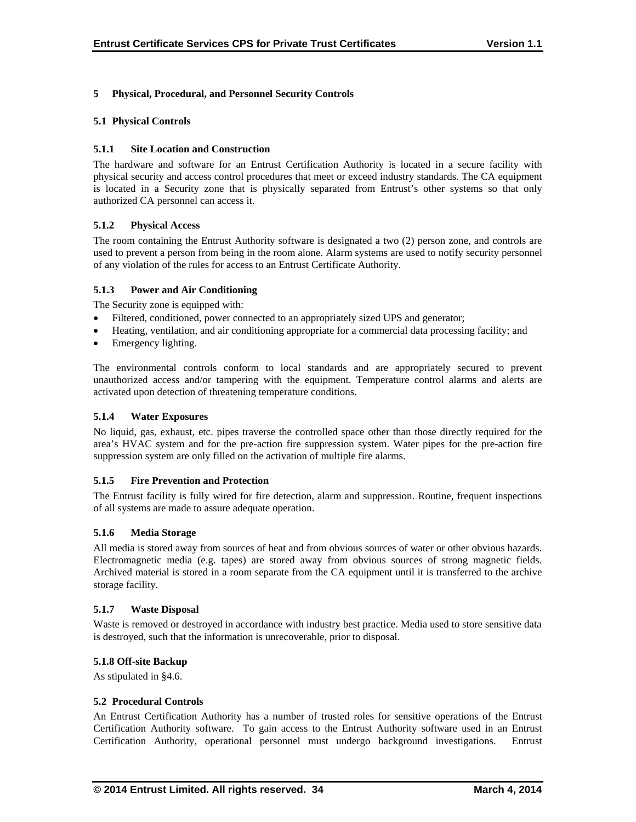## **5 Physical, Procedural, and Personnel Security Controls**

## **5.1 Physical Controls**

## **5.1.1 Site Location and Construction**

The hardware and software for an Entrust Certification Authority is located in a secure facility with physical security and access control procedures that meet or exceed industry standards. The CA equipment is located in a Security zone that is physically separated from Entrust's other systems so that only authorized CA personnel can access it.

## **5.1.2 Physical Access**

The room containing the Entrust Authority software is designated a two (2) person zone, and controls are used to prevent a person from being in the room alone. Alarm systems are used to notify security personnel of any violation of the rules for access to an Entrust Certificate Authority.

## **5.1.3 Power and Air Conditioning**

The Security zone is equipped with:

- Filtered, conditioned, power connected to an appropriately sized UPS and generator;
- Heating, ventilation, and air conditioning appropriate for a commercial data processing facility; and
- Emergency lighting.

The environmental controls conform to local standards and are appropriately secured to prevent unauthorized access and/or tampering with the equipment. Temperature control alarms and alerts are activated upon detection of threatening temperature conditions.

## **5.1.4 Water Exposures**

No liquid, gas, exhaust, etc. pipes traverse the controlled space other than those directly required for the area's HVAC system and for the pre-action fire suppression system. Water pipes for the pre-action fire suppression system are only filled on the activation of multiple fire alarms.

## **5.1.5 Fire Prevention and Protection**

The Entrust facility is fully wired for fire detection, alarm and suppression. Routine, frequent inspections of all systems are made to assure adequate operation.

## **5.1.6 Media Storage**

All media is stored away from sources of heat and from obvious sources of water or other obvious hazards. Electromagnetic media (e.g. tapes) are stored away from obvious sources of strong magnetic fields. Archived material is stored in a room separate from the CA equipment until it is transferred to the archive storage facility.

#### **5.1.7 Waste Disposal**

Waste is removed or destroyed in accordance with industry best practice. Media used to store sensitive data is destroyed, such that the information is unrecoverable, prior to disposal.

## **5.1.8 Off-site Backup**

As stipulated in §4.6.

## **5.2 Procedural Controls**

An Entrust Certification Authority has a number of trusted roles for sensitive operations of the Entrust Certification Authority software. To gain access to the Entrust Authority software used in an Entrust Certification Authority, operational personnel must undergo background investigations. Entrust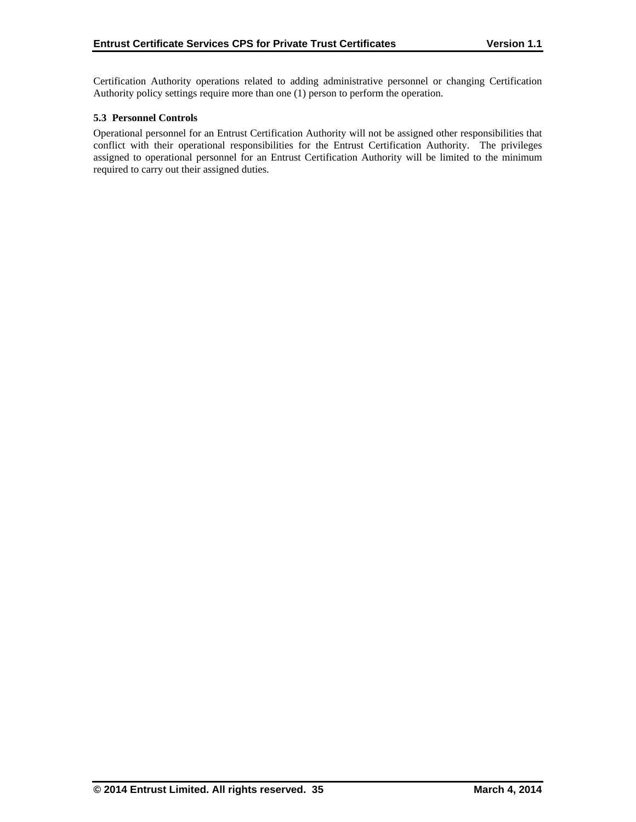Certification Authority operations related to adding administrative personnel or changing Certification Authority policy settings require more than one (1) person to perform the operation.

## **5.3 Personnel Controls**

Operational personnel for an Entrust Certification Authority will not be assigned other responsibilities that conflict with their operational responsibilities for the Entrust Certification Authority. The privileges assigned to operational personnel for an Entrust Certification Authority will be limited to the minimum required to carry out their assigned duties.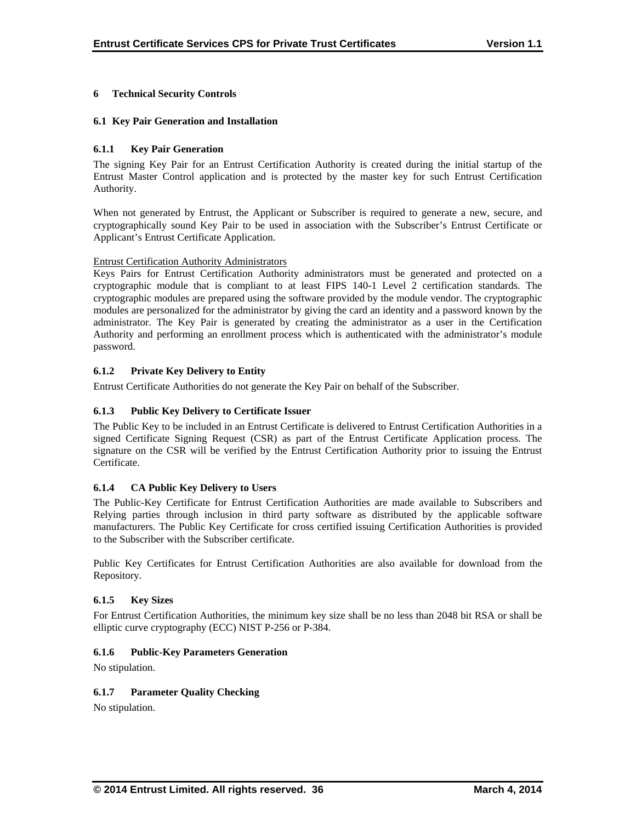## **6 Technical Security Controls**

## **6.1 Key Pair Generation and Installation**

## **6.1.1 Key Pair Generation**

The signing Key Pair for an Entrust Certification Authority is created during the initial startup of the Entrust Master Control application and is protected by the master key for such Entrust Certification Authority.

When not generated by Entrust, the Applicant or Subscriber is required to generate a new, secure, and cryptographically sound Key Pair to be used in association with the Subscriber's Entrust Certificate or Applicant's Entrust Certificate Application.

## Entrust Certification Authority Administrators

Keys Pairs for Entrust Certification Authority administrators must be generated and protected on a cryptographic module that is compliant to at least FIPS 140-1 Level 2 certification standards. The cryptographic modules are prepared using the software provided by the module vendor. The cryptographic modules are personalized for the administrator by giving the card an identity and a password known by the administrator. The Key Pair is generated by creating the administrator as a user in the Certification Authority and performing an enrollment process which is authenticated with the administrator's module password.

## **6.1.2 Private Key Delivery to Entity**

Entrust Certificate Authorities do not generate the Key Pair on behalf of the Subscriber.

## **6.1.3 Public Key Delivery to Certificate Issuer**

The Public Key to be included in an Entrust Certificate is delivered to Entrust Certification Authorities in a signed Certificate Signing Request (CSR) as part of the Entrust Certificate Application process. The signature on the CSR will be verified by the Entrust Certification Authority prior to issuing the Entrust Certificate.

## **6.1.4 CA Public Key Delivery to Users**

The Public-Key Certificate for Entrust Certification Authorities are made available to Subscribers and Relying parties through inclusion in third party software as distributed by the applicable software manufacturers. The Public Key Certificate for cross certified issuing Certification Authorities is provided to the Subscriber with the Subscriber certificate.

Public Key Certificates for Entrust Certification Authorities are also available for download from the Repository.

## **6.1.5 Key Sizes**

For Entrust Certification Authorities, the minimum key size shall be no less than 2048 bit RSA or shall be elliptic curve cryptography (ECC) NIST P-256 or P-384.

## **6.1.6 Public-Key Parameters Generation**

No stipulation.

## **6.1.7 Parameter Quality Checking**

No stipulation.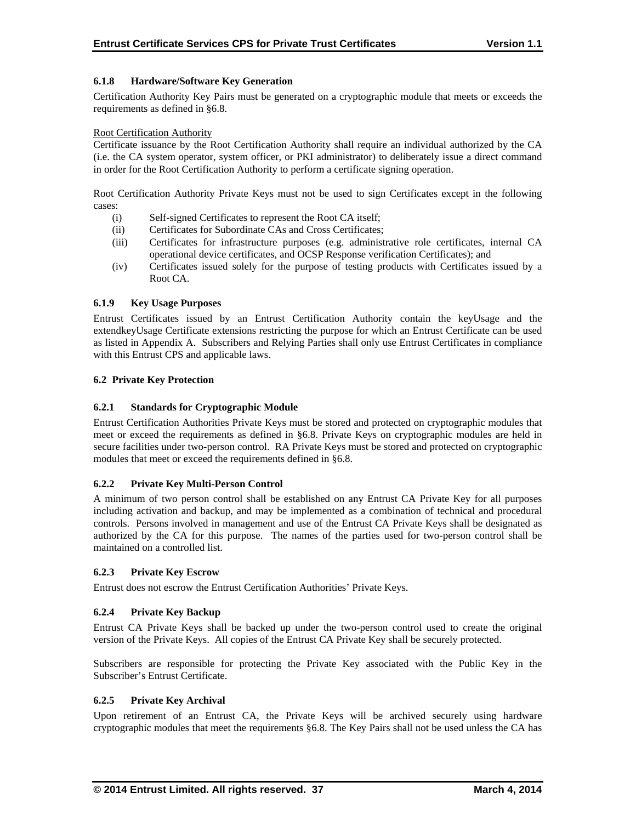## **6.1.8 Hardware/Software Key Generation**

Certification Authority Key Pairs must be generated on a cryptographic module that meets or exceeds the requirements as defined in §6.8.

#### Root Certification Authority

Certificate issuance by the Root Certification Authority shall require an individual authorized by the CA (i.e. the CA system operator, system officer, or PKI administrator) to deliberately issue a direct command in order for the Root Certification Authority to perform a certificate signing operation.

Root Certification Authority Private Keys must not be used to sign Certificates except in the following cases:

- (i) Self-signed Certificates to represent the Root CA itself;
- (ii) Certificates for Subordinate CAs and Cross Certificates;
- (iii) Certificates for infrastructure purposes (e.g. administrative role certificates, internal CA operational device certificates, and OCSP Response verification Certificates); and
- (iv) Certificates issued solely for the purpose of testing products with Certificates issued by a Root CA.

## **6.1.9 Key Usage Purposes**

Entrust Certificates issued by an Entrust Certification Authority contain the keyUsage and the extendkeyUsage Certificate extensions restricting the purpose for which an Entrust Certificate can be used as listed in Appendix A. Subscribers and Relying Parties shall only use Entrust Certificates in compliance with this Entrust CPS and applicable laws.

#### **6.2 Private Key Protection**

## **6.2.1 Standards for Cryptographic Module**

Entrust Certification Authorities Private Keys must be stored and protected on cryptographic modules that meet or exceed the requirements as defined in §6.8. Private Keys on cryptographic modules are held in secure facilities under two-person control. RA Private Keys must be stored and protected on cryptographic modules that meet or exceed the requirements defined in §6.8.

## **6.2.2 Private Key Multi-Person Control**

A minimum of two person control shall be established on any Entrust CA Private Key for all purposes including activation and backup, and may be implemented as a combination of technical and procedural controls. Persons involved in management and use of the Entrust CA Private Keys shall be designated as authorized by the CA for this purpose. The names of the parties used for two-person control shall be maintained on a controlled list.

#### **6.2.3 Private Key Escrow**

Entrust does not escrow the Entrust Certification Authorities' Private Keys.

## **6.2.4 Private Key Backup**

Entrust CA Private Keys shall be backed up under the two-person control used to create the original version of the Private Keys. All copies of the Entrust CA Private Key shall be securely protected.

Subscribers are responsible for protecting the Private Key associated with the Public Key in the Subscriber's Entrust Certificate.

#### **6.2.5 Private Key Archival**

Upon retirement of an Entrust CA, the Private Keys will be archived securely using hardware cryptographic modules that meet the requirements §6.8. The Key Pairs shall not be used unless the CA has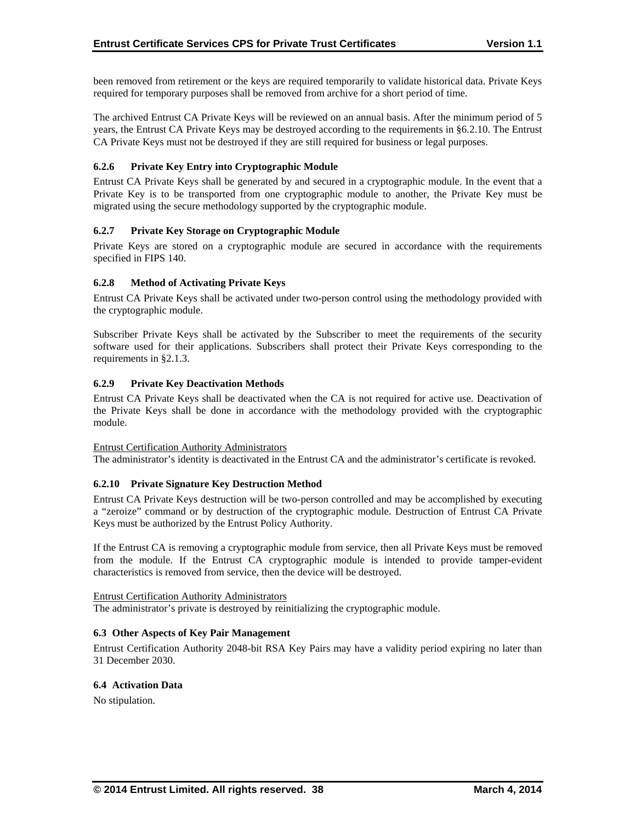been removed from retirement or the keys are required temporarily to validate historical data. Private Keys required for temporary purposes shall be removed from archive for a short period of time.

The archived Entrust CA Private Keys will be reviewed on an annual basis. After the minimum period of 5 years, the Entrust CA Private Keys may be destroyed according to the requirements in §6.2.10. The Entrust CA Private Keys must not be destroyed if they are still required for business or legal purposes.

## **6.2.6 Private Key Entry into Cryptographic Module**

Entrust CA Private Keys shall be generated by and secured in a cryptographic module. In the event that a Private Key is to be transported from one cryptographic module to another, the Private Key must be migrated using the secure methodology supported by the cryptographic module.

## **6.2.7 Private Key Storage on Cryptographic Module**

Private Keys are stored on a cryptographic module are secured in accordance with the requirements specified in FIPS 140.

## **6.2.8 Method of Activating Private Keys**

Entrust CA Private Keys shall be activated under two-person control using the methodology provided with the cryptographic module.

Subscriber Private Keys shall be activated by the Subscriber to meet the requirements of the security software used for their applications. Subscribers shall protect their Private Keys corresponding to the requirements in §2.1.3.

## **6.2.9 Private Key Deactivation Methods**

Entrust CA Private Keys shall be deactivated when the CA is not required for active use. Deactivation of the Private Keys shall be done in accordance with the methodology provided with the cryptographic module.

## Entrust Certification Authority Administrators

The administrator's identity is deactivated in the Entrust CA and the administrator's certificate is revoked.

## **6.2.10 Private Signature Key Destruction Method**

Entrust CA Private Keys destruction will be two-person controlled and may be accomplished by executing a "zeroize" command or by destruction of the cryptographic module. Destruction of Entrust CA Private Keys must be authorized by the Entrust Policy Authority.

If the Entrust CA is removing a cryptographic module from service, then all Private Keys must be removed from the module. If the Entrust CA cryptographic module is intended to provide tamper-evident characteristics is removed from service, then the device will be destroyed.

## Entrust Certification Authority Administrators

The administrator's private is destroyed by reinitializing the cryptographic module.

## **6.3 Other Aspects of Key Pair Management**

Entrust Certification Authority 2048-bit RSA Key Pairs may have a validity period expiring no later than 31 December 2030.

## **6.4 Activation Data**

No stipulation.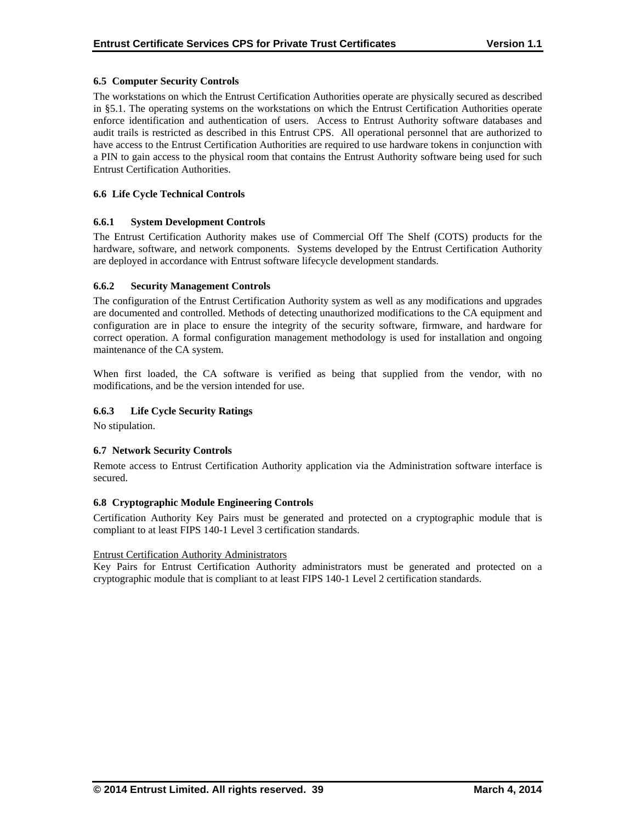## **6.5 Computer Security Controls**

The workstations on which the Entrust Certification Authorities operate are physically secured as described in §5.1. The operating systems on the workstations on which the Entrust Certification Authorities operate enforce identification and authentication of users. Access to Entrust Authority software databases and audit trails is restricted as described in this Entrust CPS. All operational personnel that are authorized to have access to the Entrust Certification Authorities are required to use hardware tokens in conjunction with a PIN to gain access to the physical room that contains the Entrust Authority software being used for such Entrust Certification Authorities.

## **6.6 Life Cycle Technical Controls**

## **6.6.1 System Development Controls**

The Entrust Certification Authority makes use of Commercial Off The Shelf (COTS) products for the hardware, software, and network components. Systems developed by the Entrust Certification Authority are deployed in accordance with Entrust software lifecycle development standards.

## **6.6.2 Security Management Controls**

The configuration of the Entrust Certification Authority system as well as any modifications and upgrades are documented and controlled. Methods of detecting unauthorized modifications to the CA equipment and configuration are in place to ensure the integrity of the security software, firmware, and hardware for correct operation. A formal configuration management methodology is used for installation and ongoing maintenance of the CA system.

When first loaded, the CA software is verified as being that supplied from the vendor, with no modifications, and be the version intended for use.

## **6.6.3 Life Cycle Security Ratings**

No stipulation.

## **6.7 Network Security Controls**

Remote access to Entrust Certification Authority application via the Administration software interface is secured.

## **6.8 Cryptographic Module Engineering Controls**

Certification Authority Key Pairs must be generated and protected on a cryptographic module that is compliant to at least FIPS 140-1 Level 3 certification standards.

## Entrust Certification Authority Administrators

Key Pairs for Entrust Certification Authority administrators must be generated and protected on a cryptographic module that is compliant to at least FIPS 140-1 Level 2 certification standards.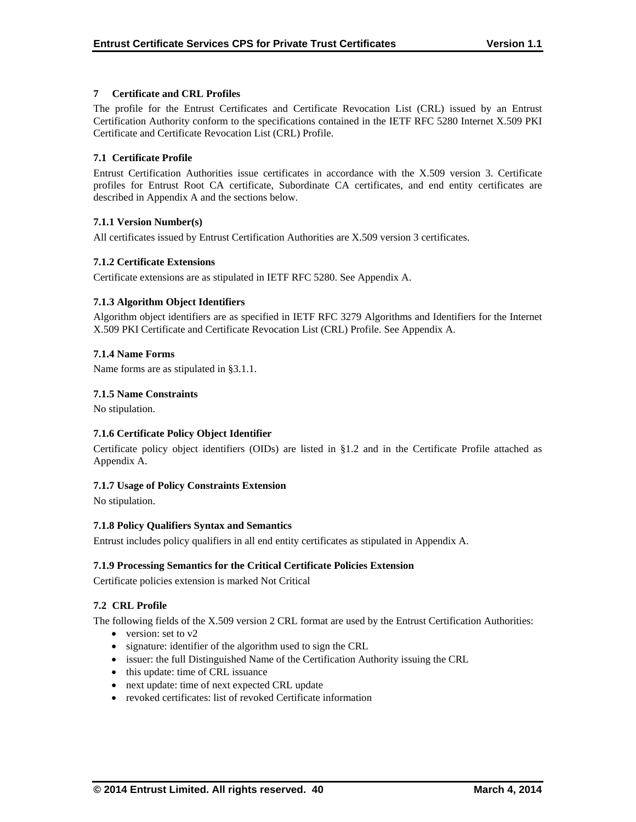## **7 Certificate and CRL Profiles**

The profile for the Entrust Certificates and Certificate Revocation List (CRL) issued by an Entrust Certification Authority conform to the specifications contained in the IETF RFC 5280 Internet X.509 PKI Certificate and Certificate Revocation List (CRL) Profile.

## **7.1 Certificate Profile**

Entrust Certification Authorities issue certificates in accordance with the X.509 version 3. Certificate profiles for Entrust Root CA certificate, Subordinate CA certificates, and end entity certificates are described in Appendix A and the sections below.

## **7.1.1 Version Number(s)**

All certificates issued by Entrust Certification Authorities are X.509 version 3 certificates.

## **7.1.2 Certificate Extensions**

Certificate extensions are as stipulated in IETF RFC 5280. See Appendix A.

## **7.1.3 Algorithm Object Identifiers**

Algorithm object identifiers are as specified in IETF RFC 3279 Algorithms and Identifiers for the Internet X.509 PKI Certificate and Certificate Revocation List (CRL) Profile. See Appendix A.

## **7.1.4 Name Forms**

Name forms are as stipulated in §3.1.1.

## **7.1.5 Name Constraints**

No stipulation.

## **7.1.6 Certificate Policy Object Identifier**

Certificate policy object identifiers (OIDs) are listed in §1.2 and in the Certificate Profile attached as Appendix A.

## **7.1.7 Usage of Policy Constraints Extension**

No stipulation.

## **7.1.8 Policy Qualifiers Syntax and Semantics**

Entrust includes policy qualifiers in all end entity certificates as stipulated in Appendix A.

## **7.1.9 Processing Semantics for the Critical Certificate Policies Extension**

Certificate policies extension is marked Not Critical

## **7.2 CRL Profile**

The following fields of the X.509 version 2 CRL format are used by the Entrust Certification Authorities:

- version: set to  $v2$
- signature: identifier of the algorithm used to sign the CRL
- issuer: the full Distinguished Name of the Certification Authority issuing the CRL
- this update: time of CRL issuance
- next update: time of next expected CRL update
- revoked certificates: list of revoked Certificate information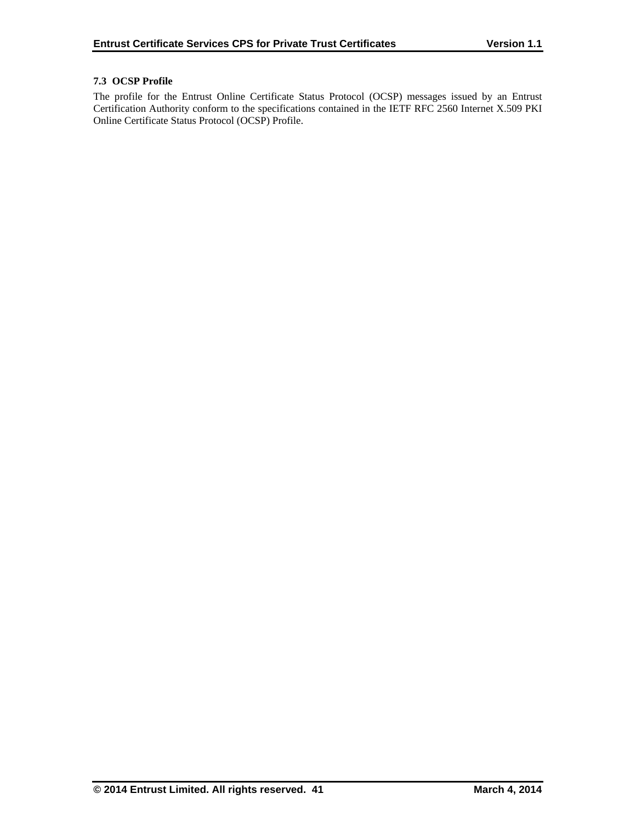## **7.3 OCSP Profile**

The profile for the Entrust Online Certificate Status Protocol (OCSP) messages issued by an Entrust Certification Authority conform to the specifications contained in the IETF RFC 2560 Internet X.509 PKI Online Certificate Status Protocol (OCSP) Profile.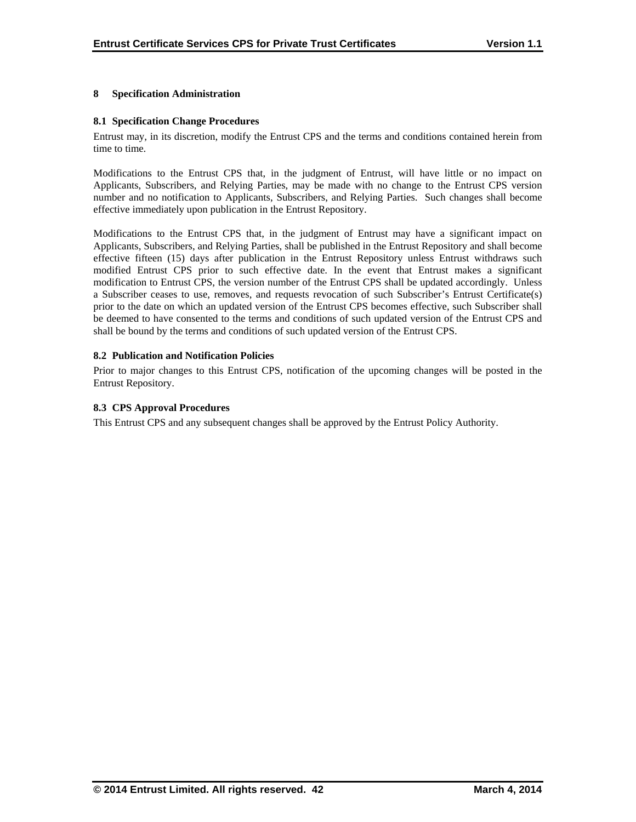## **8 Specification Administration**

## **8.1 Specification Change Procedures**

Entrust may, in its discretion, modify the Entrust CPS and the terms and conditions contained herein from time to time.

Modifications to the Entrust CPS that, in the judgment of Entrust, will have little or no impact on Applicants, Subscribers, and Relying Parties, may be made with no change to the Entrust CPS version number and no notification to Applicants, Subscribers, and Relying Parties. Such changes shall become effective immediately upon publication in the Entrust Repository.

Modifications to the Entrust CPS that, in the judgment of Entrust may have a significant impact on Applicants, Subscribers, and Relying Parties, shall be published in the Entrust Repository and shall become effective fifteen (15) days after publication in the Entrust Repository unless Entrust withdraws such modified Entrust CPS prior to such effective date. In the event that Entrust makes a significant modification to Entrust CPS, the version number of the Entrust CPS shall be updated accordingly. Unless a Subscriber ceases to use, removes, and requests revocation of such Subscriber's Entrust Certificate(s) prior to the date on which an updated version of the Entrust CPS becomes effective, such Subscriber shall be deemed to have consented to the terms and conditions of such updated version of the Entrust CPS and shall be bound by the terms and conditions of such updated version of the Entrust CPS.

## **8.2 Publication and Notification Policies**

Prior to major changes to this Entrust CPS, notification of the upcoming changes will be posted in the Entrust Repository.

## **8.3 CPS Approval Procedures**

This Entrust CPS and any subsequent changes shall be approved by the Entrust Policy Authority.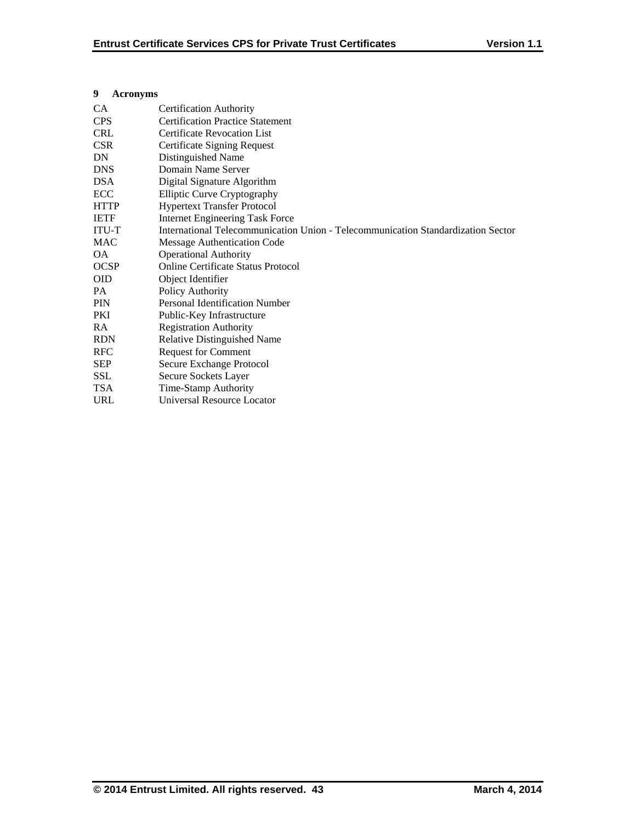## **9 Acronyms**

| <b>CA</b>    | <b>Certification Authority</b>                                                   |
|--------------|----------------------------------------------------------------------------------|
| <b>CPS</b>   | <b>Certification Practice Statement</b>                                          |
| <b>CRL</b>   | <b>Certificate Revocation List</b>                                               |
| <b>CSR</b>   | Certificate Signing Request                                                      |
| DN           | Distinguished Name                                                               |
| <b>DNS</b>   | Domain Name Server                                                               |
| <b>DSA</b>   | Digital Signature Algorithm                                                      |
| ECC          | <b>Elliptic Curve Cryptography</b>                                               |
| <b>HTTP</b>  | <b>Hypertext Transfer Protocol</b>                                               |
| <b>IETF</b>  | <b>Internet Engineering Task Force</b>                                           |
| <b>ITU-T</b> | International Telecommunication Union - Telecommunication Standardization Sector |
| <b>MAC</b>   | Message Authentication Code                                                      |
| OA.          | <b>Operational Authority</b>                                                     |
| <b>OCSP</b>  | <b>Online Certificate Status Protocol</b>                                        |
| <b>OID</b>   | Object Identifier                                                                |
| PA           | Policy Authority                                                                 |
| <b>PIN</b>   | Personal Identification Number                                                   |
| PKI          | Public-Key Infrastructure                                                        |
| <b>RA</b>    | <b>Registration Authority</b>                                                    |
| <b>RDN</b>   | Relative Distinguished Name                                                      |
| <b>RFC</b>   | <b>Request for Comment</b>                                                       |
| <b>SEP</b>   | Secure Exchange Protocol                                                         |
| <b>SSL</b>   | Secure Sockets Layer                                                             |
| <b>TSA</b>   | Time-Stamp Authority                                                             |
| <b>URL</b>   | Universal Resource Locator                                                       |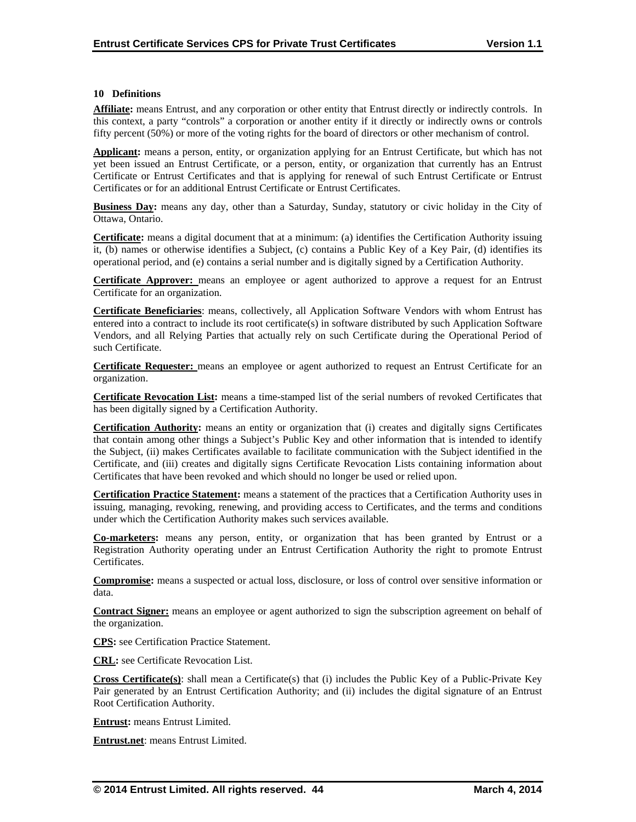#### **10 Definitions**

**Affiliate:** means Entrust, and any corporation or other entity that Entrust directly or indirectly controls. In this context, a party "controls" a corporation or another entity if it directly or indirectly owns or controls fifty percent (50%) or more of the voting rights for the board of directors or other mechanism of control.

**Applicant:** means a person, entity, or organization applying for an Entrust Certificate, but which has not yet been issued an Entrust Certificate, or a person, entity, or organization that currently has an Entrust Certificate or Entrust Certificates and that is applying for renewal of such Entrust Certificate or Entrust Certificates or for an additional Entrust Certificate or Entrust Certificates.

**Business Day:** means any day, other than a Saturday, Sunday, statutory or civic holiday in the City of Ottawa, Ontario.

**Certificate:** means a digital document that at a minimum: (a) identifies the Certification Authority issuing it, (b) names or otherwise identifies a Subject, (c) contains a Public Key of a Key Pair, (d) identifies its operational period, and (e) contains a serial number and is digitally signed by a Certification Authority.

**Certificate Approver:** means an employee or agent authorized to approve a request for an Entrust Certificate for an organization.

**Certificate Beneficiaries**: means, collectively, all Application Software Vendors with whom Entrust has entered into a contract to include its root certificate(s) in software distributed by such Application Software Vendors, and all Relying Parties that actually rely on such Certificate during the Operational Period of such Certificate.

**Certificate Requester:** means an employee or agent authorized to request an Entrust Certificate for an organization.

**Certificate Revocation List:** means a time-stamped list of the serial numbers of revoked Certificates that has been digitally signed by a Certification Authority.

**Certification Authority:** means an entity or organization that (i) creates and digitally signs Certificates that contain among other things a Subject's Public Key and other information that is intended to identify the Subject, (ii) makes Certificates available to facilitate communication with the Subject identified in the Certificate, and (iii) creates and digitally signs Certificate Revocation Lists containing information about Certificates that have been revoked and which should no longer be used or relied upon.

**Certification Practice Statement:** means a statement of the practices that a Certification Authority uses in issuing, managing, revoking, renewing, and providing access to Certificates, and the terms and conditions under which the Certification Authority makes such services available.

**Co-marketers:** means any person, entity, or organization that has been granted by Entrust or a Registration Authority operating under an Entrust Certification Authority the right to promote Entrust Certificates.

**Compromise:** means a suspected or actual loss, disclosure, or loss of control over sensitive information or data.

**Contract Signer:** means an employee or agent authorized to sign the subscription agreement on behalf of the organization.

**CPS:** see Certification Practice Statement.

**CRL:** see Certificate Revocation List.

**Cross Certificate(s)**: shall mean a Certificate(s) that (i) includes the Public Key of a Public-Private Key Pair generated by an Entrust Certification Authority; and (ii) includes the digital signature of an Entrust Root Certification Authority.

**Entrust:** means Entrust Limited.

**Entrust.net**: means Entrust Limited.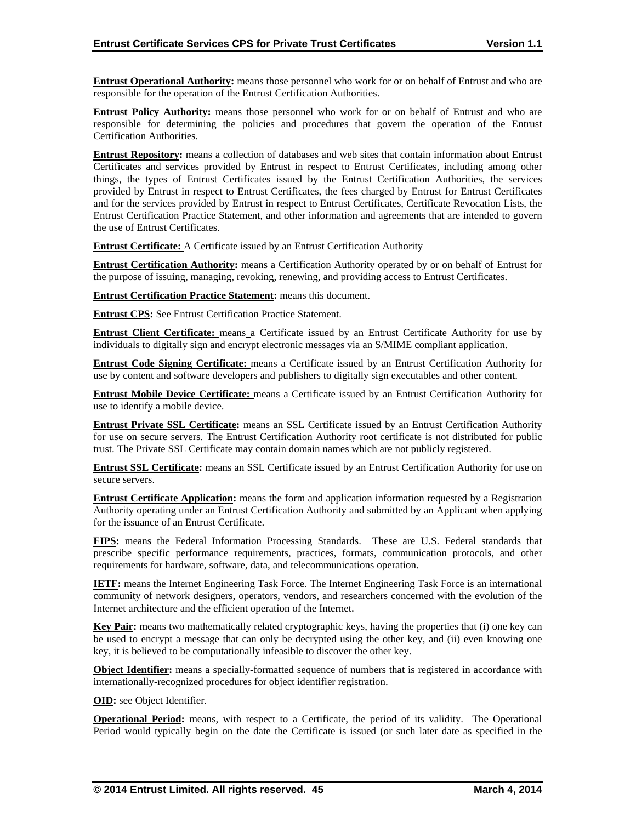**Entrust Operational Authority:** means those personnel who work for or on behalf of Entrust and who are responsible for the operation of the Entrust Certification Authorities.

**Entrust Policy Authority:** means those personnel who work for or on behalf of Entrust and who are responsible for determining the policies and procedures that govern the operation of the Entrust Certification Authorities.

**Entrust Repository:** means a collection of databases and web sites that contain information about Entrust Certificates and services provided by Entrust in respect to Entrust Certificates, including among other things, the types of Entrust Certificates issued by the Entrust Certification Authorities, the services provided by Entrust in respect to Entrust Certificates, the fees charged by Entrust for Entrust Certificates and for the services provided by Entrust in respect to Entrust Certificates, Certificate Revocation Lists, the Entrust Certification Practice Statement, and other information and agreements that are intended to govern the use of Entrust Certificates.

**Entrust Certificate:** A Certificate issued by an Entrust Certification Authority

**Entrust Certification Authority:** means a Certification Authority operated by or on behalf of Entrust for the purpose of issuing, managing, revoking, renewing, and providing access to Entrust Certificates.

**Entrust Certification Practice Statement:** means this document.

**Entrust CPS:** See Entrust Certification Practice Statement.

**Entrust Client Certificate:** means a Certificate issued by an Entrust Certificate Authority for use by individuals to digitally sign and encrypt electronic messages via an S/MIME compliant application.

**Entrust Code Signing Certificate:** means a Certificate issued by an Entrust Certification Authority for use by content and software developers and publishers to digitally sign executables and other content.

**Entrust Mobile Device Certificate:** means a Certificate issued by an Entrust Certification Authority for use to identify a mobile device.

**Entrust Private SSL Certificate:** means an SSL Certificate issued by an Entrust Certification Authority for use on secure servers. The Entrust Certification Authority root certificate is not distributed for public trust. The Private SSL Certificate may contain domain names which are not publicly registered.

**Entrust SSL Certificate:** means an SSL Certificate issued by an Entrust Certification Authority for use on secure servers.

**Entrust Certificate Application:** means the form and application information requested by a Registration Authority operating under an Entrust Certification Authority and submitted by an Applicant when applying for the issuance of an Entrust Certificate.

**FIPS:** means the Federal Information Processing Standards. These are U.S. Federal standards that prescribe specific performance requirements, practices, formats, communication protocols, and other requirements for hardware, software, data, and telecommunications operation.

**IETF:** means the Internet Engineering Task Force. The Internet Engineering Task Force is an international community of network designers, operators, vendors, and researchers concerned with the evolution of the Internet architecture and the efficient operation of the Internet.

**Key Pair:** means two mathematically related cryptographic keys, having the properties that (i) one key can be used to encrypt a message that can only be decrypted using the other key, and (ii) even knowing one key, it is believed to be computationally infeasible to discover the other key.

**Object Identifier:** means a specially-formatted sequence of numbers that is registered in accordance with internationally-recognized procedures for object identifier registration.

**OID:** see Object Identifier.

**Operational Period:** means, with respect to a Certificate, the period of its validity. The Operational Period would typically begin on the date the Certificate is issued (or such later date as specified in the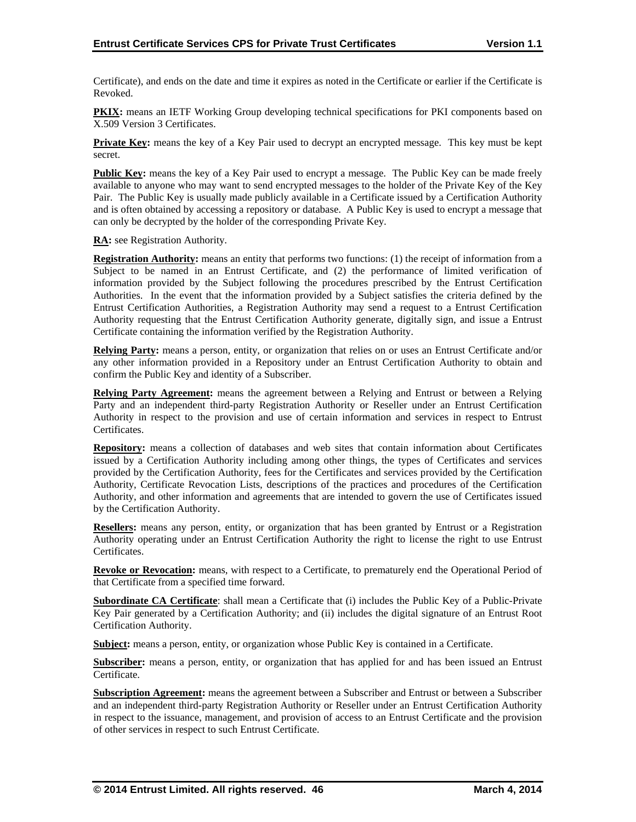Certificate), and ends on the date and time it expires as noted in the Certificate or earlier if the Certificate is Revoked.

**PKIX:** means an IETF Working Group developing technical specifications for PKI components based on X.509 Version 3 Certificates.

**Private Key:** means the key of a Key Pair used to decrypt an encrypted message. This key must be kept secret.

**Public Key:** means the key of a Key Pair used to encrypt a message. The Public Key can be made freely available to anyone who may want to send encrypted messages to the holder of the Private Key of the Key Pair. The Public Key is usually made publicly available in a Certificate issued by a Certification Authority and is often obtained by accessing a repository or database. A Public Key is used to encrypt a message that can only be decrypted by the holder of the corresponding Private Key.

**RA:** see Registration Authority.

**Registration Authority:** means an entity that performs two functions: (1) the receipt of information from a Subject to be named in an Entrust Certificate, and (2) the performance of limited verification of information provided by the Subject following the procedures prescribed by the Entrust Certification Authorities. In the event that the information provided by a Subject satisfies the criteria defined by the Entrust Certification Authorities, a Registration Authority may send a request to a Entrust Certification Authority requesting that the Entrust Certification Authority generate, digitally sign, and issue a Entrust Certificate containing the information verified by the Registration Authority.

**Relying Party:** means a person, entity, or organization that relies on or uses an Entrust Certificate and/or any other information provided in a Repository under an Entrust Certification Authority to obtain and confirm the Public Key and identity of a Subscriber.

**Relying Party Agreement:** means the agreement between a Relying and Entrust or between a Relying Party and an independent third-party Registration Authority or Reseller under an Entrust Certification Authority in respect to the provision and use of certain information and services in respect to Entrust Certificates.

**Repository:** means a collection of databases and web sites that contain information about Certificates issued by a Certification Authority including among other things, the types of Certificates and services provided by the Certification Authority, fees for the Certificates and services provided by the Certification Authority, Certificate Revocation Lists, descriptions of the practices and procedures of the Certification Authority, and other information and agreements that are intended to govern the use of Certificates issued by the Certification Authority.

**Resellers:** means any person, entity, or organization that has been granted by Entrust or a Registration Authority operating under an Entrust Certification Authority the right to license the right to use Entrust Certificates.

**Revoke or Revocation:** means, with respect to a Certificate, to prematurely end the Operational Period of that Certificate from a specified time forward.

**Subordinate CA Certificate**: shall mean a Certificate that (i) includes the Public Key of a Public-Private Key Pair generated by a Certification Authority; and (ii) includes the digital signature of an Entrust Root Certification Authority.

**Subject:** means a person, entity, or organization whose Public Key is contained in a Certificate.

**Subscriber:** means a person, entity, or organization that has applied for and has been issued an Entrust Certificate.

**Subscription Agreement:** means the agreement between a Subscriber and Entrust or between a Subscriber and an independent third-party Registration Authority or Reseller under an Entrust Certification Authority in respect to the issuance, management, and provision of access to an Entrust Certificate and the provision of other services in respect to such Entrust Certificate.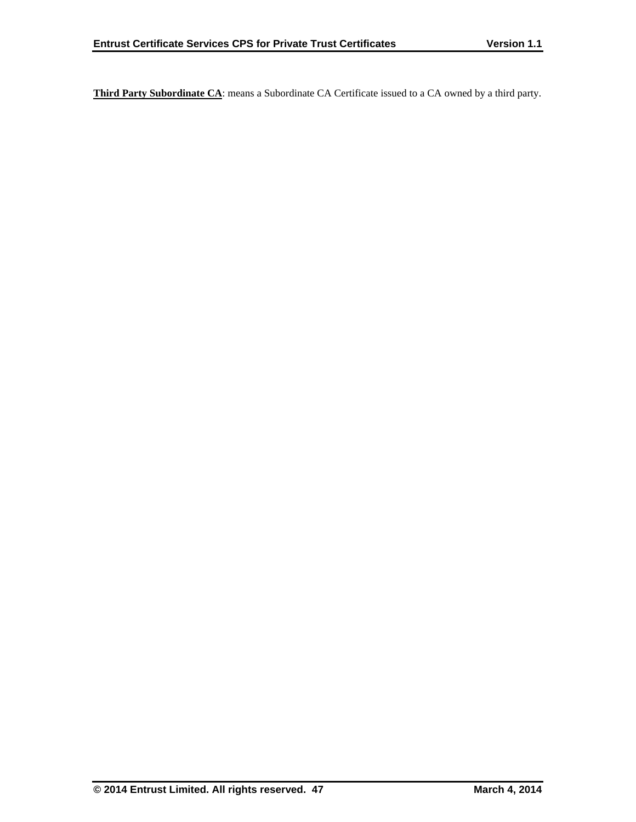**Third Party Subordinate CA**: means a Subordinate CA Certificate issued to a CA owned by a third party.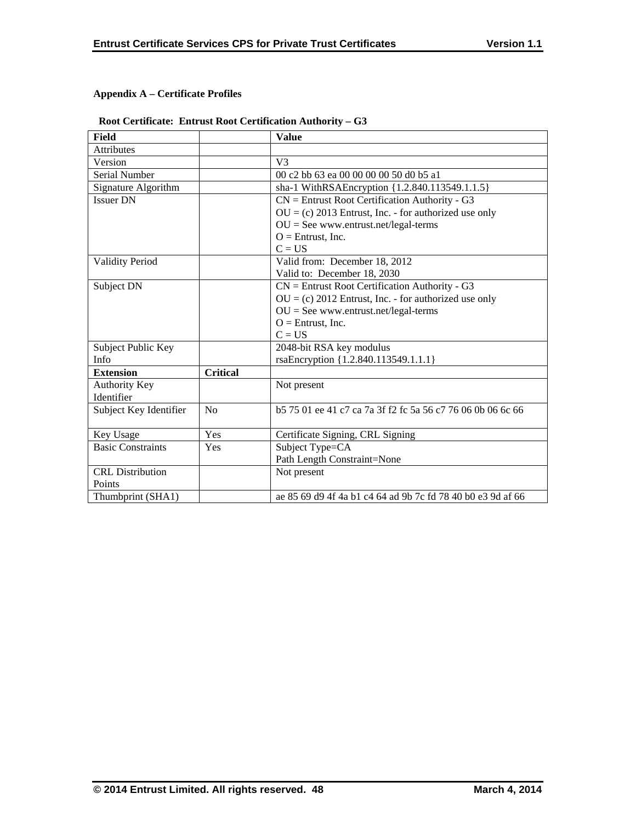## **Appendix A – Certificate Profiles**

## **Root Certificate: Entrust Root Certification Authority – G3**

| <b>Field</b>             |                 | <b>Value</b>                                                   |
|--------------------------|-----------------|----------------------------------------------------------------|
| Attributes               |                 |                                                                |
| Version                  |                 | V <sub>3</sub>                                                 |
| Serial Number            |                 | 00 c2 bb 63 ea 00 00 00 00 50 d0 b5 a1                         |
| Signature Algorithm      |                 | sha-1 WithRSAEncryption {1.2.840.113549.1.1.5}                 |
| <b>Issuer DN</b>         |                 | $CN =$ Entrust Root Certification Authority - G3               |
|                          |                 | $OU = (c) 2013$ Entrust, Inc. - for authorized use only        |
|                          |                 | $OU = See$ www.entrust.net/legal-terms                         |
|                          |                 | $O =$ Entrust, Inc.                                            |
|                          |                 | $C = US$                                                       |
| <b>Validity Period</b>   |                 | Valid from: December 18, 2012                                  |
|                          |                 | Valid to: December 18, 2030                                    |
| Subject DN               |                 | $CN =$ Entrust Root Certification Authority - G3               |
|                          |                 | $OU = (c) 2012$ Entrust, Inc. - for authorized use only        |
|                          |                 | $OU = See$ www.entrust.net/legal-terms                         |
|                          |                 | $O =$ Entrust, Inc.                                            |
|                          |                 | $C = US$                                                       |
| Subject Public Key       |                 | 2048-bit RSA key modulus                                       |
| Info                     |                 | rsaEncryption {1.2.840.113549.1.1.1}                           |
| <b>Extension</b>         | <b>Critical</b> |                                                                |
| <b>Authority Key</b>     |                 | Not present                                                    |
| Identifier               |                 |                                                                |
| Subject Key Identifier   | No              | b 57 501 ee 41 c 7 ca 7a 3f f 2 f c 5a 56 c 77 60 60 b 06 6 66 |
|                          |                 |                                                                |
| Key Usage                | Yes             | Certificate Signing, CRL Signing                               |
| <b>Basic Constraints</b> | Yes             | Subject Type=CA                                                |
|                          |                 | Path Length Constraint=None                                    |
| <b>CRL</b> Distribution  |                 | Not present                                                    |
| Points                   |                 |                                                                |
| Thumbprint (SHA1)        |                 | ae 85 69 d9 4f 4a b1 c4 64 ad 9b 7c fd 78 40 b0 e3 9d af 66    |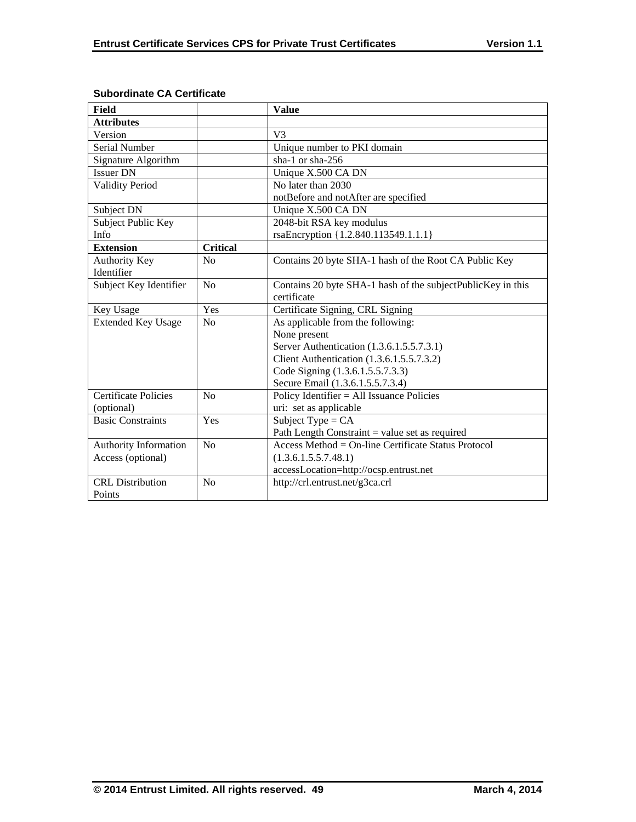| <b>Field</b>                |                 | <b>Value</b>                                                |
|-----------------------------|-----------------|-------------------------------------------------------------|
| <b>Attributes</b>           |                 |                                                             |
| Version                     |                 | V3                                                          |
| Serial Number               |                 | Unique number to PKI domain                                 |
| Signature Algorithm         |                 | sha-1 or sha-256                                            |
| <b>Issuer DN</b>            |                 | Unique X.500 CA DN                                          |
| <b>Validity Period</b>      |                 | No later than 2030                                          |
|                             |                 | notBefore and notAfter are specified                        |
| Subject DN                  |                 | Unique X.500 CA DN                                          |
| Subject Public Key          |                 | 2048-bit RSA key modulus                                    |
| <b>Info</b>                 |                 | rsaEncryption {1.2.840.113549.1.1.1}                        |
| <b>Extension</b>            | <b>Critical</b> |                                                             |
| <b>Authority Key</b>        | No              | Contains 20 byte SHA-1 hash of the Root CA Public Key       |
| Identifier                  |                 |                                                             |
| Subject Key Identifier      | N <sub>0</sub>  | Contains 20 byte SHA-1 hash of the subjectPublicKey in this |
|                             |                 | certificate                                                 |
| Key Usage                   | Yes             | Certificate Signing, CRL Signing                            |
| <b>Extended Key Usage</b>   | No              | As applicable from the following:                           |
|                             |                 | None present                                                |
|                             |                 | Server Authentication (1.3.6.1.5.5.7.3.1)                   |
|                             |                 | Client Authentication (1.3.6.1.5.5.7.3.2)                   |
|                             |                 | Code Signing (1.3.6.1.5.5.7.3.3)                            |
|                             |                 | Secure Email (1.3.6.1.5.5.7.3.4)                            |
| <b>Certificate Policies</b> | N <sub>0</sub>  | Policy Identifier = All Issuance Policies                   |
| (optional)                  |                 | uri: set as applicable                                      |
| <b>Basic Constraints</b>    | Yes             | Subject Type = $CA$                                         |
|                             |                 | Path Length Constraint $=$ value set as required            |
| Authority Information       | No              | Access Method = $On$ -line Certificate Status Protocol      |
| Access (optional)           |                 | (1.3.6.1.5.5.7.48.1)                                        |
|                             |                 | accessLocation=http://ocsp.entrust.net                      |
| <b>CRL</b> Distribution     | N <sub>o</sub>  | http://crl.entrust.net/g3ca.crl                             |
| Points                      |                 |                                                             |

## **Subordinate CA Certificate**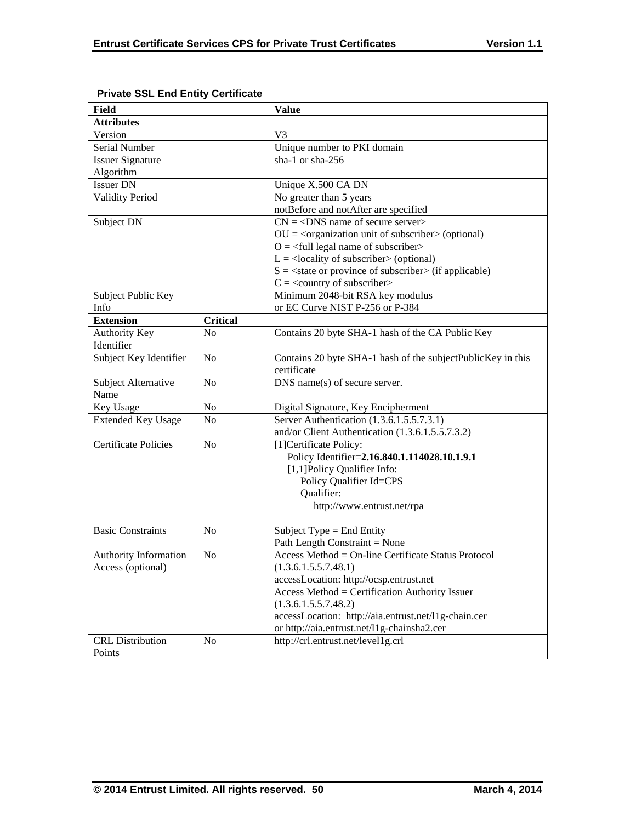| <b>Field</b>                 |                 | <b>Value</b>                                                             |
|------------------------------|-----------------|--------------------------------------------------------------------------|
| <b>Attributes</b>            |                 |                                                                          |
| Version                      |                 | V <sub>3</sub>                                                           |
| Serial Number                |                 | Unique number to PKI domain                                              |
| <b>Issuer Signature</b>      |                 | sha-1 or sha-256                                                         |
| Algorithm                    |                 |                                                                          |
| <b>Issuer DN</b>             |                 | Unique X.500 CA DN                                                       |
| <b>Validity Period</b>       |                 | No greater than 5 years                                                  |
|                              |                 | notBefore and notAfter are specified                                     |
| Subject DN                   |                 | $CN = <$ DNS name of secure server>                                      |
|                              |                 | $OU = corganization unit of subscripter > (optional)$                    |
|                              |                 | $O = \frac{1}{2}$ legal name of subscriber                               |
|                              |                 | $L =$ <locality of="" subscriber=""> (optional)</locality>               |
|                              |                 | $S = \text{state}$ or province of subscriber $\text{in}$ (if applicable) |
|                              |                 | $C = \langle$ country of subscriber>                                     |
| Subject Public Key           |                 | Minimum 2048-bit RSA key modulus                                         |
| Info                         |                 | or EC Curve NIST P-256 or P-384                                          |
| <b>Extension</b>             | <b>Critical</b> |                                                                          |
| Authority Key                | No              | Contains 20 byte SHA-1 hash of the CA Public Key                         |
| Identifier                   |                 |                                                                          |
| Subject Key Identifier       | N <sub>0</sub>  | Contains 20 byte SHA-1 hash of the subjectPublicKey in this              |
|                              |                 | certificate                                                              |
| Subject Alternative          | N <sub>0</sub>  | DNS name(s) of secure server.                                            |
| Name                         |                 |                                                                          |
| Key Usage                    | N <sub>0</sub>  | Digital Signature, Key Encipherment                                      |
| <b>Extended Key Usage</b>    | N <sub>0</sub>  | Server Authentication (1.3.6.1.5.5.7.3.1)                                |
|                              |                 | and/or Client Authentication (1.3.6.1.5.5.7.3.2)                         |
| <b>Certificate Policies</b>  | N <sub>0</sub>  | [1] Certificate Policy:                                                  |
|                              |                 | Policy Identifier=2.16.840.1.114028.10.1.9.1                             |
|                              |                 | [1,1] Policy Qualifier Info:                                             |
|                              |                 | Policy Qualifier Id=CPS                                                  |
|                              |                 | Qualifier:                                                               |
|                              |                 | http://www.entrust.net/rpa                                               |
|                              |                 |                                                                          |
| <b>Basic Constraints</b>     | N <sub>0</sub>  | Subject Type = End Entity                                                |
|                              |                 | Path Length Constraint = None                                            |
| <b>Authority Information</b> | No              | Access Method = On-line Certificate Status Protocol                      |
| Access (optional)            |                 | (1.3.6.1.5.5.7.48.1)                                                     |
|                              |                 | accessLocation: http://ocsp.entrust.net                                  |
|                              |                 | Access Method = Certification Authority Issuer                           |
|                              |                 | (1.3.6.1.5.5.7.48.2)                                                     |
|                              |                 | accessLocation: http://aia.entrust.net/l1g-chain.cer                     |
|                              |                 | or http://aia.entrust.net/l1g-chainsha2.cer                              |
| <b>CRL</b> Distribution      | N <sub>o</sub>  | http://crl.entrust.net/level1g.crl                                       |
| Points                       |                 |                                                                          |

## **Private SSL End Entity Certificate**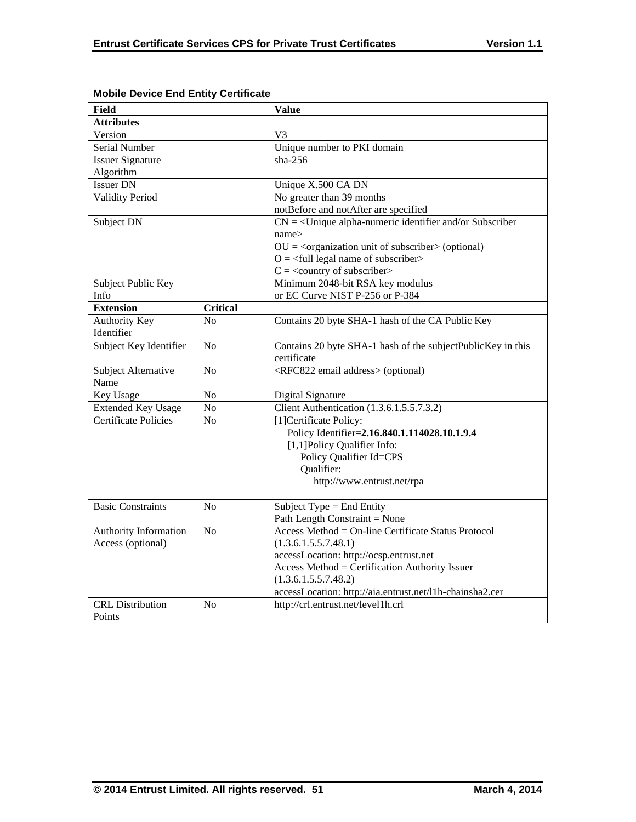| Field                       |                 | <b>Value</b>                                                           |
|-----------------------------|-----------------|------------------------------------------------------------------------|
| <b>Attributes</b>           |                 |                                                                        |
| Version                     |                 | V <sub>3</sub>                                                         |
| Serial Number               |                 | Unique number to PKI domain                                            |
| <b>Issuer Signature</b>     |                 | $sha-256$                                                              |
| Algorithm                   |                 |                                                                        |
| <b>Issuer DN</b>            |                 | Unique X.500 CA DN                                                     |
| <b>Validity Period</b>      |                 | No greater than 39 months                                              |
|                             |                 | notBefore and notAfter are specified                                   |
| Subject DN                  |                 | $CN = \langle$ Unique alpha-numeric identifier and/or Subscriber       |
|                             |                 | name>                                                                  |
|                             |                 | $OU = corganization unit of subscripter > (optional)$                  |
|                             |                 | $O = \left\langle \text{full legal name of subscripter} \right\rangle$ |
|                             |                 | $C = \langle$ country of subscriber>                                   |
| Subject Public Key          |                 | Minimum 2048-bit RSA key modulus                                       |
| Info                        |                 | or EC Curve NIST P-256 or P-384                                        |
| <b>Extension</b>            | <b>Critical</b> |                                                                        |
| <b>Authority Key</b>        | No              | Contains 20 byte SHA-1 hash of the CA Public Key                       |
| Identifier                  |                 |                                                                        |
| Subject Key Identifier      | No              | Contains 20 byte SHA-1 hash of the subjectPublicKey in this            |
|                             |                 | certificate                                                            |
| Subject Alternative         | No              | <rfc822 address="" email=""> (optional)</rfc822>                       |
| Name                        |                 |                                                                        |
| Key Usage                   | No              | Digital Signature                                                      |
| <b>Extended Key Usage</b>   | No              | Client Authentication (1.3.6.1.5.5.7.3.2)                              |
| <b>Certificate Policies</b> | N <sub>o</sub>  | [1] Certificate Policy:                                                |
|                             |                 | Policy Identifier=2.16.840.1.114028.10.1.9.4                           |
|                             |                 | [1,1]Policy Qualifier Info:                                            |
|                             |                 | Policy Qualifier Id=CPS                                                |
|                             |                 | Qualifier:                                                             |
|                             |                 | http://www.entrust.net/rpa                                             |
|                             |                 |                                                                        |
| <b>Basic Constraints</b>    | N <sub>o</sub>  | Subject Type = End Entity                                              |
|                             |                 | Path Length Constraint = None                                          |
| Authority Information       | N <sub>o</sub>  | Access Method = On-line Certificate Status Protocol                    |
| Access (optional)           |                 | (1.3.6.1.5.5.7.48.1)                                                   |
|                             |                 | accessLocation: http://ocsp.entrust.net                                |
|                             |                 | Access Method = Certification Authority Issuer                         |
|                             |                 | (1.3.6.1.5.5.7.48.2)                                                   |
|                             |                 | accessLocation: http://aia.entrust.net/l1h-chainsha2.cer               |
| <b>CRL</b> Distribution     | N <sub>o</sub>  | http://crl.entrust.net/level1h.crl                                     |
| Points                      |                 |                                                                        |

## **Mobile Device End Entity Certificate**